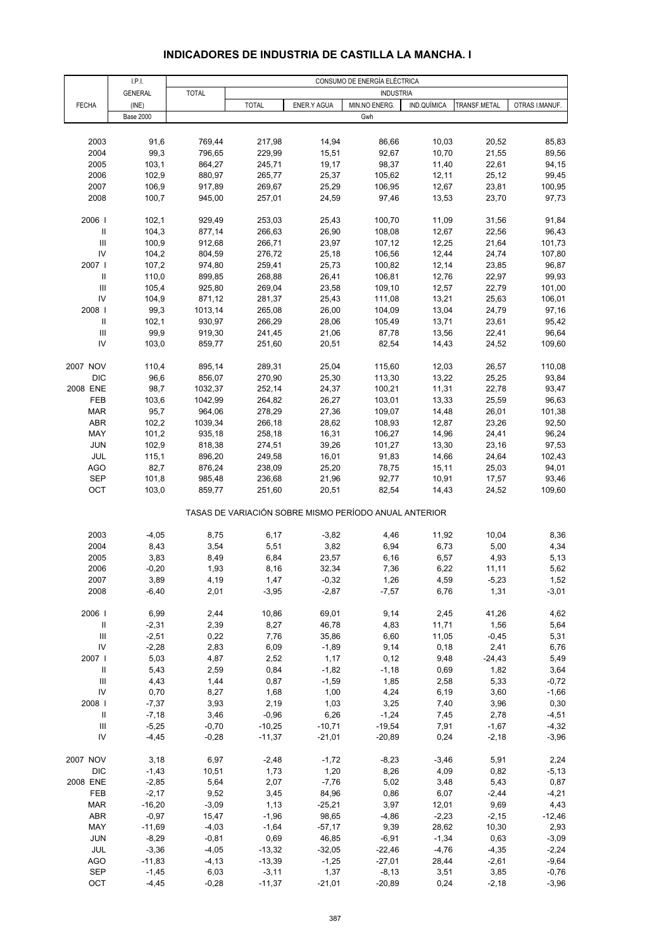# **INDICADORES DE INDUSTRIA DE CASTILLA LA MANCHA. I**

|                                    | LPL              | CONSUMO DE ENERGÍA ELÉCTRICA |               |                |                                                       |               |               |                |  |
|------------------------------------|------------------|------------------------------|---------------|----------------|-------------------------------------------------------|---------------|---------------|----------------|--|
|                                    | <b>GENERAL</b>   | <b>TOTAL</b>                 |               |                | <b>INDUSTRIA</b>                                      |               |               |                |  |
| <b>FECHA</b>                       | (INE)            |                              | <b>TOTAL</b>  | ENER.Y AGUA    | MIN.NO ENERG.                                         | IND.QUÍMICA   | TRANSF.METAL  | OTRAS I.MANUF. |  |
|                                    | <b>Base 2000</b> |                              |               |                | Gwh                                                   |               |               |                |  |
|                                    |                  |                              |               |                |                                                       |               |               |                |  |
| 2003                               | 91,6             | 769,44                       | 217,98        | 14,94          | 86,66                                                 | 10,03         | 20,52         | 85,83          |  |
| 2004                               | 99,3             | 796,65                       | 229,99        | 15,51          | 92,67                                                 | 10,70         | 21,55         | 89,56          |  |
| 2005                               | 103,1            | 864,27                       | 245,71        | 19,17          | 98,37                                                 | 11,40         | 22,61         | 94,15          |  |
| 2006                               | 102,9            | 880,97                       | 265,77        | 25,37          | 105,62                                                | 12,11         | 25,12         | 99,45          |  |
| 2007                               | 106,9            | 917,89                       | 269,67        | 25,29          | 106,95                                                | 12,67         | 23,81         | 100,95         |  |
| 2008                               | 100,7            | 945,00                       | 257,01        | 24,59          | 97,46                                                 | 13,53         | 23,70         | 97,73          |  |
| 2006                               | 102,1            | 929,49                       | 253,03        | 25,43          | 100,70                                                | 11,09         | 31,56         | 91,84          |  |
| $\, \parallel$                     | 104,3            | 877,14                       | 266,63        | 26,90          | 108,08                                                | 12,67         | 22,56         | 96,43          |  |
| $\ensuremath{\mathsf{III}}\xspace$ | 100,9            | 912,68                       | 266,71        | 23,97          | 107,12                                                | 12,25         | 21,64         | 101,73         |  |
| IV                                 | 104,2            | 804,59                       | 276,72        | 25,18          | 106,56                                                | 12,44         | 24,74         | 107,80         |  |
| 2007                               | 107,2            | 974,80                       | 259,41        | 25,73          | 100,82                                                | 12,14         | 23,85         | 96,87          |  |
| $\ensuremath{\mathsf{II}}$         | 110,0            | 899,85                       | 268,88        | 26,41          | 106,81                                                | 12,76         | 22,97         | 99,93          |  |
| $\ensuremath{\mathsf{III}}\xspace$ | 105,4            | 925,80                       | 269,04        | 23,58          | 109,10                                                | 12,57         | 22,79         | 101,00         |  |
| IV                                 | 104,9            | 871,12                       | 281,37        | 25,43          | 111,08                                                | 13,21         | 25,63         | 106,01         |  |
| 2008                               | 99,3             | 1013,14                      | 265,08        | 26,00          | 104,09                                                | 13,04         | 24,79         | 97,16          |  |
| $\, \parallel$                     | 102,1            | 930,97                       | 266,29        | 28,06          | 105,49                                                | 13,71         | 23,61         | 95,42          |  |
| $\ensuremath{\mathsf{III}}\xspace$ | 99,9             | 919,30                       | 241,45        | 21,06          | 87,78                                                 | 13,56         | 22,41         | 96,64          |  |
| IV                                 | 103,0            | 859,77                       | 251,60        | 20,51          | 82,54                                                 | 14,43         | 24,52         | 109,60         |  |
| 2007 NOV                           | 110,4            | 895,14                       | 289,31        | 25,04          | 115,60                                                | 12,03         | 26,57         | 110,08         |  |
| DIC                                | 96,6             | 856,07                       | 270,90        | 25,30          | 113,30                                                | 13,22         | 25,25         | 93,84          |  |
| 2008 ENE                           | 98,7             | 1032,37                      | 252,14        | 24,37          | 100,21                                                | 11,31         | 22,78         | 93,47          |  |
| FEB                                | 103,6            | 1042,99                      | 264,82        | 26,27          | 103,01                                                | 13,33         | 25,59         | 96,63          |  |
| <b>MAR</b>                         | 95,7             | 964,06                       | 278,29        | 27,36          | 109,07                                                | 14,48         | 26,01         | 101,38         |  |
| ABR                                | 102,2            | 1039,34                      | 266,18        | 28,62          | 108,93                                                | 12,87         | 23,26         | 92,50          |  |
| MAY                                | 101,2            | 935,18                       | 258,18        | 16,31          | 106,27                                                | 14,96         | 24,41         | 96,24          |  |
| <b>JUN</b>                         | 102,9            | 818,38                       | 274,51        | 39,26          | 101,27                                                | 13,30         | 23,16         | 97,53          |  |
| JUL                                | 115,1            | 896,20                       | 249,58        | 16,01          | 91,83                                                 | 14,66         | 24,64         | 102,43         |  |
| <b>AGO</b>                         | 82,7             | 876,24                       | 238,09        | 25,20          | 78,75                                                 | 15,11         | 25,03         | 94,01          |  |
| <b>SEP</b>                         | 101,8            | 985,48                       | 236,68        | 21,96          | 92,77                                                 | 10,91         | 17,57         | 93,46          |  |
| OCT                                | 103,0            | 859,77                       | 251,60        | 20,51          | 82,54                                                 | 14,43         | 24,52         | 109,60         |  |
|                                    |                  |                              |               |                | TASAS DE VARIACIÓN SOBRE MISMO PERÍODO ANUAL ANTERIOR |               |               |                |  |
| 2003                               | $-4,05$          | 8,75                         | 6,17          | $-3,82$        | 4,46                                                  | 11,92         | 10,04         | 8,36           |  |
| 2004                               | 8,43             | 3,54                         | 5,51          | 3,82           | 6,94                                                  | 6,73          | 5,00          | 4,34           |  |
| 2005                               | 3,83             | 8,49                         | 6,84          | 23,57          | 6, 16                                                 | 6,57          | 4,93          | 5,13           |  |
| 2006                               | $-0,20$          | 1,93                         | 8,16          | 32,34          | 7,36                                                  | 6,22          | 11,11         | 5,62           |  |
| 2007                               | 3,89             | 4,19                         | 1,47          | $-0,32$        | 1,26                                                  | 4,59          | $-5,23$       | 1,52           |  |
| 2008                               | $-6,40$          | 2,01                         | $-3,95$       | $-2,87$        | $-7,57$                                               | 6,76          | 1,31          | $-3,01$        |  |
|                                    |                  |                              |               |                |                                                       |               |               |                |  |
| 2006  <br>$\, \parallel$           | 6,99<br>$-2,31$  | 2,44<br>2,39                 | 10,86<br>8,27 | 69,01<br>46,78 | 9,14<br>4,83                                          | 2,45<br>11,71 | 41,26<br>1,56 | 4,62<br>5,64   |  |
| $\ensuremath{\mathsf{III}}\xspace$ | $-2,51$          | 0,22                         | 7,76          | 35,86          | 6,60                                                  | 11,05         | $-0,45$       | 5,31           |  |
| IV                                 | $-2,28$          | 2,83                         | 6,09          | $-1,89$        | 9,14                                                  | 0,18          | 2,41          | 6,76           |  |
| 2007                               | 5,03             | 4,87                         | 2,52          | 1,17           | 0,12                                                  | 9,48          | $-24,43$      | 5,49           |  |
| $\ensuremath{\mathsf{II}}$         | 5,43             | 2,59                         | 0,84          | $-1,82$        | $-1,18$                                               | 0,69          | 1,82          | 3,64           |  |
| $\ensuremath{\mathsf{III}}\xspace$ | 4,43             | 1,44                         | 0,87          | $-1,59$        | 1,85                                                  | 2,58          | 5,33          | $-0,72$        |  |
| IV                                 | 0,70             | 8,27                         | 1,68          | 1,00           | 4,24                                                  | 6,19          | 3,60          | $-1,66$        |  |
| 2008                               | $-7,37$          | 3,93                         | 2,19          | 1,03           | 3,25                                                  | 7,40          | 3,96          | 0,30           |  |
| $\ensuremath{\mathsf{II}}$         | $-7,18$          | 3,46                         | $-0,96$       | 6,26           | $-1,24$                                               | 7,45          | 2,78          | $-4,51$        |  |
| $\ensuremath{\mathsf{III}}\xspace$ | $-5,25$          | $-0,70$                      | $-10,25$      | $-10,71$       | $-19,54$                                              | 7,91          | $-1,67$       | $-4,32$        |  |
| IV                                 | $-4,45$          | $-0,28$                      | $-11,37$      | $-21,01$       | $-20,89$                                              | 0,24          | $-2,18$       | $-3,96$        |  |
| 2007 NOV                           | 3,18             | 6,97                         | $-2,48$       | $-1,72$        | $-8,23$                                               | $-3,46$       | 5,91          | 2,24           |  |
| <b>DIC</b>                         | $-1,43$          | 10,51                        | 1,73          | 1,20           | 8,26                                                  | 4,09          | 0,82          | $-5,13$        |  |
| 2008 ENE                           | $-2,85$          | 5,64                         | 2,07          | $-7,76$        | 5,02                                                  | 3,48          | 5,43          | 0,87           |  |
| FEB                                | $-2,17$          | 9,52                         | 3,45          | 84,96          | 0,86                                                  | 6,07          | $-2,44$       | $-4,21$        |  |
| <b>MAR</b>                         | $-16,20$         | $-3,09$                      | 1,13          | $-25,21$       | 3,97                                                  | 12,01         | 9,69          | 4,43           |  |
| ABR                                | $-0,97$          | 15,47                        | $-1,96$       | 98,65          | $-4,86$                                               | $-2,23$       | $-2,15$       | $-12,46$       |  |
| MAY                                | $-11,69$         | $-4,03$                      | $-1,64$       | $-57,17$       | 9,39                                                  | 28,62         | 10,30         | 2,93           |  |
| JUN                                | $-8,29$          | $-0,81$                      | 0,69          | 46,85          | $-6,91$                                               | $-1,34$       | 0,63          | $-3,09$        |  |
| JUL                                | $-3,36$          | $-4,05$                      | $-13,32$      | $-32,05$       | $-22,46$                                              | $-4,76$       | $-4,35$       | $-2,24$        |  |
| <b>AGO</b>                         | $-11,83$         | $-4, 13$                     | $-13,39$      | $-1,25$        | $-27,01$                                              | 28,44         | $-2,61$       | $-9,64$        |  |
| SEP                                | $-1,45$          | 6,03                         | $-3,11$       | 1,37           | $-8,13$                                               | 3,51          | 3,85          | $-0,76$        |  |
| OCT                                | $-4,45$          | $-0,28$                      | $-11,37$      | $-21,01$       | $-20,89$                                              | 0,24          | $-2,18$       | $-3,96$        |  |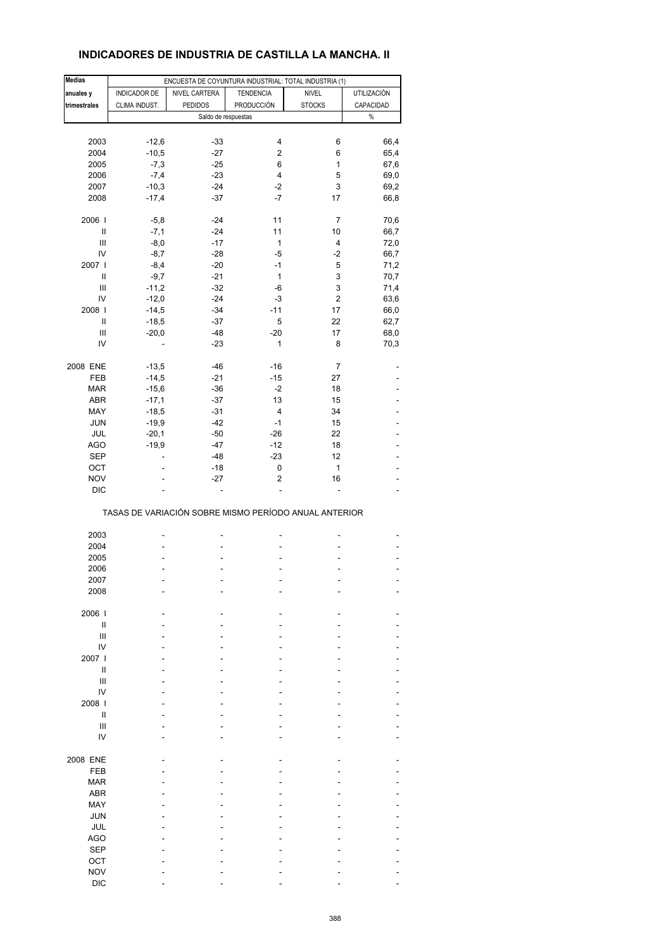# **INDICADORES DE INDUSTRIA DE CASTILLA LA MANCHA. II**

| <b>Medias</b>                      |                                                       | ENCUESTA DE COYUNTURA INDUSTRIAL: TOTAL INDUSTRIA (1) |                         |                      |              |
|------------------------------------|-------------------------------------------------------|-------------------------------------------------------|-------------------------|----------------------|--------------|
| anuales y                          | INDICADOR DE                                          | NIVEL CARTERA                                         | <b>TENDENCIA</b>        | <b>NIVEL</b>         | UTILIZACIÓN  |
|                                    |                                                       |                                                       |                         |                      |              |
| trimestrales                       | CLIMA INDUST.                                         | <b>PEDIDOS</b>                                        | PRODUCCIÓN              | <b>STOCKS</b>        | CAPACIDAD    |
|                                    |                                                       | Saldo de respuestas                                   |                         |                      | $\%$         |
|                                    |                                                       |                                                       |                         |                      |              |
| 2003                               | $-12,6$                                               | $-33$                                                 | 4                       | 6                    | 66,4         |
| 2004                               | $-10,5$                                               | $-27$                                                 | $\overline{\mathbf{c}}$ | 6                    | 65,4         |
| 2005                               | $-7,3$                                                | $-25$                                                 | 6                       | $\mathbf{1}$         | 67,6         |
|                                    |                                                       |                                                       |                         |                      |              |
| 2006                               | $-7,4$                                                | $-23$                                                 | $\overline{\mathbf{4}}$ | 5                    | 69,0         |
| 2007                               | $-10,3$                                               | $-24$                                                 | $-2$                    | 3                    | 69,2         |
| 2008                               | $-17,4$                                               | $-37$                                                 | $-7$                    | 17                   | 66,8         |
|                                    |                                                       |                                                       |                         |                      |              |
| 2006  <br>Ш                        | $-5,8$<br>$-7,1$                                      | $-24$<br>$-24$                                        | 11<br>11                | $\overline{7}$<br>10 | 70,6<br>66,7 |
|                                    |                                                       |                                                       |                         |                      |              |
| $\ensuremath{\mathsf{III}}\xspace$ | $-8,0$                                                | $-17$                                                 | $\mathbf{1}$            | 4                    | 72,0         |
| IV                                 | $-8,7$                                                | $-28$                                                 | $-5$                    | $-2$                 | 66,7         |
| 2007                               | $-8,4$                                                | $-20$                                                 | $-1$                    | 5                    | 71,2         |
| Ш                                  | $-9,7$                                                | $-21$                                                 | $\mathbf{1}$            | 3                    | 70,7         |
|                                    |                                                       |                                                       |                         |                      |              |
| $\ensuremath{\mathsf{III}}\xspace$ | $-11,2$                                               | $-32$                                                 | -6                      | 3                    | 71,4         |
| IV                                 | $-12,0$                                               | $-24$                                                 | $-3$                    | 2                    | 63,6         |
| 2008                               | $-14,5$                                               | $-34$                                                 | $-11$                   | 17                   | 66,0         |
| $\ensuremath{\mathsf{II}}$         | $-18,5$                                               | $-37$                                                 | 5                       | 22                   | 62,7         |
|                                    |                                                       |                                                       |                         |                      |              |
| Ш                                  | $-20,0$                                               | $-48$                                                 | $-20$                   | 17                   | 68,0         |
| IV                                 |                                                       | $-23$                                                 | 1                       | 8                    | 70,3         |
| 2008 ENE                           | $-13,5$                                               | $-46$                                                 | $-16$                   | 7                    |              |
|                                    |                                                       | $-21$                                                 | $-15$                   | 27                   |              |
| FEB                                | $-14,5$                                               |                                                       |                         |                      |              |
| <b>MAR</b>                         | $-15,6$                                               | $-36$                                                 | $-2$                    | 18                   |              |
| ABR                                | $-17,1$                                               | $-37$                                                 | 13                      | 15                   |              |
| MAY                                | $-18,5$                                               | $-31$                                                 | 4                       | 34                   |              |
|                                    |                                                       |                                                       |                         |                      |              |
| JUN                                | $-19,9$                                               | $-42$                                                 | $-1$                    | 15                   |              |
| JUL                                | $-20,1$                                               | $-50$                                                 | $-26$                   | 22                   |              |
| <b>AGO</b>                         | $-19,9$                                               | $-47$                                                 | $-12$                   | 18                   |              |
| <b>SEP</b>                         | ٠                                                     | $-48$                                                 | $-23$                   | 12                   |              |
|                                    |                                                       |                                                       |                         |                      |              |
| OCT                                | ٠                                                     | $-18$                                                 | 0                       | $\mathbf{1}$         |              |
| <b>NOV</b>                         |                                                       | $-27$                                                 | 2                       | 16                   |              |
| <b>DIC</b>                         |                                                       | $\overline{a}$                                        | $\overline{a}$          | ÷,                   | ٠            |
|                                    | TASAS DE VARIACIÓN SOBRE MISMO PERÍODO ANUAL ANTERIOR |                                                       |                         |                      |              |
|                                    |                                                       |                                                       |                         |                      |              |
| 2003                               |                                                       |                                                       | Ĭ.                      |                      |              |
| 2004                               |                                                       |                                                       |                         |                      |              |
| 2005                               |                                                       |                                                       | ۰                       |                      |              |
| 2006                               |                                                       |                                                       | ä,                      |                      |              |
| 2007                               |                                                       |                                                       |                         |                      |              |
|                                    |                                                       |                                                       |                         |                      |              |
| 2008                               |                                                       |                                                       |                         |                      |              |
| 2006                               |                                                       |                                                       |                         |                      |              |
| Ш                                  |                                                       |                                                       |                         |                      |              |
|                                    |                                                       |                                                       |                         |                      |              |
| Ш                                  |                                                       |                                                       |                         |                      |              |
| IV                                 |                                                       |                                                       |                         |                      |              |
| 2007 l                             |                                                       |                                                       |                         |                      |              |
| $\sf II$                           |                                                       |                                                       |                         |                      |              |
| $\ensuremath{\mathsf{III}}\xspace$ |                                                       |                                                       |                         |                      |              |
|                                    |                                                       |                                                       |                         |                      |              |
| IV                                 |                                                       |                                                       |                         |                      |              |
| 2008                               |                                                       |                                                       |                         |                      |              |
| $\sf II$                           |                                                       |                                                       |                         |                      |              |
| $\mathsf{III}$                     |                                                       |                                                       |                         |                      |              |
|                                    |                                                       |                                                       |                         |                      |              |
| IV                                 |                                                       |                                                       |                         |                      |              |
| 2008 ENE                           |                                                       |                                                       |                         |                      |              |
| FEB                                |                                                       |                                                       |                         |                      |              |
|                                    |                                                       |                                                       |                         |                      |              |
| <b>MAR</b>                         |                                                       |                                                       |                         |                      |              |
| ABR                                |                                                       |                                                       |                         |                      |              |
| MAY                                |                                                       |                                                       |                         |                      |              |
| <b>JUN</b>                         |                                                       |                                                       |                         |                      |              |
|                                    |                                                       |                                                       |                         |                      |              |
| <b>JUL</b>                         |                                                       |                                                       |                         |                      |              |
| AGO                                |                                                       |                                                       |                         |                      |              |
| <b>SEP</b>                         |                                                       |                                                       |                         |                      |              |
| OCT                                |                                                       |                                                       |                         |                      |              |
|                                    |                                                       |                                                       |                         |                      |              |
| <b>NOV</b>                         |                                                       |                                                       |                         |                      |              |
| <b>DIC</b>                         |                                                       |                                                       |                         |                      |              |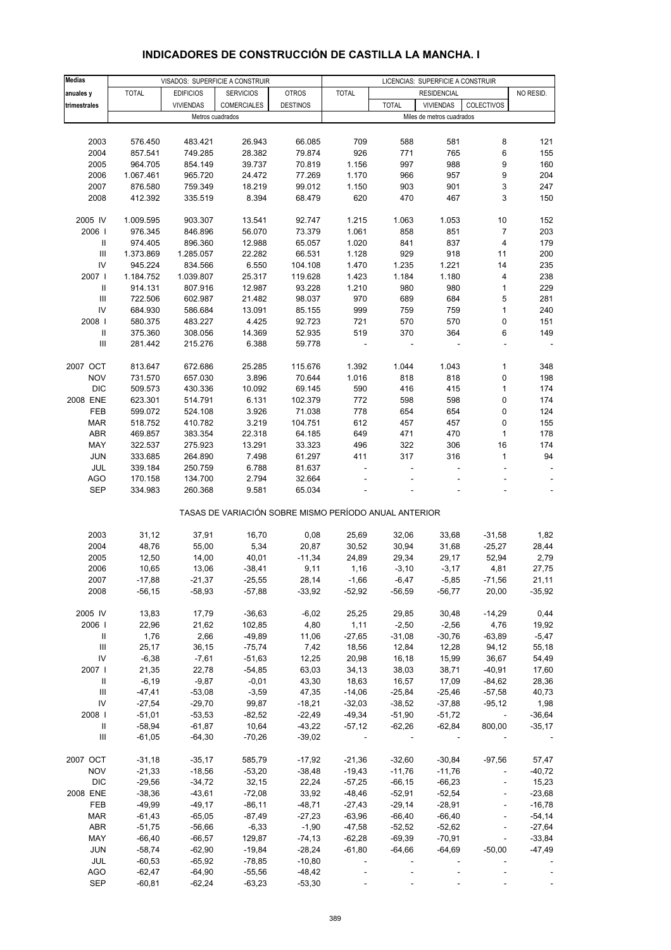# **INDICADORES DE CONSTRUCCIÓN DE CASTILLA LA MANCHA. I**

| <b>Medias</b>                      |              | VISADOS: SUPERFICIE A CONSTRUIR |                                                       |                 |                          |                          | LICENCIAS: SUPERFICIE A CONSTRUIR |                          |           |
|------------------------------------|--------------|---------------------------------|-------------------------------------------------------|-----------------|--------------------------|--------------------------|-----------------------------------|--------------------------|-----------|
| anuales y                          | <b>TOTAL</b> | <b>EDIFICIOS</b>                | <b>SERVICIOS</b>                                      | <b>OTROS</b>    | <b>TOTAL</b>             |                          | <b>RESIDENCIAL</b>                |                          | NO RESID. |
| trimestrales                       |              | <b>VIVIENDAS</b>                | <b>COMERCIALES</b>                                    | <b>DESTINOS</b> |                          | <b>TOTAL</b>             | <b>VIVIENDAS</b>                  | COLECTIVOS               |           |
|                                    |              |                                 | Metros cuadrados                                      |                 |                          |                          | Miles de metros cuadrados         |                          |           |
|                                    |              |                                 |                                                       |                 |                          |                          |                                   |                          |           |
|                                    |              |                                 |                                                       |                 |                          |                          |                                   |                          |           |
| 2003                               | 576.450      | 483.421                         | 26.943                                                | 66.085          | 709                      | 588                      | 581                               | 8                        | 121       |
| 2004                               | 857.541      | 749.285                         | 28.382                                                | 79.874          | 926                      | 771                      | 765                               | 6                        | 155       |
| 2005                               | 964.705      | 854.149                         | 39.737                                                | 70.819          | 1.156                    | 997                      | 988                               | 9                        | 160       |
| 2006                               | 1.067.461    | 965.720                         | 24.472                                                | 77.269          | 1.170                    | 966                      | 957                               | 9                        | 204       |
| 2007                               | 876.580      | 759.349                         | 18.219                                                | 99.012          | 1.150                    | 903                      | 901                               | 3                        | 247       |
| 2008                               | 412.392      | 335.519                         | 8.394                                                 | 68.479          | 620                      | 470                      | 467                               | 3                        | 150       |
|                                    |              |                                 |                                                       |                 |                          |                          |                                   |                          |           |
| 2005 IV                            | 1.009.595    | 903.307                         | 13.541                                                | 92.747          | 1.215                    | 1.063                    | 1.053                             | 10                       | 152       |
|                                    |              |                                 |                                                       |                 |                          |                          |                                   |                          |           |
| 2006                               | 976.345      | 846.896                         | 56.070                                                | 73.379          | 1.061                    | 858                      | 851                               | $\overline{7}$           | 203       |
| Ш                                  | 974.405      | 896.360                         | 12.988                                                | 65.057          | 1.020                    | 841                      | 837                               | $\overline{\mathbf{4}}$  | 179       |
| $\mathbf{III}$                     | 1.373.869    | 1.285.057                       | 22.282                                                | 66.531          | 1.128                    | 929                      | 918                               | 11                       | 200       |
| IV                                 | 945.224      | 834.566                         | 6.550                                                 | 104.108         | 1.470                    | 1.235                    | 1.221                             | 14                       | 235       |
| 2007 l                             | 1.184.752    | 1.039.807                       | 25.317                                                | 119.628         | 1.423                    | 1.184                    | 1.180                             | 4                        | 238       |
| $\ensuremath{\mathsf{II}}$         | 914.131      | 807.916                         | 12.987                                                | 93.228          | 1.210                    | 980                      | 980                               | 1                        | 229       |
| Ш                                  | 722.506      | 602.987                         | 21.482                                                | 98.037          | 970                      | 689                      | 684                               | 5                        | 281       |
| IV                                 | 684.930      | 586.684                         | 13.091                                                | 85.155          | 999                      | 759                      | 759                               | $\mathbf{1}$             | 240       |
|                                    |              |                                 |                                                       |                 |                          |                          |                                   |                          |           |
| 2008                               | 580.375      | 483.227                         | 4.425                                                 | 92.723          | 721                      | 570                      | 570                               | 0                        | 151       |
| Ш                                  | 375.360      | 308.056                         | 14.369                                                | 52.935          | 519                      | 370                      | 364                               | 6                        | 149       |
| Ш                                  | 281.442      | 215.276                         | 6.388                                                 | 59.778          |                          |                          |                                   |                          |           |
|                                    |              |                                 |                                                       |                 |                          |                          |                                   |                          |           |
| 2007 OCT                           | 813.647      | 672.686                         | 25.285                                                | 115.676         | 1.392                    | 1.044                    | 1.043                             | 1                        | 348       |
| <b>NOV</b>                         | 731.570      | 657.030                         | 3.896                                                 | 70.644          | 1.016                    | 818                      | 818                               | 0                        | 198       |
| <b>DIC</b>                         | 509.573      | 430.336                         | 10.092                                                | 69.145          | 590                      | 416                      | 415                               | $\mathbf{1}$             | 174       |
| 2008 ENE                           | 623.301      | 514.791                         | 6.131                                                 | 102.379         | 772                      | 598                      | 598                               | 0                        | 174       |
|                                    |              |                                 |                                                       |                 |                          |                          |                                   |                          |           |
| FEB                                | 599.072      | 524.108                         | 3.926                                                 | 71.038          | 778                      | 654                      | 654                               | $\mathbf 0$              | 124       |
| <b>MAR</b>                         | 518.752      | 410.782                         | 3.219                                                 | 104.751         | 612                      | 457                      | 457                               | 0                        | 155       |
| <b>ABR</b>                         | 469.857      | 383.354                         | 22.318                                                | 64.185          | 649                      | 471                      | 470                               | $\mathbf{1}$             | 178       |
| MAY                                | 322.537      | 275.923                         | 13.291                                                | 33.323          | 496                      | 322                      | 306                               | 16                       | 174       |
| <b>JUN</b>                         | 333.685      | 264.890                         | 7.498                                                 | 61.297          | 411                      | 317                      | 316                               | 1                        | 94        |
| JUL                                | 339.184      | 250.759                         | 6.788                                                 | 81.637          |                          |                          |                                   |                          |           |
| <b>AGO</b>                         | 170.158      | 134.700                         | 2.794                                                 | 32.664          |                          |                          |                                   |                          |           |
| <b>SEP</b>                         | 334.983      | 260.368                         | 9.581                                                 | 65.034          |                          |                          |                                   |                          |           |
|                                    |              |                                 |                                                       |                 |                          |                          |                                   |                          |           |
|                                    |              |                                 | TASAS DE VARIACIÓN SOBRE MISMO PERÍODO ANUAL ANTERIOR |                 |                          |                          |                                   |                          |           |
|                                    |              |                                 |                                                       |                 |                          |                          |                                   |                          |           |
| 2003                               | 31,12        | 37,91                           | 16,70                                                 | 0,08            | 25,69                    | 32,06                    | 33,68                             | $-31,58$                 | 1,82      |
| 2004                               | 48,76        | 55,00                           | 5,34                                                  | 20,87           | 30,52                    | 30,94                    | 31,68                             | $-25,27$                 | 28,44     |
| 2005                               | 12,50        | 14,00                           | 40,01                                                 | $-11,34$        | 24,89                    | 29,34                    | 29,17                             | 52,94                    | 2,79      |
| 2006                               | 10,65        | 13,06                           | $-38,41$                                              | 9,11            | 1,16                     | $-3,10$                  | $-3,17$                           | 4,81                     | 27,75     |
| 2007                               | $-17,88$     | $-21,37$                        | $-25,55$                                              | 28,14           | $-1,66$                  | $-6,47$                  | $-5,85$                           | $-71,56$                 | 21,11     |
| 2008                               | $-56, 15$    | $-58,93$                        | $-57,88$                                              | $-33,92$        | $-52,92$                 | $-56,59$                 | $-56,77$                          | 20,00                    | $-35,92$  |
|                                    |              |                                 |                                                       |                 |                          |                          |                                   |                          |           |
| 2005 IV                            | 13,83        | 17,79                           | $-36,63$                                              | $-6,02$         | 25,25                    | 29,85                    | 30,48                             | $-14,29$                 | 0,44      |
| 2006                               | 22,96        | 21,62                           | 102,85                                                | 4,80            | 1,11                     | $-2,50$                  | $-2,56$                           | 4,76                     | 19,92     |
| Ш                                  | 1,76         | 2,66                            | $-49,89$                                              | 11,06           | $-27,65$                 | $-31,08$                 | $-30,76$                          | $-63,89$                 | $-5,47$   |
| Ш                                  | 25,17        | 36,15                           | $-75,74$                                              | 7,42            | 18,56                    | 12,84                    | 12,28                             | 94,12                    | 55,18     |
| IV                                 | $-6,38$      | $-7,61$                         | $-51,63$                                              | 12,25           | 20,98                    | 16,18                    | 15,99                             | 36,67                    | 54,49     |
|                                    |              |                                 |                                                       |                 |                          |                          |                                   |                          |           |
| 2007 l                             | 21,35        | 22,78                           | $-54,85$                                              | 63,03           | 34,13                    | 38,03                    | 38,71                             | $-40,91$                 | 17,60     |
| Ш                                  | $-6,19$      | $-9,87$                         | $-0,01$                                               | 43,30           | 18,63                    | 16,57                    | 17,09                             | $-84,62$                 | 28,36     |
| $\ensuremath{\mathsf{III}}\xspace$ | $-47,41$     | $-53,08$                        | $-3,59$                                               | 47,35           | $-14,06$                 | $-25,84$                 | $-25,46$                          | $-57,58$                 | 40,73     |
| IV                                 | $-27,54$     | $-29,70$                        | 99,87                                                 | $-18,21$        | $-32,03$                 | $-38,52$                 | $-37,88$                          | $-95,12$                 | 1,98      |
| 2008                               | $-51,01$     | $-53,53$                        | $-82,52$                                              | $-22,49$        | $-49,34$                 | $-51,90$                 | $-51,72$                          | $\blacksquare$           | $-36,64$  |
| $\ensuremath{\mathsf{II}}$         | $-58,94$     | $-61,87$                        | 10,64                                                 | $-43,22$        | $-57,12$                 | $-62,26$                 | $-62,84$                          | 800,00                   | $-35,17$  |
| Ш                                  | $-61,05$     | $-64,30$                        | $-70,26$                                              | $-39,02$        | $\overline{\phantom{a}}$ | $\overline{\phantom{a}}$ | ÷.                                |                          |           |
|                                    |              |                                 |                                                       |                 |                          |                          |                                   |                          |           |
| 2007 OCT                           | $-31,18$     | $-35,17$                        | 585,79                                                | $-17,92$        | $-21,36$                 | $-32,60$                 | $-30,84$                          | $-97,56$                 | 57,47     |
| <b>NOV</b>                         | $-21,33$     | $-18,56$                        | $-53,20$                                              | $-38,48$        | $-19,43$                 | $-11,76$                 | $-11,76$                          | $\overline{\phantom{a}}$ | $-40,72$  |
| <b>DIC</b>                         | $-29,56$     | $-34,72$                        | 32,15                                                 | 22,24           | $-57,25$                 | $-66, 15$                | $-66,23$                          |                          | 15,23     |
| 2008 ENE                           | $-38,36$     | $-43,61$                        | $-72,08$                                              | 33,92           | $-48,46$                 | $-52,91$                 | $-52,54$                          |                          | $-23,68$  |
| FEB                                | $-49,99$     | $-49,17$                        | $-86,11$                                              | $-48,71$        | $-27,43$                 | $-29,14$                 | $-28,91$                          | $\overline{\phantom{a}}$ | $-16,78$  |
|                                    |              |                                 |                                                       |                 |                          |                          |                                   |                          |           |
| <b>MAR</b>                         | $-61,43$     | $-65,05$                        | $-87,49$                                              | $-27,23$        | $-63,96$                 | $-66,40$                 | $-66,40$                          |                          | $-54,14$  |
| ABR                                | $-51,75$     | $-56,66$                        | $-6,33$                                               | $-1,90$         | $-47,58$                 | $-52,52$                 | $-52,62$                          |                          | $-27,64$  |
| MAY                                | $-66,40$     | $-66,57$                        | 129,87                                                | $-74, 13$       | $-62,28$                 | $-69,39$                 | $-70,91$                          | $\blacksquare$           | $-33,84$  |
| <b>JUN</b>                         | $-58,74$     | $-62,90$                        | $-19,84$                                              | $-28,24$        | $-61,80$                 | $-64,66$                 | $-64,69$                          | $-50,00$                 | $-47,49$  |
| JUL                                | $-60,53$     | $-65,92$                        | $-78,85$                                              | $-10,80$        |                          |                          |                                   |                          |           |
| <b>AGO</b>                         | $-62,47$     | $-64,90$                        | $-55,56$                                              | $-48,42$        |                          |                          |                                   |                          |           |
| <b>SEP</b>                         | $-60,81$     | $-62,24$                        | $-63,23$                                              | $-53,30$        |                          |                          |                                   |                          |           |
|                                    |              |                                 |                                                       |                 |                          |                          |                                   |                          |           |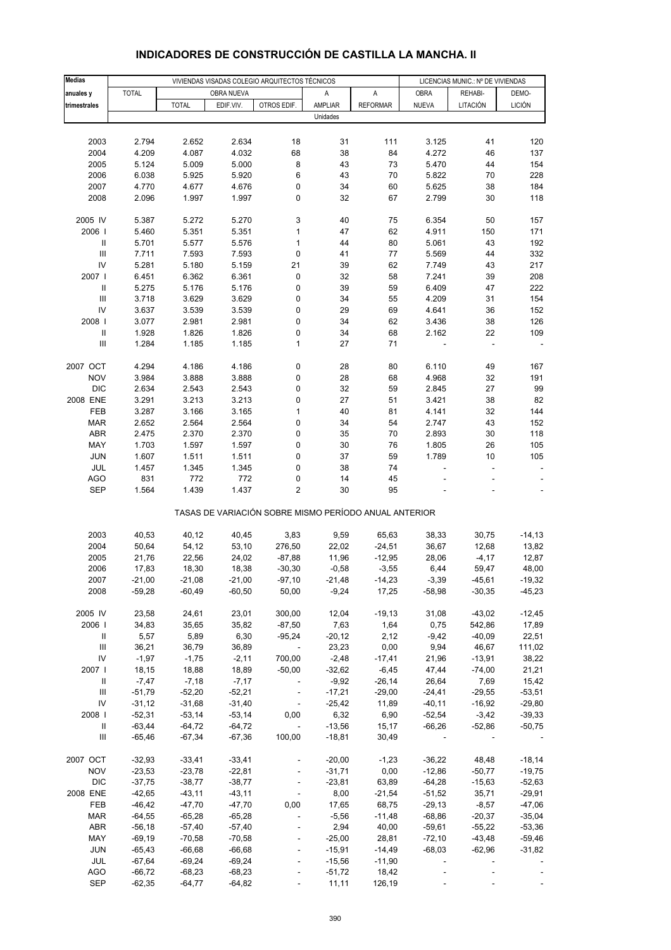| <b>TOTAL</b><br>OBRA NUEVA<br>A<br><b>OBRA</b><br>REHABI-<br>DEMO-<br>anuales y<br>Α<br><b>LICIÓN</b><br><b>TOTAL</b><br>EDIF.VIV.<br>OTROS EDIF.<br>AMPLIAR<br><b>REFORMAR</b><br><b>NUEVA</b><br>LITACIÓN<br>trimestrales<br>Unidades<br>2.634<br>18<br>120<br>2003<br>2.794<br>2.652<br>31<br>111<br>3.125<br>41<br>2004<br>4.209<br>4.087<br>4.032<br>68<br>38<br>4.272<br>137<br>84<br>46<br>8<br>154<br>2005<br>5.124<br>5.009<br>5.000<br>43<br>73<br>5.470<br>44<br>5.920<br>6<br>70<br>5.822<br>228<br>2006<br>6.038<br>5.925<br>43<br>70<br>2007<br>4.676<br>34<br>60<br>184<br>4.770<br>4.677<br>0<br>5.625<br>38<br>0<br>32<br>67<br>118<br>2008<br>2.096<br>1.997<br>1.997<br>2.799<br>30<br>2005 IV<br>3<br>5.387<br>5.272<br>5.270<br>40<br>75<br>6.354<br>50<br>157<br>2006  <br>$\mathbf{1}$<br>47<br>62<br>171<br>5.460<br>5.351<br>5.351<br>4.911<br>150<br>$\ensuremath{\mathsf{II}}$<br>1<br>80<br>192<br>5.701<br>5.577<br>5.576<br>44<br>5.061<br>43<br>$\ensuremath{\mathsf{III}}\xspace$<br>7.593<br>0<br>41<br>77<br>5.569<br>332<br>7.711<br>7.593<br>44<br>IV<br>5.281<br>5.180<br>5.159<br>21<br>62<br>217<br>39<br>7.749<br>43<br>2007 l<br>6.361<br>0<br>32<br>58<br>7.241<br>208<br>6.451<br>6.362<br>39<br>$\ensuremath{\mathsf{II}}$<br>39<br>59<br>6.409<br>222<br>5.275<br>5.176<br>5.176<br>0<br>47<br>$\ensuremath{\mathsf{III}}\xspace$<br>3.629<br>3.629<br>0<br>55<br>4.209<br>154<br>3.718<br>34<br>31<br>IV<br>3.539<br>0<br>29<br>4.641<br>152<br>3.637<br>3.539<br>69<br>36<br>2.981<br>0<br>62<br>126<br>2008  <br>3.077<br>2.981<br>34<br>3.436<br>38<br>$\sf II$<br>1.928<br>1.826<br>1.826<br>0<br>34<br>68<br>2.162<br>22<br>109<br>$\ensuremath{\mathsf{III}}\xspace$<br>$\mathbf{1}$<br>1.284<br>1.185<br>1.185<br>27<br>71<br>2007 OCT<br>4.294<br>0<br>6.110<br>4.186<br>4.186<br>28<br>80<br>49<br>167<br>28<br>191<br><b>NOV</b><br>3.984<br>3.888<br>3.888<br>0<br>68<br>4.968<br>32<br><b>DIC</b><br>0<br>32<br>59<br>27<br>99<br>2.634<br>2.543<br>2.543<br>2.845<br>2008 ENE<br>3.291<br>3.213<br>3.213<br>0<br>27<br>3.421<br>82<br>51<br>38<br>$\mathbf{1}$<br>144<br>FEB<br>3.287<br>3.166<br>3.165<br>40<br>81<br>4.141<br>32<br>2.564<br>0<br>152<br><b>MAR</b><br>2.652<br>2.564<br>34<br>54<br>2.747<br>43<br>ABR<br>2.370<br>0<br>35<br>118<br>2.475<br>2.370<br>70<br>2.893<br>30<br>30<br>105<br>MAY<br>1.703<br>1.597<br>1.597<br>0<br>76<br>1.805<br>26<br><b>JUN</b><br>1.511<br>0<br>37<br>59<br>1.789<br>105<br>1.607<br>1.511<br>10<br>JUL<br>1.345<br>0<br>38<br>74<br>1.457<br>1.345<br>Ĭ.<br>÷<br>$\overline{\phantom{a}}$<br><b>AGO</b><br>831<br>772<br>772<br>0<br>14<br>45<br>$\overline{\mathbf{c}}$<br><b>SEP</b><br>1.564<br>1.439<br>1.437<br>30<br>95<br>TASAS DE VARIACIÓN SOBRE MISMO PERÍODO ANUAL ANTERIOR<br>2003<br>40,53<br>40,12<br>40,45<br>3,83<br>9,59<br>65,63<br>38,33<br>30,75<br>$-14, 13$<br>2004<br>50,64<br>54,12<br>53,10<br>276,50<br>22,02<br>$-24,51$<br>36,67<br>13,82<br>12,68<br>2005<br>22,56<br>24,02<br>11,96<br>$-12,95$<br>28,06<br>12,87<br>21,76<br>$-87,88$<br>$-4,17$<br>2006<br>17,83<br>18,30<br>18,38<br>$-0,58$<br>$-3,55$<br>6,44<br>59,47<br>48,00<br>$-30,30$<br>2007<br>$-21,00$<br>-21,08<br>$-21,00$<br>-97,10<br>-21,48<br>-14,23<br>$-3,39$<br>-45,61<br>2008<br>$-59,28$<br>$-60,49$<br>$-60,50$<br>50,00<br>$-9,24$<br>17,25<br>$-58,98$<br>$-30,35$<br>$-19,13$<br>$-12,45$<br>2005 IV<br>23,58<br>24,61<br>23,01<br>300,00<br>12,04<br>31,08<br>$-43,02$<br>2006  <br>35,82<br>7,63<br>0,75<br>17,89<br>34,83<br>35,65<br>$-87,50$<br>1,64<br>542,86<br>5,89<br>6,30<br>2,12<br>$-9,42$<br>22,51<br>Ш<br>5,57<br>$-95,24$<br>$-20,12$<br>$-40,09$<br>$\ensuremath{\mathsf{III}}\xspace$<br>36,89<br>0,00<br>111,02<br>36,21<br>36,79<br>23,23<br>9,94<br>46,67<br>$\overline{\phantom{a}}$<br>IV<br>$-1,97$<br>$-2,48$<br>$-1,75$<br>$-2,11$<br>700,00<br>$-17,41$<br>21,96<br>$-13,91$<br>38,22<br>2007 l<br>21,21<br>18,15<br>18,88<br>18,89<br>$-50,00$<br>$-32,62$<br>$-6,45$<br>47,44<br>$-74,00$<br>Ш<br>$-7,47$<br>$-7,18$<br>$-7,17$<br>$-9,92$<br>$-26,14$<br>26,64<br>7,69<br>15,42<br>$\overline{\phantom{a}}$<br>$\ensuremath{\mathsf{III}}\xspace$<br>$-52,20$<br>$-52,21$<br>$-51,79$<br>$-17,21$<br>$-29,00$<br>$-24,41$<br>$-29,55$<br>$-53,51$<br>IV<br>$-31,40$<br>11,89<br>$-29,80$<br>$-31,12$<br>$-31,68$<br>$-25,42$<br>$-40,11$<br>$-16,92$<br>$\overline{\phantom{a}}$<br>2008  <br>$-52,31$<br>$-53,14$<br>$-53,14$<br>0,00<br>6,32<br>6,90<br>$-52,54$<br>$-3,42$<br>$-39,33$<br>Ш<br>$-63,44$<br>$-64,72$<br>$-64,72$<br>$\Box$<br>$-13,56$<br>15,17<br>$-66,26$<br>$-52,86$<br>Ш<br>$-65,46$<br>$-67,34$<br>$-67,36$<br>100,00<br>$-18,81$<br>30,49<br>$-18,14$<br>2007 OCT<br>$-32,93$<br>$-33,41$<br>$-33,41$<br>$-20,00$<br>$-1,23$<br>$-36,22$<br>48,48<br>$-23,53$<br>$-23,78$<br>$-22,81$<br>0,00<br>$-12,86$<br><b>NOV</b><br>$-31,71$<br>$-50,77$<br>$\Box$<br><b>DIC</b><br>63,89<br>$-37,75$<br>$-38,77$<br>$-38,77$<br>$-23,81$<br>$-64,28$<br>$-15,63$<br>2008 ENE<br>$-42,65$<br>$-43,11$<br>$-43,11$<br>8,00<br>$-21,54$<br>$-51,52$<br>35,71<br>$-29,91$<br>$\blacksquare$<br>$-47,70$<br>$-47,70$<br>$-8,57$<br>$-47,06$<br>FEB<br>$-46,42$<br>0,00<br>17,65<br>68,75<br>$-29,13$<br><b>MAR</b><br>$-64,55$<br>$-65,28$<br>$-65,28$<br>$-5,56$<br>$-11,48$<br>$-68,86$<br>$-20,37$<br>$-35,04$<br>$\blacksquare$<br><b>ABR</b><br>40,00<br>$-53,36$<br>$-56,18$<br>$-57,40$<br>$-57,40$<br>2,94<br>$-59,61$<br>$-55,22$<br>$\blacksquare$<br>MAY<br>$-69,19$<br>$-70,58$<br>$-70,58$<br>$-25,00$<br>28,81<br>$-72,10$<br>$-43,48$<br>$-59,46$<br><b>JUN</b><br>$-65,43$<br>$-66,68$<br>$-66,68$<br>$-15,91$<br>$-14,49$<br>$-68,03$<br>$-62,96$<br>$-31,82$<br>$\overline{\phantom{a}}$<br>JUL<br>$-67,64$<br>$-69,24$<br>$-69,24$<br>$-15,56$<br>$-11,90$<br>÷,<br>÷,<br><b>AGO</b><br>$-66,72$<br>$-68,23$<br>$-68,23$<br>$-51,72$<br>18,42<br>$-64,77$<br>SEP<br>$-62,35$<br>$-64,82$<br>11,11<br>126,19 | <b>Medias</b> |  | VIVIENDAS VISADAS COLEGIO ARQUITECTOS TÉCNICOS |  | LICENCIAS MUNIC.: Nº DE VIVIENDAS |  |          |
|---------------------------------------------------------------------------------------------------------------------------------------------------------------------------------------------------------------------------------------------------------------------------------------------------------------------------------------------------------------------------------------------------------------------------------------------------------------------------------------------------------------------------------------------------------------------------------------------------------------------------------------------------------------------------------------------------------------------------------------------------------------------------------------------------------------------------------------------------------------------------------------------------------------------------------------------------------------------------------------------------------------------------------------------------------------------------------------------------------------------------------------------------------------------------------------------------------------------------------------------------------------------------------------------------------------------------------------------------------------------------------------------------------------------------------------------------------------------------------------------------------------------------------------------------------------------------------------------------------------------------------------------------------------------------------------------------------------------------------------------------------------------------------------------------------------------------------------------------------------------------------------------------------------------------------------------------------------------------------------------------------------------------------------------------------------------------------------------------------------------------------------------------------------------------------------------------------------------------------------------------------------------------------------------------------------------------------------------------------------------------------------------------------------------------------------------------------------------------------------------------------------------------------------------------------------------------------------------------------------------------------------------------------------------------------------------------------------------------------------------------------------------------------------------------------------------------------------------------------------------------------------------------------------------------------------------------------------------------------------------------------------------------------------------------------------------------------------------------------------------------------------------------------------------------------------------------------------------------------------------------------------------------------------------------------------------------------------------------------------------------------------------------------------------------------------------------------------------------------------------------------------------------------------------------------------------------------------------------------------------------------------------------------------------------------------------------------------------------------------------------------------------------------------------------------------------------------------------------------------------------------------------------------------------------------------------------------------------------------------------------------------------------------------------------------------------------------------------------------------------------------------------------------------------------------------------------------------------------------------------------------------------------------------------------------------------------------------------------------------------------------------------------------------------------------------------------------------------------------------------------------------------------------------------------------------------------------------------------------------------------------------------------------------------------------------------------------------------------------------------------------------------------------------------------------------------------------------------------------------------------------------------------------------------------------------------------------------------------------------------------------------------------------------------------------------------------------------------------------------------------------------------------------------------------------------------------------------------------------------------------------------------------------------------------------------------------------------------------------------------------------------------------------------------------------------------------------------------------------------------------------------------------------------------------------------------------------------------------------------------------------------------------------------------------------------------------------------------------------------------------------------------------------------------------------------------------------------------------------------------------------------------------------------------------------------------------------------------------------------------------|---------------|--|------------------------------------------------|--|-----------------------------------|--|----------|
|                                                                                                                                                                                                                                                                                                                                                                                                                                                                                                                                                                                                                                                                                                                                                                                                                                                                                                                                                                                                                                                                                                                                                                                                                                                                                                                                                                                                                                                                                                                                                                                                                                                                                                                                                                                                                                                                                                                                                                                                                                                                                                                                                                                                                                                                                                                                                                                                                                                                                                                                                                                                                                                                                                                                                                                                                                                                                                                                                                                                                                                                                                                                                                                                                                                                                                                                                                                                                                                                                                                                                                                                                                                                                                                                                                                                                                                                                                                                                                                                                                                                                                                                                                                                                                                                                                                                                                                                                                                                                                                                                                                                                                                                                                                                                                                                                                                                                                                                                                                                                                                                                                                                                                                                                                                                                                                                                                                                                                                                                                                                                                                                                                                                                                                                                                                                                                                                                                                                                                                                   |               |  |                                                |  |                                   |  |          |
|                                                                                                                                                                                                                                                                                                                                                                                                                                                                                                                                                                                                                                                                                                                                                                                                                                                                                                                                                                                                                                                                                                                                                                                                                                                                                                                                                                                                                                                                                                                                                                                                                                                                                                                                                                                                                                                                                                                                                                                                                                                                                                                                                                                                                                                                                                                                                                                                                                                                                                                                                                                                                                                                                                                                                                                                                                                                                                                                                                                                                                                                                                                                                                                                                                                                                                                                                                                                                                                                                                                                                                                                                                                                                                                                                                                                                                                                                                                                                                                                                                                                                                                                                                                                                                                                                                                                                                                                                                                                                                                                                                                                                                                                                                                                                                                                                                                                                                                                                                                                                                                                                                                                                                                                                                                                                                                                                                                                                                                                                                                                                                                                                                                                                                                                                                                                                                                                                                                                                                                                   |               |  |                                                |  |                                   |  |          |
|                                                                                                                                                                                                                                                                                                                                                                                                                                                                                                                                                                                                                                                                                                                                                                                                                                                                                                                                                                                                                                                                                                                                                                                                                                                                                                                                                                                                                                                                                                                                                                                                                                                                                                                                                                                                                                                                                                                                                                                                                                                                                                                                                                                                                                                                                                                                                                                                                                                                                                                                                                                                                                                                                                                                                                                                                                                                                                                                                                                                                                                                                                                                                                                                                                                                                                                                                                                                                                                                                                                                                                                                                                                                                                                                                                                                                                                                                                                                                                                                                                                                                                                                                                                                                                                                                                                                                                                                                                                                                                                                                                                                                                                                                                                                                                                                                                                                                                                                                                                                                                                                                                                                                                                                                                                                                                                                                                                                                                                                                                                                                                                                                                                                                                                                                                                                                                                                                                                                                                                                   |               |  |                                                |  |                                   |  |          |
|                                                                                                                                                                                                                                                                                                                                                                                                                                                                                                                                                                                                                                                                                                                                                                                                                                                                                                                                                                                                                                                                                                                                                                                                                                                                                                                                                                                                                                                                                                                                                                                                                                                                                                                                                                                                                                                                                                                                                                                                                                                                                                                                                                                                                                                                                                                                                                                                                                                                                                                                                                                                                                                                                                                                                                                                                                                                                                                                                                                                                                                                                                                                                                                                                                                                                                                                                                                                                                                                                                                                                                                                                                                                                                                                                                                                                                                                                                                                                                                                                                                                                                                                                                                                                                                                                                                                                                                                                                                                                                                                                                                                                                                                                                                                                                                                                                                                                                                                                                                                                                                                                                                                                                                                                                                                                                                                                                                                                                                                                                                                                                                                                                                                                                                                                                                                                                                                                                                                                                                                   |               |  |                                                |  |                                   |  |          |
|                                                                                                                                                                                                                                                                                                                                                                                                                                                                                                                                                                                                                                                                                                                                                                                                                                                                                                                                                                                                                                                                                                                                                                                                                                                                                                                                                                                                                                                                                                                                                                                                                                                                                                                                                                                                                                                                                                                                                                                                                                                                                                                                                                                                                                                                                                                                                                                                                                                                                                                                                                                                                                                                                                                                                                                                                                                                                                                                                                                                                                                                                                                                                                                                                                                                                                                                                                                                                                                                                                                                                                                                                                                                                                                                                                                                                                                                                                                                                                                                                                                                                                                                                                                                                                                                                                                                                                                                                                                                                                                                                                                                                                                                                                                                                                                                                                                                                                                                                                                                                                                                                                                                                                                                                                                                                                                                                                                                                                                                                                                                                                                                                                                                                                                                                                                                                                                                                                                                                                                                   |               |  |                                                |  |                                   |  |          |
|                                                                                                                                                                                                                                                                                                                                                                                                                                                                                                                                                                                                                                                                                                                                                                                                                                                                                                                                                                                                                                                                                                                                                                                                                                                                                                                                                                                                                                                                                                                                                                                                                                                                                                                                                                                                                                                                                                                                                                                                                                                                                                                                                                                                                                                                                                                                                                                                                                                                                                                                                                                                                                                                                                                                                                                                                                                                                                                                                                                                                                                                                                                                                                                                                                                                                                                                                                                                                                                                                                                                                                                                                                                                                                                                                                                                                                                                                                                                                                                                                                                                                                                                                                                                                                                                                                                                                                                                                                                                                                                                                                                                                                                                                                                                                                                                                                                                                                                                                                                                                                                                                                                                                                                                                                                                                                                                                                                                                                                                                                                                                                                                                                                                                                                                                                                                                                                                                                                                                                                                   |               |  |                                                |  |                                   |  |          |
|                                                                                                                                                                                                                                                                                                                                                                                                                                                                                                                                                                                                                                                                                                                                                                                                                                                                                                                                                                                                                                                                                                                                                                                                                                                                                                                                                                                                                                                                                                                                                                                                                                                                                                                                                                                                                                                                                                                                                                                                                                                                                                                                                                                                                                                                                                                                                                                                                                                                                                                                                                                                                                                                                                                                                                                                                                                                                                                                                                                                                                                                                                                                                                                                                                                                                                                                                                                                                                                                                                                                                                                                                                                                                                                                                                                                                                                                                                                                                                                                                                                                                                                                                                                                                                                                                                                                                                                                                                                                                                                                                                                                                                                                                                                                                                                                                                                                                                                                                                                                                                                                                                                                                                                                                                                                                                                                                                                                                                                                                                                                                                                                                                                                                                                                                                                                                                                                                                                                                                                                   |               |  |                                                |  |                                   |  |          |
|                                                                                                                                                                                                                                                                                                                                                                                                                                                                                                                                                                                                                                                                                                                                                                                                                                                                                                                                                                                                                                                                                                                                                                                                                                                                                                                                                                                                                                                                                                                                                                                                                                                                                                                                                                                                                                                                                                                                                                                                                                                                                                                                                                                                                                                                                                                                                                                                                                                                                                                                                                                                                                                                                                                                                                                                                                                                                                                                                                                                                                                                                                                                                                                                                                                                                                                                                                                                                                                                                                                                                                                                                                                                                                                                                                                                                                                                                                                                                                                                                                                                                                                                                                                                                                                                                                                                                                                                                                                                                                                                                                                                                                                                                                                                                                                                                                                                                                                                                                                                                                                                                                                                                                                                                                                                                                                                                                                                                                                                                                                                                                                                                                                                                                                                                                                                                                                                                                                                                                                                   |               |  |                                                |  |                                   |  |          |
|                                                                                                                                                                                                                                                                                                                                                                                                                                                                                                                                                                                                                                                                                                                                                                                                                                                                                                                                                                                                                                                                                                                                                                                                                                                                                                                                                                                                                                                                                                                                                                                                                                                                                                                                                                                                                                                                                                                                                                                                                                                                                                                                                                                                                                                                                                                                                                                                                                                                                                                                                                                                                                                                                                                                                                                                                                                                                                                                                                                                                                                                                                                                                                                                                                                                                                                                                                                                                                                                                                                                                                                                                                                                                                                                                                                                                                                                                                                                                                                                                                                                                                                                                                                                                                                                                                                                                                                                                                                                                                                                                                                                                                                                                                                                                                                                                                                                                                                                                                                                                                                                                                                                                                                                                                                                                                                                                                                                                                                                                                                                                                                                                                                                                                                                                                                                                                                                                                                                                                                                   |               |  |                                                |  |                                   |  |          |
|                                                                                                                                                                                                                                                                                                                                                                                                                                                                                                                                                                                                                                                                                                                                                                                                                                                                                                                                                                                                                                                                                                                                                                                                                                                                                                                                                                                                                                                                                                                                                                                                                                                                                                                                                                                                                                                                                                                                                                                                                                                                                                                                                                                                                                                                                                                                                                                                                                                                                                                                                                                                                                                                                                                                                                                                                                                                                                                                                                                                                                                                                                                                                                                                                                                                                                                                                                                                                                                                                                                                                                                                                                                                                                                                                                                                                                                                                                                                                                                                                                                                                                                                                                                                                                                                                                                                                                                                                                                                                                                                                                                                                                                                                                                                                                                                                                                                                                                                                                                                                                                                                                                                                                                                                                                                                                                                                                                                                                                                                                                                                                                                                                                                                                                                                                                                                                                                                                                                                                                                   |               |  |                                                |  |                                   |  |          |
|                                                                                                                                                                                                                                                                                                                                                                                                                                                                                                                                                                                                                                                                                                                                                                                                                                                                                                                                                                                                                                                                                                                                                                                                                                                                                                                                                                                                                                                                                                                                                                                                                                                                                                                                                                                                                                                                                                                                                                                                                                                                                                                                                                                                                                                                                                                                                                                                                                                                                                                                                                                                                                                                                                                                                                                                                                                                                                                                                                                                                                                                                                                                                                                                                                                                                                                                                                                                                                                                                                                                                                                                                                                                                                                                                                                                                                                                                                                                                                                                                                                                                                                                                                                                                                                                                                                                                                                                                                                                                                                                                                                                                                                                                                                                                                                                                                                                                                                                                                                                                                                                                                                                                                                                                                                                                                                                                                                                                                                                                                                                                                                                                                                                                                                                                                                                                                                                                                                                                                                                   |               |  |                                                |  |                                   |  |          |
|                                                                                                                                                                                                                                                                                                                                                                                                                                                                                                                                                                                                                                                                                                                                                                                                                                                                                                                                                                                                                                                                                                                                                                                                                                                                                                                                                                                                                                                                                                                                                                                                                                                                                                                                                                                                                                                                                                                                                                                                                                                                                                                                                                                                                                                                                                                                                                                                                                                                                                                                                                                                                                                                                                                                                                                                                                                                                                                                                                                                                                                                                                                                                                                                                                                                                                                                                                                                                                                                                                                                                                                                                                                                                                                                                                                                                                                                                                                                                                                                                                                                                                                                                                                                                                                                                                                                                                                                                                                                                                                                                                                                                                                                                                                                                                                                                                                                                                                                                                                                                                                                                                                                                                                                                                                                                                                                                                                                                                                                                                                                                                                                                                                                                                                                                                                                                                                                                                                                                                                                   |               |  |                                                |  |                                   |  |          |
|                                                                                                                                                                                                                                                                                                                                                                                                                                                                                                                                                                                                                                                                                                                                                                                                                                                                                                                                                                                                                                                                                                                                                                                                                                                                                                                                                                                                                                                                                                                                                                                                                                                                                                                                                                                                                                                                                                                                                                                                                                                                                                                                                                                                                                                                                                                                                                                                                                                                                                                                                                                                                                                                                                                                                                                                                                                                                                                                                                                                                                                                                                                                                                                                                                                                                                                                                                                                                                                                                                                                                                                                                                                                                                                                                                                                                                                                                                                                                                                                                                                                                                                                                                                                                                                                                                                                                                                                                                                                                                                                                                                                                                                                                                                                                                                                                                                                                                                                                                                                                                                                                                                                                                                                                                                                                                                                                                                                                                                                                                                                                                                                                                                                                                                                                                                                                                                                                                                                                                                                   |               |  |                                                |  |                                   |  |          |
|                                                                                                                                                                                                                                                                                                                                                                                                                                                                                                                                                                                                                                                                                                                                                                                                                                                                                                                                                                                                                                                                                                                                                                                                                                                                                                                                                                                                                                                                                                                                                                                                                                                                                                                                                                                                                                                                                                                                                                                                                                                                                                                                                                                                                                                                                                                                                                                                                                                                                                                                                                                                                                                                                                                                                                                                                                                                                                                                                                                                                                                                                                                                                                                                                                                                                                                                                                                                                                                                                                                                                                                                                                                                                                                                                                                                                                                                                                                                                                                                                                                                                                                                                                                                                                                                                                                                                                                                                                                                                                                                                                                                                                                                                                                                                                                                                                                                                                                                                                                                                                                                                                                                                                                                                                                                                                                                                                                                                                                                                                                                                                                                                                                                                                                                                                                                                                                                                                                                                                                                   |               |  |                                                |  |                                   |  |          |
|                                                                                                                                                                                                                                                                                                                                                                                                                                                                                                                                                                                                                                                                                                                                                                                                                                                                                                                                                                                                                                                                                                                                                                                                                                                                                                                                                                                                                                                                                                                                                                                                                                                                                                                                                                                                                                                                                                                                                                                                                                                                                                                                                                                                                                                                                                                                                                                                                                                                                                                                                                                                                                                                                                                                                                                                                                                                                                                                                                                                                                                                                                                                                                                                                                                                                                                                                                                                                                                                                                                                                                                                                                                                                                                                                                                                                                                                                                                                                                                                                                                                                                                                                                                                                                                                                                                                                                                                                                                                                                                                                                                                                                                                                                                                                                                                                                                                                                                                                                                                                                                                                                                                                                                                                                                                                                                                                                                                                                                                                                                                                                                                                                                                                                                                                                                                                                                                                                                                                                                                   |               |  |                                                |  |                                   |  |          |
|                                                                                                                                                                                                                                                                                                                                                                                                                                                                                                                                                                                                                                                                                                                                                                                                                                                                                                                                                                                                                                                                                                                                                                                                                                                                                                                                                                                                                                                                                                                                                                                                                                                                                                                                                                                                                                                                                                                                                                                                                                                                                                                                                                                                                                                                                                                                                                                                                                                                                                                                                                                                                                                                                                                                                                                                                                                                                                                                                                                                                                                                                                                                                                                                                                                                                                                                                                                                                                                                                                                                                                                                                                                                                                                                                                                                                                                                                                                                                                                                                                                                                                                                                                                                                                                                                                                                                                                                                                                                                                                                                                                                                                                                                                                                                                                                                                                                                                                                                                                                                                                                                                                                                                                                                                                                                                                                                                                                                                                                                                                                                                                                                                                                                                                                                                                                                                                                                                                                                                                                   |               |  |                                                |  |                                   |  |          |
|                                                                                                                                                                                                                                                                                                                                                                                                                                                                                                                                                                                                                                                                                                                                                                                                                                                                                                                                                                                                                                                                                                                                                                                                                                                                                                                                                                                                                                                                                                                                                                                                                                                                                                                                                                                                                                                                                                                                                                                                                                                                                                                                                                                                                                                                                                                                                                                                                                                                                                                                                                                                                                                                                                                                                                                                                                                                                                                                                                                                                                                                                                                                                                                                                                                                                                                                                                                                                                                                                                                                                                                                                                                                                                                                                                                                                                                                                                                                                                                                                                                                                                                                                                                                                                                                                                                                                                                                                                                                                                                                                                                                                                                                                                                                                                                                                                                                                                                                                                                                                                                                                                                                                                                                                                                                                                                                                                                                                                                                                                                                                                                                                                                                                                                                                                                                                                                                                                                                                                                                   |               |  |                                                |  |                                   |  |          |
|                                                                                                                                                                                                                                                                                                                                                                                                                                                                                                                                                                                                                                                                                                                                                                                                                                                                                                                                                                                                                                                                                                                                                                                                                                                                                                                                                                                                                                                                                                                                                                                                                                                                                                                                                                                                                                                                                                                                                                                                                                                                                                                                                                                                                                                                                                                                                                                                                                                                                                                                                                                                                                                                                                                                                                                                                                                                                                                                                                                                                                                                                                                                                                                                                                                                                                                                                                                                                                                                                                                                                                                                                                                                                                                                                                                                                                                                                                                                                                                                                                                                                                                                                                                                                                                                                                                                                                                                                                                                                                                                                                                                                                                                                                                                                                                                                                                                                                                                                                                                                                                                                                                                                                                                                                                                                                                                                                                                                                                                                                                                                                                                                                                                                                                                                                                                                                                                                                                                                                                                   |               |  |                                                |  |                                   |  |          |
|                                                                                                                                                                                                                                                                                                                                                                                                                                                                                                                                                                                                                                                                                                                                                                                                                                                                                                                                                                                                                                                                                                                                                                                                                                                                                                                                                                                                                                                                                                                                                                                                                                                                                                                                                                                                                                                                                                                                                                                                                                                                                                                                                                                                                                                                                                                                                                                                                                                                                                                                                                                                                                                                                                                                                                                                                                                                                                                                                                                                                                                                                                                                                                                                                                                                                                                                                                                                                                                                                                                                                                                                                                                                                                                                                                                                                                                                                                                                                                                                                                                                                                                                                                                                                                                                                                                                                                                                                                                                                                                                                                                                                                                                                                                                                                                                                                                                                                                                                                                                                                                                                                                                                                                                                                                                                                                                                                                                                                                                                                                                                                                                                                                                                                                                                                                                                                                                                                                                                                                                   |               |  |                                                |  |                                   |  |          |
|                                                                                                                                                                                                                                                                                                                                                                                                                                                                                                                                                                                                                                                                                                                                                                                                                                                                                                                                                                                                                                                                                                                                                                                                                                                                                                                                                                                                                                                                                                                                                                                                                                                                                                                                                                                                                                                                                                                                                                                                                                                                                                                                                                                                                                                                                                                                                                                                                                                                                                                                                                                                                                                                                                                                                                                                                                                                                                                                                                                                                                                                                                                                                                                                                                                                                                                                                                                                                                                                                                                                                                                                                                                                                                                                                                                                                                                                                                                                                                                                                                                                                                                                                                                                                                                                                                                                                                                                                                                                                                                                                                                                                                                                                                                                                                                                                                                                                                                                                                                                                                                                                                                                                                                                                                                                                                                                                                                                                                                                                                                                                                                                                                                                                                                                                                                                                                                                                                                                                                                                   |               |  |                                                |  |                                   |  |          |
|                                                                                                                                                                                                                                                                                                                                                                                                                                                                                                                                                                                                                                                                                                                                                                                                                                                                                                                                                                                                                                                                                                                                                                                                                                                                                                                                                                                                                                                                                                                                                                                                                                                                                                                                                                                                                                                                                                                                                                                                                                                                                                                                                                                                                                                                                                                                                                                                                                                                                                                                                                                                                                                                                                                                                                                                                                                                                                                                                                                                                                                                                                                                                                                                                                                                                                                                                                                                                                                                                                                                                                                                                                                                                                                                                                                                                                                                                                                                                                                                                                                                                                                                                                                                                                                                                                                                                                                                                                                                                                                                                                                                                                                                                                                                                                                                                                                                                                                                                                                                                                                                                                                                                                                                                                                                                                                                                                                                                                                                                                                                                                                                                                                                                                                                                                                                                                                                                                                                                                                                   |               |  |                                                |  |                                   |  |          |
|                                                                                                                                                                                                                                                                                                                                                                                                                                                                                                                                                                                                                                                                                                                                                                                                                                                                                                                                                                                                                                                                                                                                                                                                                                                                                                                                                                                                                                                                                                                                                                                                                                                                                                                                                                                                                                                                                                                                                                                                                                                                                                                                                                                                                                                                                                                                                                                                                                                                                                                                                                                                                                                                                                                                                                                                                                                                                                                                                                                                                                                                                                                                                                                                                                                                                                                                                                                                                                                                                                                                                                                                                                                                                                                                                                                                                                                                                                                                                                                                                                                                                                                                                                                                                                                                                                                                                                                                                                                                                                                                                                                                                                                                                                                                                                                                                                                                                                                                                                                                                                                                                                                                                                                                                                                                                                                                                                                                                                                                                                                                                                                                                                                                                                                                                                                                                                                                                                                                                                                                   |               |  |                                                |  |                                   |  |          |
|                                                                                                                                                                                                                                                                                                                                                                                                                                                                                                                                                                                                                                                                                                                                                                                                                                                                                                                                                                                                                                                                                                                                                                                                                                                                                                                                                                                                                                                                                                                                                                                                                                                                                                                                                                                                                                                                                                                                                                                                                                                                                                                                                                                                                                                                                                                                                                                                                                                                                                                                                                                                                                                                                                                                                                                                                                                                                                                                                                                                                                                                                                                                                                                                                                                                                                                                                                                                                                                                                                                                                                                                                                                                                                                                                                                                                                                                                                                                                                                                                                                                                                                                                                                                                                                                                                                                                                                                                                                                                                                                                                                                                                                                                                                                                                                                                                                                                                                                                                                                                                                                                                                                                                                                                                                                                                                                                                                                                                                                                                                                                                                                                                                                                                                                                                                                                                                                                                                                                                                                   |               |  |                                                |  |                                   |  |          |
|                                                                                                                                                                                                                                                                                                                                                                                                                                                                                                                                                                                                                                                                                                                                                                                                                                                                                                                                                                                                                                                                                                                                                                                                                                                                                                                                                                                                                                                                                                                                                                                                                                                                                                                                                                                                                                                                                                                                                                                                                                                                                                                                                                                                                                                                                                                                                                                                                                                                                                                                                                                                                                                                                                                                                                                                                                                                                                                                                                                                                                                                                                                                                                                                                                                                                                                                                                                                                                                                                                                                                                                                                                                                                                                                                                                                                                                                                                                                                                                                                                                                                                                                                                                                                                                                                                                                                                                                                                                                                                                                                                                                                                                                                                                                                                                                                                                                                                                                                                                                                                                                                                                                                                                                                                                                                                                                                                                                                                                                                                                                                                                                                                                                                                                                                                                                                                                                                                                                                                                                   |               |  |                                                |  |                                   |  |          |
|                                                                                                                                                                                                                                                                                                                                                                                                                                                                                                                                                                                                                                                                                                                                                                                                                                                                                                                                                                                                                                                                                                                                                                                                                                                                                                                                                                                                                                                                                                                                                                                                                                                                                                                                                                                                                                                                                                                                                                                                                                                                                                                                                                                                                                                                                                                                                                                                                                                                                                                                                                                                                                                                                                                                                                                                                                                                                                                                                                                                                                                                                                                                                                                                                                                                                                                                                                                                                                                                                                                                                                                                                                                                                                                                                                                                                                                                                                                                                                                                                                                                                                                                                                                                                                                                                                                                                                                                                                                                                                                                                                                                                                                                                                                                                                                                                                                                                                                                                                                                                                                                                                                                                                                                                                                                                                                                                                                                                                                                                                                                                                                                                                                                                                                                                                                                                                                                                                                                                                                                   |               |  |                                                |  |                                   |  |          |
|                                                                                                                                                                                                                                                                                                                                                                                                                                                                                                                                                                                                                                                                                                                                                                                                                                                                                                                                                                                                                                                                                                                                                                                                                                                                                                                                                                                                                                                                                                                                                                                                                                                                                                                                                                                                                                                                                                                                                                                                                                                                                                                                                                                                                                                                                                                                                                                                                                                                                                                                                                                                                                                                                                                                                                                                                                                                                                                                                                                                                                                                                                                                                                                                                                                                                                                                                                                                                                                                                                                                                                                                                                                                                                                                                                                                                                                                                                                                                                                                                                                                                                                                                                                                                                                                                                                                                                                                                                                                                                                                                                                                                                                                                                                                                                                                                                                                                                                                                                                                                                                                                                                                                                                                                                                                                                                                                                                                                                                                                                                                                                                                                                                                                                                                                                                                                                                                                                                                                                                                   |               |  |                                                |  |                                   |  |          |
|                                                                                                                                                                                                                                                                                                                                                                                                                                                                                                                                                                                                                                                                                                                                                                                                                                                                                                                                                                                                                                                                                                                                                                                                                                                                                                                                                                                                                                                                                                                                                                                                                                                                                                                                                                                                                                                                                                                                                                                                                                                                                                                                                                                                                                                                                                                                                                                                                                                                                                                                                                                                                                                                                                                                                                                                                                                                                                                                                                                                                                                                                                                                                                                                                                                                                                                                                                                                                                                                                                                                                                                                                                                                                                                                                                                                                                                                                                                                                                                                                                                                                                                                                                                                                                                                                                                                                                                                                                                                                                                                                                                                                                                                                                                                                                                                                                                                                                                                                                                                                                                                                                                                                                                                                                                                                                                                                                                                                                                                                                                                                                                                                                                                                                                                                                                                                                                                                                                                                                                                   |               |  |                                                |  |                                   |  |          |
|                                                                                                                                                                                                                                                                                                                                                                                                                                                                                                                                                                                                                                                                                                                                                                                                                                                                                                                                                                                                                                                                                                                                                                                                                                                                                                                                                                                                                                                                                                                                                                                                                                                                                                                                                                                                                                                                                                                                                                                                                                                                                                                                                                                                                                                                                                                                                                                                                                                                                                                                                                                                                                                                                                                                                                                                                                                                                                                                                                                                                                                                                                                                                                                                                                                                                                                                                                                                                                                                                                                                                                                                                                                                                                                                                                                                                                                                                                                                                                                                                                                                                                                                                                                                                                                                                                                                                                                                                                                                                                                                                                                                                                                                                                                                                                                                                                                                                                                                                                                                                                                                                                                                                                                                                                                                                                                                                                                                                                                                                                                                                                                                                                                                                                                                                                                                                                                                                                                                                                                                   |               |  |                                                |  |                                   |  |          |
|                                                                                                                                                                                                                                                                                                                                                                                                                                                                                                                                                                                                                                                                                                                                                                                                                                                                                                                                                                                                                                                                                                                                                                                                                                                                                                                                                                                                                                                                                                                                                                                                                                                                                                                                                                                                                                                                                                                                                                                                                                                                                                                                                                                                                                                                                                                                                                                                                                                                                                                                                                                                                                                                                                                                                                                                                                                                                                                                                                                                                                                                                                                                                                                                                                                                                                                                                                                                                                                                                                                                                                                                                                                                                                                                                                                                                                                                                                                                                                                                                                                                                                                                                                                                                                                                                                                                                                                                                                                                                                                                                                                                                                                                                                                                                                                                                                                                                                                                                                                                                                                                                                                                                                                                                                                                                                                                                                                                                                                                                                                                                                                                                                                                                                                                                                                                                                                                                                                                                                                                   |               |  |                                                |  |                                   |  |          |
|                                                                                                                                                                                                                                                                                                                                                                                                                                                                                                                                                                                                                                                                                                                                                                                                                                                                                                                                                                                                                                                                                                                                                                                                                                                                                                                                                                                                                                                                                                                                                                                                                                                                                                                                                                                                                                                                                                                                                                                                                                                                                                                                                                                                                                                                                                                                                                                                                                                                                                                                                                                                                                                                                                                                                                                                                                                                                                                                                                                                                                                                                                                                                                                                                                                                                                                                                                                                                                                                                                                                                                                                                                                                                                                                                                                                                                                                                                                                                                                                                                                                                                                                                                                                                                                                                                                                                                                                                                                                                                                                                                                                                                                                                                                                                                                                                                                                                                                                                                                                                                                                                                                                                                                                                                                                                                                                                                                                                                                                                                                                                                                                                                                                                                                                                                                                                                                                                                                                                                                                   |               |  |                                                |  |                                   |  |          |
|                                                                                                                                                                                                                                                                                                                                                                                                                                                                                                                                                                                                                                                                                                                                                                                                                                                                                                                                                                                                                                                                                                                                                                                                                                                                                                                                                                                                                                                                                                                                                                                                                                                                                                                                                                                                                                                                                                                                                                                                                                                                                                                                                                                                                                                                                                                                                                                                                                                                                                                                                                                                                                                                                                                                                                                                                                                                                                                                                                                                                                                                                                                                                                                                                                                                                                                                                                                                                                                                                                                                                                                                                                                                                                                                                                                                                                                                                                                                                                                                                                                                                                                                                                                                                                                                                                                                                                                                                                                                                                                                                                                                                                                                                                                                                                                                                                                                                                                                                                                                                                                                                                                                                                                                                                                                                                                                                                                                                                                                                                                                                                                                                                                                                                                                                                                                                                                                                                                                                                                                   |               |  |                                                |  |                                   |  |          |
|                                                                                                                                                                                                                                                                                                                                                                                                                                                                                                                                                                                                                                                                                                                                                                                                                                                                                                                                                                                                                                                                                                                                                                                                                                                                                                                                                                                                                                                                                                                                                                                                                                                                                                                                                                                                                                                                                                                                                                                                                                                                                                                                                                                                                                                                                                                                                                                                                                                                                                                                                                                                                                                                                                                                                                                                                                                                                                                                                                                                                                                                                                                                                                                                                                                                                                                                                                                                                                                                                                                                                                                                                                                                                                                                                                                                                                                                                                                                                                                                                                                                                                                                                                                                                                                                                                                                                                                                                                                                                                                                                                                                                                                                                                                                                                                                                                                                                                                                                                                                                                                                                                                                                                                                                                                                                                                                                                                                                                                                                                                                                                                                                                                                                                                                                                                                                                                                                                                                                                                                   |               |  |                                                |  |                                   |  |          |
|                                                                                                                                                                                                                                                                                                                                                                                                                                                                                                                                                                                                                                                                                                                                                                                                                                                                                                                                                                                                                                                                                                                                                                                                                                                                                                                                                                                                                                                                                                                                                                                                                                                                                                                                                                                                                                                                                                                                                                                                                                                                                                                                                                                                                                                                                                                                                                                                                                                                                                                                                                                                                                                                                                                                                                                                                                                                                                                                                                                                                                                                                                                                                                                                                                                                                                                                                                                                                                                                                                                                                                                                                                                                                                                                                                                                                                                                                                                                                                                                                                                                                                                                                                                                                                                                                                                                                                                                                                                                                                                                                                                                                                                                                                                                                                                                                                                                                                                                                                                                                                                                                                                                                                                                                                                                                                                                                                                                                                                                                                                                                                                                                                                                                                                                                                                                                                                                                                                                                                                                   |               |  |                                                |  |                                   |  |          |
|                                                                                                                                                                                                                                                                                                                                                                                                                                                                                                                                                                                                                                                                                                                                                                                                                                                                                                                                                                                                                                                                                                                                                                                                                                                                                                                                                                                                                                                                                                                                                                                                                                                                                                                                                                                                                                                                                                                                                                                                                                                                                                                                                                                                                                                                                                                                                                                                                                                                                                                                                                                                                                                                                                                                                                                                                                                                                                                                                                                                                                                                                                                                                                                                                                                                                                                                                                                                                                                                                                                                                                                                                                                                                                                                                                                                                                                                                                                                                                                                                                                                                                                                                                                                                                                                                                                                                                                                                                                                                                                                                                                                                                                                                                                                                                                                                                                                                                                                                                                                                                                                                                                                                                                                                                                                                                                                                                                                                                                                                                                                                                                                                                                                                                                                                                                                                                                                                                                                                                                                   |               |  |                                                |  |                                   |  |          |
|                                                                                                                                                                                                                                                                                                                                                                                                                                                                                                                                                                                                                                                                                                                                                                                                                                                                                                                                                                                                                                                                                                                                                                                                                                                                                                                                                                                                                                                                                                                                                                                                                                                                                                                                                                                                                                                                                                                                                                                                                                                                                                                                                                                                                                                                                                                                                                                                                                                                                                                                                                                                                                                                                                                                                                                                                                                                                                                                                                                                                                                                                                                                                                                                                                                                                                                                                                                                                                                                                                                                                                                                                                                                                                                                                                                                                                                                                                                                                                                                                                                                                                                                                                                                                                                                                                                                                                                                                                                                                                                                                                                                                                                                                                                                                                                                                                                                                                                                                                                                                                                                                                                                                                                                                                                                                                                                                                                                                                                                                                                                                                                                                                                                                                                                                                                                                                                                                                                                                                                                   |               |  |                                                |  |                                   |  |          |
|                                                                                                                                                                                                                                                                                                                                                                                                                                                                                                                                                                                                                                                                                                                                                                                                                                                                                                                                                                                                                                                                                                                                                                                                                                                                                                                                                                                                                                                                                                                                                                                                                                                                                                                                                                                                                                                                                                                                                                                                                                                                                                                                                                                                                                                                                                                                                                                                                                                                                                                                                                                                                                                                                                                                                                                                                                                                                                                                                                                                                                                                                                                                                                                                                                                                                                                                                                                                                                                                                                                                                                                                                                                                                                                                                                                                                                                                                                                                                                                                                                                                                                                                                                                                                                                                                                                                                                                                                                                                                                                                                                                                                                                                                                                                                                                                                                                                                                                                                                                                                                                                                                                                                                                                                                                                                                                                                                                                                                                                                                                                                                                                                                                                                                                                                                                                                                                                                                                                                                                                   |               |  |                                                |  |                                   |  |          |
|                                                                                                                                                                                                                                                                                                                                                                                                                                                                                                                                                                                                                                                                                                                                                                                                                                                                                                                                                                                                                                                                                                                                                                                                                                                                                                                                                                                                                                                                                                                                                                                                                                                                                                                                                                                                                                                                                                                                                                                                                                                                                                                                                                                                                                                                                                                                                                                                                                                                                                                                                                                                                                                                                                                                                                                                                                                                                                                                                                                                                                                                                                                                                                                                                                                                                                                                                                                                                                                                                                                                                                                                                                                                                                                                                                                                                                                                                                                                                                                                                                                                                                                                                                                                                                                                                                                                                                                                                                                                                                                                                                                                                                                                                                                                                                                                                                                                                                                                                                                                                                                                                                                                                                                                                                                                                                                                                                                                                                                                                                                                                                                                                                                                                                                                                                                                                                                                                                                                                                                                   |               |  |                                                |  |                                   |  |          |
|                                                                                                                                                                                                                                                                                                                                                                                                                                                                                                                                                                                                                                                                                                                                                                                                                                                                                                                                                                                                                                                                                                                                                                                                                                                                                                                                                                                                                                                                                                                                                                                                                                                                                                                                                                                                                                                                                                                                                                                                                                                                                                                                                                                                                                                                                                                                                                                                                                                                                                                                                                                                                                                                                                                                                                                                                                                                                                                                                                                                                                                                                                                                                                                                                                                                                                                                                                                                                                                                                                                                                                                                                                                                                                                                                                                                                                                                                                                                                                                                                                                                                                                                                                                                                                                                                                                                                                                                                                                                                                                                                                                                                                                                                                                                                                                                                                                                                                                                                                                                                                                                                                                                                                                                                                                                                                                                                                                                                                                                                                                                                                                                                                                                                                                                                                                                                                                                                                                                                                                                   |               |  |                                                |  |                                   |  |          |
|                                                                                                                                                                                                                                                                                                                                                                                                                                                                                                                                                                                                                                                                                                                                                                                                                                                                                                                                                                                                                                                                                                                                                                                                                                                                                                                                                                                                                                                                                                                                                                                                                                                                                                                                                                                                                                                                                                                                                                                                                                                                                                                                                                                                                                                                                                                                                                                                                                                                                                                                                                                                                                                                                                                                                                                                                                                                                                                                                                                                                                                                                                                                                                                                                                                                                                                                                                                                                                                                                                                                                                                                                                                                                                                                                                                                                                                                                                                                                                                                                                                                                                                                                                                                                                                                                                                                                                                                                                                                                                                                                                                                                                                                                                                                                                                                                                                                                                                                                                                                                                                                                                                                                                                                                                                                                                                                                                                                                                                                                                                                                                                                                                                                                                                                                                                                                                                                                                                                                                                                   |               |  |                                                |  |                                   |  |          |
|                                                                                                                                                                                                                                                                                                                                                                                                                                                                                                                                                                                                                                                                                                                                                                                                                                                                                                                                                                                                                                                                                                                                                                                                                                                                                                                                                                                                                                                                                                                                                                                                                                                                                                                                                                                                                                                                                                                                                                                                                                                                                                                                                                                                                                                                                                                                                                                                                                                                                                                                                                                                                                                                                                                                                                                                                                                                                                                                                                                                                                                                                                                                                                                                                                                                                                                                                                                                                                                                                                                                                                                                                                                                                                                                                                                                                                                                                                                                                                                                                                                                                                                                                                                                                                                                                                                                                                                                                                                                                                                                                                                                                                                                                                                                                                                                                                                                                                                                                                                                                                                                                                                                                                                                                                                                                                                                                                                                                                                                                                                                                                                                                                                                                                                                                                                                                                                                                                                                                                                                   |               |  |                                                |  |                                   |  | -19,32   |
|                                                                                                                                                                                                                                                                                                                                                                                                                                                                                                                                                                                                                                                                                                                                                                                                                                                                                                                                                                                                                                                                                                                                                                                                                                                                                                                                                                                                                                                                                                                                                                                                                                                                                                                                                                                                                                                                                                                                                                                                                                                                                                                                                                                                                                                                                                                                                                                                                                                                                                                                                                                                                                                                                                                                                                                                                                                                                                                                                                                                                                                                                                                                                                                                                                                                                                                                                                                                                                                                                                                                                                                                                                                                                                                                                                                                                                                                                                                                                                                                                                                                                                                                                                                                                                                                                                                                                                                                                                                                                                                                                                                                                                                                                                                                                                                                                                                                                                                                                                                                                                                                                                                                                                                                                                                                                                                                                                                                                                                                                                                                                                                                                                                                                                                                                                                                                                                                                                                                                                                                   |               |  |                                                |  |                                   |  | $-45,23$ |
|                                                                                                                                                                                                                                                                                                                                                                                                                                                                                                                                                                                                                                                                                                                                                                                                                                                                                                                                                                                                                                                                                                                                                                                                                                                                                                                                                                                                                                                                                                                                                                                                                                                                                                                                                                                                                                                                                                                                                                                                                                                                                                                                                                                                                                                                                                                                                                                                                                                                                                                                                                                                                                                                                                                                                                                                                                                                                                                                                                                                                                                                                                                                                                                                                                                                                                                                                                                                                                                                                                                                                                                                                                                                                                                                                                                                                                                                                                                                                                                                                                                                                                                                                                                                                                                                                                                                                                                                                                                                                                                                                                                                                                                                                                                                                                                                                                                                                                                                                                                                                                                                                                                                                                                                                                                                                                                                                                                                                                                                                                                                                                                                                                                                                                                                                                                                                                                                                                                                                                                                   |               |  |                                                |  |                                   |  |          |
|                                                                                                                                                                                                                                                                                                                                                                                                                                                                                                                                                                                                                                                                                                                                                                                                                                                                                                                                                                                                                                                                                                                                                                                                                                                                                                                                                                                                                                                                                                                                                                                                                                                                                                                                                                                                                                                                                                                                                                                                                                                                                                                                                                                                                                                                                                                                                                                                                                                                                                                                                                                                                                                                                                                                                                                                                                                                                                                                                                                                                                                                                                                                                                                                                                                                                                                                                                                                                                                                                                                                                                                                                                                                                                                                                                                                                                                                                                                                                                                                                                                                                                                                                                                                                                                                                                                                                                                                                                                                                                                                                                                                                                                                                                                                                                                                                                                                                                                                                                                                                                                                                                                                                                                                                                                                                                                                                                                                                                                                                                                                                                                                                                                                                                                                                                                                                                                                                                                                                                                                   |               |  |                                                |  |                                   |  |          |
|                                                                                                                                                                                                                                                                                                                                                                                                                                                                                                                                                                                                                                                                                                                                                                                                                                                                                                                                                                                                                                                                                                                                                                                                                                                                                                                                                                                                                                                                                                                                                                                                                                                                                                                                                                                                                                                                                                                                                                                                                                                                                                                                                                                                                                                                                                                                                                                                                                                                                                                                                                                                                                                                                                                                                                                                                                                                                                                                                                                                                                                                                                                                                                                                                                                                                                                                                                                                                                                                                                                                                                                                                                                                                                                                                                                                                                                                                                                                                                                                                                                                                                                                                                                                                                                                                                                                                                                                                                                                                                                                                                                                                                                                                                                                                                                                                                                                                                                                                                                                                                                                                                                                                                                                                                                                                                                                                                                                                                                                                                                                                                                                                                                                                                                                                                                                                                                                                                                                                                                                   |               |  |                                                |  |                                   |  |          |
|                                                                                                                                                                                                                                                                                                                                                                                                                                                                                                                                                                                                                                                                                                                                                                                                                                                                                                                                                                                                                                                                                                                                                                                                                                                                                                                                                                                                                                                                                                                                                                                                                                                                                                                                                                                                                                                                                                                                                                                                                                                                                                                                                                                                                                                                                                                                                                                                                                                                                                                                                                                                                                                                                                                                                                                                                                                                                                                                                                                                                                                                                                                                                                                                                                                                                                                                                                                                                                                                                                                                                                                                                                                                                                                                                                                                                                                                                                                                                                                                                                                                                                                                                                                                                                                                                                                                                                                                                                                                                                                                                                                                                                                                                                                                                                                                                                                                                                                                                                                                                                                                                                                                                                                                                                                                                                                                                                                                                                                                                                                                                                                                                                                                                                                                                                                                                                                                                                                                                                                                   |               |  |                                                |  |                                   |  |          |
|                                                                                                                                                                                                                                                                                                                                                                                                                                                                                                                                                                                                                                                                                                                                                                                                                                                                                                                                                                                                                                                                                                                                                                                                                                                                                                                                                                                                                                                                                                                                                                                                                                                                                                                                                                                                                                                                                                                                                                                                                                                                                                                                                                                                                                                                                                                                                                                                                                                                                                                                                                                                                                                                                                                                                                                                                                                                                                                                                                                                                                                                                                                                                                                                                                                                                                                                                                                                                                                                                                                                                                                                                                                                                                                                                                                                                                                                                                                                                                                                                                                                                                                                                                                                                                                                                                                                                                                                                                                                                                                                                                                                                                                                                                                                                                                                                                                                                                                                                                                                                                                                                                                                                                                                                                                                                                                                                                                                                                                                                                                                                                                                                                                                                                                                                                                                                                                                                                                                                                                                   |               |  |                                                |  |                                   |  |          |
|                                                                                                                                                                                                                                                                                                                                                                                                                                                                                                                                                                                                                                                                                                                                                                                                                                                                                                                                                                                                                                                                                                                                                                                                                                                                                                                                                                                                                                                                                                                                                                                                                                                                                                                                                                                                                                                                                                                                                                                                                                                                                                                                                                                                                                                                                                                                                                                                                                                                                                                                                                                                                                                                                                                                                                                                                                                                                                                                                                                                                                                                                                                                                                                                                                                                                                                                                                                                                                                                                                                                                                                                                                                                                                                                                                                                                                                                                                                                                                                                                                                                                                                                                                                                                                                                                                                                                                                                                                                                                                                                                                                                                                                                                                                                                                                                                                                                                                                                                                                                                                                                                                                                                                                                                                                                                                                                                                                                                                                                                                                                                                                                                                                                                                                                                                                                                                                                                                                                                                                                   |               |  |                                                |  |                                   |  |          |
|                                                                                                                                                                                                                                                                                                                                                                                                                                                                                                                                                                                                                                                                                                                                                                                                                                                                                                                                                                                                                                                                                                                                                                                                                                                                                                                                                                                                                                                                                                                                                                                                                                                                                                                                                                                                                                                                                                                                                                                                                                                                                                                                                                                                                                                                                                                                                                                                                                                                                                                                                                                                                                                                                                                                                                                                                                                                                                                                                                                                                                                                                                                                                                                                                                                                                                                                                                                                                                                                                                                                                                                                                                                                                                                                                                                                                                                                                                                                                                                                                                                                                                                                                                                                                                                                                                                                                                                                                                                                                                                                                                                                                                                                                                                                                                                                                                                                                                                                                                                                                                                                                                                                                                                                                                                                                                                                                                                                                                                                                                                                                                                                                                                                                                                                                                                                                                                                                                                                                                                                   |               |  |                                                |  |                                   |  |          |
|                                                                                                                                                                                                                                                                                                                                                                                                                                                                                                                                                                                                                                                                                                                                                                                                                                                                                                                                                                                                                                                                                                                                                                                                                                                                                                                                                                                                                                                                                                                                                                                                                                                                                                                                                                                                                                                                                                                                                                                                                                                                                                                                                                                                                                                                                                                                                                                                                                                                                                                                                                                                                                                                                                                                                                                                                                                                                                                                                                                                                                                                                                                                                                                                                                                                                                                                                                                                                                                                                                                                                                                                                                                                                                                                                                                                                                                                                                                                                                                                                                                                                                                                                                                                                                                                                                                                                                                                                                                                                                                                                                                                                                                                                                                                                                                                                                                                                                                                                                                                                                                                                                                                                                                                                                                                                                                                                                                                                                                                                                                                                                                                                                                                                                                                                                                                                                                                                                                                                                                                   |               |  |                                                |  |                                   |  |          |
|                                                                                                                                                                                                                                                                                                                                                                                                                                                                                                                                                                                                                                                                                                                                                                                                                                                                                                                                                                                                                                                                                                                                                                                                                                                                                                                                                                                                                                                                                                                                                                                                                                                                                                                                                                                                                                                                                                                                                                                                                                                                                                                                                                                                                                                                                                                                                                                                                                                                                                                                                                                                                                                                                                                                                                                                                                                                                                                                                                                                                                                                                                                                                                                                                                                                                                                                                                                                                                                                                                                                                                                                                                                                                                                                                                                                                                                                                                                                                                                                                                                                                                                                                                                                                                                                                                                                                                                                                                                                                                                                                                                                                                                                                                                                                                                                                                                                                                                                                                                                                                                                                                                                                                                                                                                                                                                                                                                                                                                                                                                                                                                                                                                                                                                                                                                                                                                                                                                                                                                                   |               |  |                                                |  |                                   |  |          |
|                                                                                                                                                                                                                                                                                                                                                                                                                                                                                                                                                                                                                                                                                                                                                                                                                                                                                                                                                                                                                                                                                                                                                                                                                                                                                                                                                                                                                                                                                                                                                                                                                                                                                                                                                                                                                                                                                                                                                                                                                                                                                                                                                                                                                                                                                                                                                                                                                                                                                                                                                                                                                                                                                                                                                                                                                                                                                                                                                                                                                                                                                                                                                                                                                                                                                                                                                                                                                                                                                                                                                                                                                                                                                                                                                                                                                                                                                                                                                                                                                                                                                                                                                                                                                                                                                                                                                                                                                                                                                                                                                                                                                                                                                                                                                                                                                                                                                                                                                                                                                                                                                                                                                                                                                                                                                                                                                                                                                                                                                                                                                                                                                                                                                                                                                                                                                                                                                                                                                                                                   |               |  |                                                |  |                                   |  |          |
|                                                                                                                                                                                                                                                                                                                                                                                                                                                                                                                                                                                                                                                                                                                                                                                                                                                                                                                                                                                                                                                                                                                                                                                                                                                                                                                                                                                                                                                                                                                                                                                                                                                                                                                                                                                                                                                                                                                                                                                                                                                                                                                                                                                                                                                                                                                                                                                                                                                                                                                                                                                                                                                                                                                                                                                                                                                                                                                                                                                                                                                                                                                                                                                                                                                                                                                                                                                                                                                                                                                                                                                                                                                                                                                                                                                                                                                                                                                                                                                                                                                                                                                                                                                                                                                                                                                                                                                                                                                                                                                                                                                                                                                                                                                                                                                                                                                                                                                                                                                                                                                                                                                                                                                                                                                                                                                                                                                                                                                                                                                                                                                                                                                                                                                                                                                                                                                                                                                                                                                                   |               |  |                                                |  |                                   |  | $-50,75$ |
|                                                                                                                                                                                                                                                                                                                                                                                                                                                                                                                                                                                                                                                                                                                                                                                                                                                                                                                                                                                                                                                                                                                                                                                                                                                                                                                                                                                                                                                                                                                                                                                                                                                                                                                                                                                                                                                                                                                                                                                                                                                                                                                                                                                                                                                                                                                                                                                                                                                                                                                                                                                                                                                                                                                                                                                                                                                                                                                                                                                                                                                                                                                                                                                                                                                                                                                                                                                                                                                                                                                                                                                                                                                                                                                                                                                                                                                                                                                                                                                                                                                                                                                                                                                                                                                                                                                                                                                                                                                                                                                                                                                                                                                                                                                                                                                                                                                                                                                                                                                                                                                                                                                                                                                                                                                                                                                                                                                                                                                                                                                                                                                                                                                                                                                                                                                                                                                                                                                                                                                                   |               |  |                                                |  |                                   |  |          |
|                                                                                                                                                                                                                                                                                                                                                                                                                                                                                                                                                                                                                                                                                                                                                                                                                                                                                                                                                                                                                                                                                                                                                                                                                                                                                                                                                                                                                                                                                                                                                                                                                                                                                                                                                                                                                                                                                                                                                                                                                                                                                                                                                                                                                                                                                                                                                                                                                                                                                                                                                                                                                                                                                                                                                                                                                                                                                                                                                                                                                                                                                                                                                                                                                                                                                                                                                                                                                                                                                                                                                                                                                                                                                                                                                                                                                                                                                                                                                                                                                                                                                                                                                                                                                                                                                                                                                                                                                                                                                                                                                                                                                                                                                                                                                                                                                                                                                                                                                                                                                                                                                                                                                                                                                                                                                                                                                                                                                                                                                                                                                                                                                                                                                                                                                                                                                                                                                                                                                                                                   |               |  |                                                |  |                                   |  |          |
|                                                                                                                                                                                                                                                                                                                                                                                                                                                                                                                                                                                                                                                                                                                                                                                                                                                                                                                                                                                                                                                                                                                                                                                                                                                                                                                                                                                                                                                                                                                                                                                                                                                                                                                                                                                                                                                                                                                                                                                                                                                                                                                                                                                                                                                                                                                                                                                                                                                                                                                                                                                                                                                                                                                                                                                                                                                                                                                                                                                                                                                                                                                                                                                                                                                                                                                                                                                                                                                                                                                                                                                                                                                                                                                                                                                                                                                                                                                                                                                                                                                                                                                                                                                                                                                                                                                                                                                                                                                                                                                                                                                                                                                                                                                                                                                                                                                                                                                                                                                                                                                                                                                                                                                                                                                                                                                                                                                                                                                                                                                                                                                                                                                                                                                                                                                                                                                                                                                                                                                                   |               |  |                                                |  |                                   |  |          |
|                                                                                                                                                                                                                                                                                                                                                                                                                                                                                                                                                                                                                                                                                                                                                                                                                                                                                                                                                                                                                                                                                                                                                                                                                                                                                                                                                                                                                                                                                                                                                                                                                                                                                                                                                                                                                                                                                                                                                                                                                                                                                                                                                                                                                                                                                                                                                                                                                                                                                                                                                                                                                                                                                                                                                                                                                                                                                                                                                                                                                                                                                                                                                                                                                                                                                                                                                                                                                                                                                                                                                                                                                                                                                                                                                                                                                                                                                                                                                                                                                                                                                                                                                                                                                                                                                                                                                                                                                                                                                                                                                                                                                                                                                                                                                                                                                                                                                                                                                                                                                                                                                                                                                                                                                                                                                                                                                                                                                                                                                                                                                                                                                                                                                                                                                                                                                                                                                                                                                                                                   |               |  |                                                |  |                                   |  | $-19,75$ |
|                                                                                                                                                                                                                                                                                                                                                                                                                                                                                                                                                                                                                                                                                                                                                                                                                                                                                                                                                                                                                                                                                                                                                                                                                                                                                                                                                                                                                                                                                                                                                                                                                                                                                                                                                                                                                                                                                                                                                                                                                                                                                                                                                                                                                                                                                                                                                                                                                                                                                                                                                                                                                                                                                                                                                                                                                                                                                                                                                                                                                                                                                                                                                                                                                                                                                                                                                                                                                                                                                                                                                                                                                                                                                                                                                                                                                                                                                                                                                                                                                                                                                                                                                                                                                                                                                                                                                                                                                                                                                                                                                                                                                                                                                                                                                                                                                                                                                                                                                                                                                                                                                                                                                                                                                                                                                                                                                                                                                                                                                                                                                                                                                                                                                                                                                                                                                                                                                                                                                                                                   |               |  |                                                |  |                                   |  | $-52,63$ |
|                                                                                                                                                                                                                                                                                                                                                                                                                                                                                                                                                                                                                                                                                                                                                                                                                                                                                                                                                                                                                                                                                                                                                                                                                                                                                                                                                                                                                                                                                                                                                                                                                                                                                                                                                                                                                                                                                                                                                                                                                                                                                                                                                                                                                                                                                                                                                                                                                                                                                                                                                                                                                                                                                                                                                                                                                                                                                                                                                                                                                                                                                                                                                                                                                                                                                                                                                                                                                                                                                                                                                                                                                                                                                                                                                                                                                                                                                                                                                                                                                                                                                                                                                                                                                                                                                                                                                                                                                                                                                                                                                                                                                                                                                                                                                                                                                                                                                                                                                                                                                                                                                                                                                                                                                                                                                                                                                                                                                                                                                                                                                                                                                                                                                                                                                                                                                                                                                                                                                                                                   |               |  |                                                |  |                                   |  |          |
|                                                                                                                                                                                                                                                                                                                                                                                                                                                                                                                                                                                                                                                                                                                                                                                                                                                                                                                                                                                                                                                                                                                                                                                                                                                                                                                                                                                                                                                                                                                                                                                                                                                                                                                                                                                                                                                                                                                                                                                                                                                                                                                                                                                                                                                                                                                                                                                                                                                                                                                                                                                                                                                                                                                                                                                                                                                                                                                                                                                                                                                                                                                                                                                                                                                                                                                                                                                                                                                                                                                                                                                                                                                                                                                                                                                                                                                                                                                                                                                                                                                                                                                                                                                                                                                                                                                                                                                                                                                                                                                                                                                                                                                                                                                                                                                                                                                                                                                                                                                                                                                                                                                                                                                                                                                                                                                                                                                                                                                                                                                                                                                                                                                                                                                                                                                                                                                                                                                                                                                                   |               |  |                                                |  |                                   |  |          |
|                                                                                                                                                                                                                                                                                                                                                                                                                                                                                                                                                                                                                                                                                                                                                                                                                                                                                                                                                                                                                                                                                                                                                                                                                                                                                                                                                                                                                                                                                                                                                                                                                                                                                                                                                                                                                                                                                                                                                                                                                                                                                                                                                                                                                                                                                                                                                                                                                                                                                                                                                                                                                                                                                                                                                                                                                                                                                                                                                                                                                                                                                                                                                                                                                                                                                                                                                                                                                                                                                                                                                                                                                                                                                                                                                                                                                                                                                                                                                                                                                                                                                                                                                                                                                                                                                                                                                                                                                                                                                                                                                                                                                                                                                                                                                                                                                                                                                                                                                                                                                                                                                                                                                                                                                                                                                                                                                                                                                                                                                                                                                                                                                                                                                                                                                                                                                                                                                                                                                                                                   |               |  |                                                |  |                                   |  |          |
|                                                                                                                                                                                                                                                                                                                                                                                                                                                                                                                                                                                                                                                                                                                                                                                                                                                                                                                                                                                                                                                                                                                                                                                                                                                                                                                                                                                                                                                                                                                                                                                                                                                                                                                                                                                                                                                                                                                                                                                                                                                                                                                                                                                                                                                                                                                                                                                                                                                                                                                                                                                                                                                                                                                                                                                                                                                                                                                                                                                                                                                                                                                                                                                                                                                                                                                                                                                                                                                                                                                                                                                                                                                                                                                                                                                                                                                                                                                                                                                                                                                                                                                                                                                                                                                                                                                                                                                                                                                                                                                                                                                                                                                                                                                                                                                                                                                                                                                                                                                                                                                                                                                                                                                                                                                                                                                                                                                                                                                                                                                                                                                                                                                                                                                                                                                                                                                                                                                                                                                                   |               |  |                                                |  |                                   |  |          |
|                                                                                                                                                                                                                                                                                                                                                                                                                                                                                                                                                                                                                                                                                                                                                                                                                                                                                                                                                                                                                                                                                                                                                                                                                                                                                                                                                                                                                                                                                                                                                                                                                                                                                                                                                                                                                                                                                                                                                                                                                                                                                                                                                                                                                                                                                                                                                                                                                                                                                                                                                                                                                                                                                                                                                                                                                                                                                                                                                                                                                                                                                                                                                                                                                                                                                                                                                                                                                                                                                                                                                                                                                                                                                                                                                                                                                                                                                                                                                                                                                                                                                                                                                                                                                                                                                                                                                                                                                                                                                                                                                                                                                                                                                                                                                                                                                                                                                                                                                                                                                                                                                                                                                                                                                                                                                                                                                                                                                                                                                                                                                                                                                                                                                                                                                                                                                                                                                                                                                                                                   |               |  |                                                |  |                                   |  |          |
|                                                                                                                                                                                                                                                                                                                                                                                                                                                                                                                                                                                                                                                                                                                                                                                                                                                                                                                                                                                                                                                                                                                                                                                                                                                                                                                                                                                                                                                                                                                                                                                                                                                                                                                                                                                                                                                                                                                                                                                                                                                                                                                                                                                                                                                                                                                                                                                                                                                                                                                                                                                                                                                                                                                                                                                                                                                                                                                                                                                                                                                                                                                                                                                                                                                                                                                                                                                                                                                                                                                                                                                                                                                                                                                                                                                                                                                                                                                                                                                                                                                                                                                                                                                                                                                                                                                                                                                                                                                                                                                                                                                                                                                                                                                                                                                                                                                                                                                                                                                                                                                                                                                                                                                                                                                                                                                                                                                                                                                                                                                                                                                                                                                                                                                                                                                                                                                                                                                                                                                                   |               |  |                                                |  |                                   |  |          |
|                                                                                                                                                                                                                                                                                                                                                                                                                                                                                                                                                                                                                                                                                                                                                                                                                                                                                                                                                                                                                                                                                                                                                                                                                                                                                                                                                                                                                                                                                                                                                                                                                                                                                                                                                                                                                                                                                                                                                                                                                                                                                                                                                                                                                                                                                                                                                                                                                                                                                                                                                                                                                                                                                                                                                                                                                                                                                                                                                                                                                                                                                                                                                                                                                                                                                                                                                                                                                                                                                                                                                                                                                                                                                                                                                                                                                                                                                                                                                                                                                                                                                                                                                                                                                                                                                                                                                                                                                                                                                                                                                                                                                                                                                                                                                                                                                                                                                                                                                                                                                                                                                                                                                                                                                                                                                                                                                                                                                                                                                                                                                                                                                                                                                                                                                                                                                                                                                                                                                                                                   |               |  |                                                |  |                                   |  |          |
|                                                                                                                                                                                                                                                                                                                                                                                                                                                                                                                                                                                                                                                                                                                                                                                                                                                                                                                                                                                                                                                                                                                                                                                                                                                                                                                                                                                                                                                                                                                                                                                                                                                                                                                                                                                                                                                                                                                                                                                                                                                                                                                                                                                                                                                                                                                                                                                                                                                                                                                                                                                                                                                                                                                                                                                                                                                                                                                                                                                                                                                                                                                                                                                                                                                                                                                                                                                                                                                                                                                                                                                                                                                                                                                                                                                                                                                                                                                                                                                                                                                                                                                                                                                                                                                                                                                                                                                                                                                                                                                                                                                                                                                                                                                                                                                                                                                                                                                                                                                                                                                                                                                                                                                                                                                                                                                                                                                                                                                                                                                                                                                                                                                                                                                                                                                                                                                                                                                                                                                                   |               |  |                                                |  |                                   |  |          |

## **INDICADORES DE CONSTRUCCIÓN DE CASTILLA LA MANCHA. II**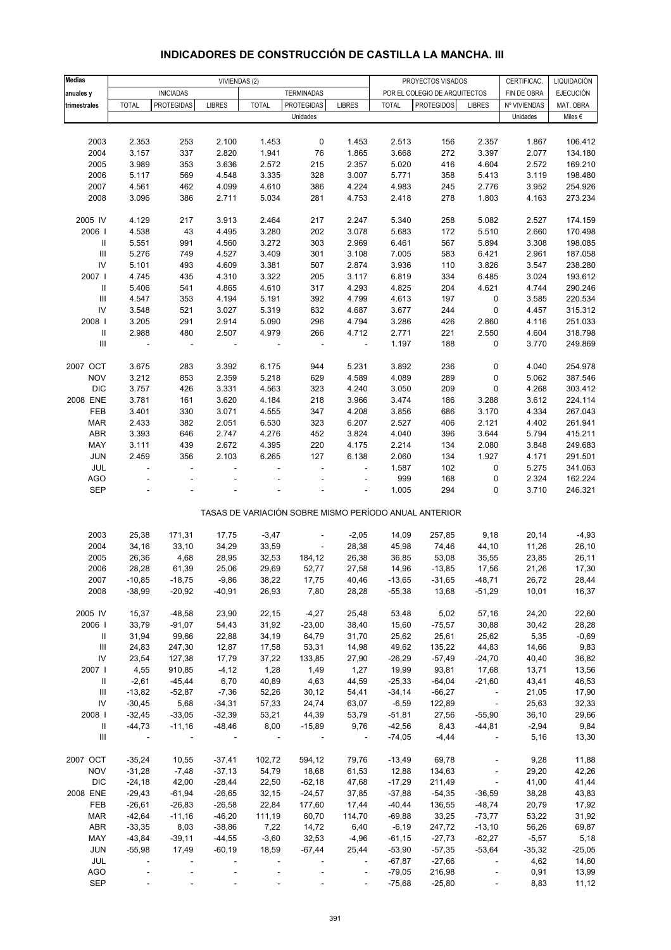| <b>Medias</b>                      |                |                          | VIVIENDAS (2)            |              |                   |                          |              | PROYECTOS VISADOS                                     |                          | CERTIFICAC.  | LIQUIDACIÓN      |
|------------------------------------|----------------|--------------------------|--------------------------|--------------|-------------------|--------------------------|--------------|-------------------------------------------------------|--------------------------|--------------|------------------|
|                                    |                | <b>INICIADAS</b>         |                          |              | <b>TERMINADAS</b> |                          |              | POR EL COLEGIO DE ARQUITECTOS                         |                          | FIN DE OBRA  | <b>EJECUCIÓN</b> |
| anuales y                          |                | <b>PROTEGIDAS</b>        |                          |              | <b>PROTEGIDAS</b> |                          |              | <b>PROTEGIDOS</b>                                     |                          |              |                  |
| trimestrales                       | <b>TOTAL</b>   |                          | <b>LIBRES</b>            | <b>TOTAL</b> |                   | <b>LIBRES</b>            | <b>TOTAL</b> |                                                       | <b>LIBRES</b>            | Nº VIVIENDAS | MAT. OBRA        |
|                                    |                |                          |                          |              | Unidades          |                          |              |                                                       |                          | Unidades     | Miles $\epsilon$ |
|                                    |                |                          |                          |              |                   |                          |              |                                                       |                          |              |                  |
| 2003                               | 2.353          | 253                      | 2.100                    | 1.453        | 0                 | 1.453                    | 2.513        | 156                                                   | 2.357                    | 1.867        | 106.412          |
| 2004                               | 3.157          | 337                      | 2.820                    | 1.941        | 76                | 1.865                    | 3.668        | 272                                                   | 3.397                    | 2.077        | 134.180          |
| 2005                               | 3.989          | 353                      | 3.636                    | 2.572        | 215               | 2.357                    | 5.020        | 416                                                   | 4.604                    | 2.572        | 169.210          |
| 2006                               | 5.117          | 569                      | 4.548                    | 3.335        | 328               | 3.007                    | 5.771        | 358                                                   | 5.413                    | 3.119        | 198.480          |
| 2007                               | 4.561          | 462                      | 4.099                    | 4.610        | 386               | 4.224                    | 4.983        | 245                                                   | 2.776                    | 3.952        | 254.926          |
| 2008                               | 3.096          | 386                      | 2.711                    | 5.034        | 281               | 4.753                    | 2.418        | 278                                                   | 1.803                    | 4.163        | 273.234          |
|                                    |                |                          |                          |              |                   |                          |              |                                                       |                          |              |                  |
| 2005 IV                            | 4.129          | 217                      | 3.913                    | 2.464        | 217               | 2.247                    | 5.340        | 258                                                   | 5.082                    | 2.527        | 174.159          |
| 2006                               | 4.538          | 43                       | 4.495                    | 3.280        | 202               | 3.078                    | 5.683        | 172                                                   | 5.510                    | 2.660        | 170.498          |
| Ш                                  | 5.551          | 991                      | 4.560                    | 3.272        | 303               | 2.969                    | 6.461        | 567                                                   | 5.894                    | 3.308        | 198.085          |
| $\ensuremath{\mathsf{III}}\xspace$ | 5.276          | 749                      | 4.527                    | 3.409        | 301               | 3.108                    | 7.005        | 583                                                   | 6.421                    | 2.961        | 187.058          |
| ${\sf IV}$                         | 5.101          | 493                      | 4.609                    | 3.381        | 507               | 2.874                    | 3.936        | 110                                                   | 3.826                    | 3.547        | 238.280          |
| 2007                               | 4.745          | 435                      | 4.310                    | 3.322        | 205               | 3.117                    | 6.819        | 334                                                   | 6.485                    | 3.024        | 193.612          |
| Ш                                  | 5.406          | 541                      | 4.865                    | 4.610        | 317               | 4.293                    | 4.825        | 204                                                   | 4.621                    | 4.744        | 290.246          |
| $\ensuremath{\mathsf{III}}\xspace$ |                | 353                      |                          |              | 392               | 4.799                    |              | 197                                                   |                          | 3.585        | 220.534          |
|                                    | 4.547          |                          | 4.194                    | 5.191        |                   |                          | 4.613        |                                                       | $\pmb{0}$                |              |                  |
| IV                                 | 3.548          | 521                      | 3.027                    | 5.319        | 632               | 4.687                    | 3.677        | 244                                                   | $\pmb{0}$                | 4.457        | 315.312          |
| 2008                               | 3.205          | 291                      | 2.914                    | 5.090        | 296               | 4.794                    | 3.286        | 426                                                   | 2.860                    | 4.116        | 251.033          |
| $\ensuremath{\mathsf{II}}$         | 2.988          | 480                      | 2.507                    | 4.979        | 266               | 4.712                    | 2.771        | 221                                                   | 2.550                    | 4.604        | 318.798          |
| $\ensuremath{\mathsf{III}}\xspace$ | $\overline{a}$ | $\overline{\phantom{a}}$ | $\overline{\phantom{a}}$ |              | $\overline{a}$    | $\blacksquare$           | 1.197        | 188                                                   | 0                        | 3.770        | 249.869          |
|                                    |                |                          |                          |              |                   |                          |              |                                                       |                          |              |                  |
| 2007 OCT                           | 3.675          | 283                      | 3.392                    | 6.175        | 944               | 5.231                    | 3.892        | 236                                                   | 0                        | 4.040        | 254.978          |
| <b>NOV</b>                         | 3.212          | 853                      | 2.359                    | 5.218        | 629               | 4.589                    | 4.089        | 289                                                   | 0                        | 5.062        | 387.546          |
| <b>DIC</b>                         | 3.757          | 426                      | 3.331                    | 4.563        | 323               | 4.240                    | 3.050        | 209                                                   | 0                        | 4.268        | 303.412          |
| 2008 ENE                           | 3.781          | 161                      | 3.620                    | 4.184        | 218               | 3.966                    | 3.474        | 186                                                   | 3.288                    | 3.612        | 224.114          |
| FEB                                | 3.401          | 330                      | 3.071                    | 4.555        | 347               | 4.208                    | 3.856        | 686                                                   | 3.170                    | 4.334        | 267.043          |
| <b>MAR</b>                         | 2.433          | 382                      | 2.051                    | 6.530        | 323               | 6.207                    | 2.527        | 406                                                   | 2.121                    | 4.402        | 261.941          |
|                                    |                |                          |                          |              |                   | 3.824                    |              |                                                       | 3.644                    | 5.794        | 415.211          |
| ABR                                | 3.393          | 646                      | 2.747                    | 4.276        | 452               |                          | 4.040        | 396                                                   |                          |              |                  |
| MAY                                | 3.111          | 439                      | 2.672                    | 4.395        | 220               | 4.175                    | 2.214        | 134                                                   | 2.080                    | 3.848        | 249.683          |
| JUN                                | 2.459          | 356                      | 2.103                    | 6.265        | 127               | 6.138                    | 2.060        | 134                                                   | 1.927                    | 4.171        | 291.501          |
| JUL                                | ÷,             | $\overline{a}$           |                          |              | ÷,                | ÷,                       | 1.587        | 102                                                   | $\pmb{0}$                | 5.275        | 341.063          |
| AGO                                |                |                          |                          |              |                   | L,                       | 999          | 168                                                   | 0                        | 2.324        | 162.224          |
| <b>SEP</b>                         |                |                          |                          |              |                   |                          | 1.005        | 294                                                   | 0                        | 3.710        | 246.321          |
|                                    |                |                          |                          |              |                   |                          |              |                                                       |                          |              |                  |
|                                    |                |                          |                          |              |                   |                          |              | TASAS DE VARIACIÓN SOBRE MISMO PERÍODO ANUAL ANTERIOR |                          |              |                  |
|                                    |                |                          |                          |              |                   |                          |              |                                                       |                          |              |                  |
| 2003                               | 25,38          | 171,31                   | 17,75                    | $-3,47$      | ÷,                | $-2,05$                  | 14,09        | 257,85                                                | 9,18                     | 20,14        | $-4,93$          |
| 2004                               | 34,16          | 33,10                    | 34,29                    | 33,59        | $\overline{a}$    | 28,38                    | 45,98        | 74,46                                                 | 44,10                    | 11,26        | 26,10            |
| 2005                               | 26,36          | 4,68                     | 28,95                    | 32,53        | 184,12            | 26,38                    | 36,85        | 53,08                                                 | 35,55                    | 23,85        | 26,11            |
| 2006                               | 28,28          | 61,39                    | 25,06                    | 29,69        | 52,77             | 27,58                    | 14,96        | $-13,85$                                              | 17,56                    | 21,26        | 17,30            |
| 2007                               | $-10,85$       | $-18,75$                 | $-9,86$                  | 38,22        | 17,75             | 40,46                    | $-13,65$     | $-31,65$                                              | $-48,71$                 | 26,72        | 28,44            |
| 2008                               | $-38,99$       | $-20,92$                 | $-40,91$                 | 26,93        | 7,80              | 28,28                    | $-55,38$     | 13,68                                                 | $-51,29$                 | 10,01        | 16,37            |
|                                    |                |                          |                          |              |                   |                          |              |                                                       |                          |              |                  |
| 2005 IV                            | 15,37          | $-48,58$                 | 23,90                    | 22,15        | $-4,27$           | 25,48                    | 53,48        | 5,02                                                  | 57,16                    | 24,20        | 22,60            |
| 2006 l                             | 33,79          | $-91,07$                 | 54,43                    | 31,92        | $-23,00$          | 38,40                    | 15,60        | $-75,57$                                              | 30,88                    | 30,42        | 28,28            |
| Ш                                  | 31,94          | 99,66                    | 22,88                    | 34,19        | 64,79             | 31,70                    | 25,62        | 25,61                                                 | 25,62                    | 5,35         | $-0,69$          |
|                                    |                |                          |                          |              |                   |                          |              |                                                       |                          |              |                  |
| $\ensuremath{\mathsf{III}}\xspace$ | 24,83          | 247,30                   | 12,87                    | 17,58        | 53,31             | 14,98                    | 49,62        | 135,22                                                | 44,83                    | 14,66        | 9,83             |
| ${\sf IV}$                         | 23,54          | 127,38                   | 17,79                    | 37,22        | 133,85            | 27,90                    | $-26,29$     | $-57,49$                                              | $-24,70$                 | 40,40        | 36,82            |
| 2007                               | 4,55           | 910,85                   | $-4, 12$                 | 1,28         | 1,49              | 1,27                     | 19,99        | 93,81                                                 | 17,68                    | 13,71        | 13,56            |
| Ш                                  | $-2,61$        | $-45,44$                 | 6,70                     | 40,89        | 4,63              | 44,59                    | $-25,33$     | $-64,04$                                              | $-21,60$                 | 43,41        | 46,53            |
| Ш                                  | $-13,82$       | $-52,87$                 | $-7,36$                  | 52,26        | 30, 12            | 54,41                    | $-34,14$     | $-66,27$                                              | $\overline{\phantom{a}}$ | 21,05        | 17,90            |
| ${\sf IV}$                         | $-30,45$       | 5,68                     | $-34,31$                 | 57,33        | 24,74             | 63,07                    | $-6,59$      | 122,89                                                | $\sim$                   | 25,63        | 32,33            |
| 2008                               | $-32,45$       | $-33,05$                 | $-32,39$                 | 53,21        | 44,39             | 53,79                    | $-51,81$     | 27,56                                                 | $-55,90$                 | 36, 10       | 29,66            |
| Ш                                  | $-44,73$       | $-11,16$                 | $-48,46$                 | 8,00         | $-15,89$          | 9,76                     | $-42,56$     | 8,43                                                  | $-44,81$                 | $-2,94$      | 9,84             |
| $\mathop{\mathsf{III}}\nolimits$   | $\sim$ $-$     | $\blacksquare$           | $\blacksquare$           |              |                   | $\sim$ $-$               | $-74,05$     | $-4,44$                                               | $\overline{\phantom{a}}$ | 5,16         | 13,30            |
|                                    |                |                          |                          |              |                   |                          |              |                                                       |                          |              |                  |
| 2007 OCT                           | $-35,24$       | 10,55                    | $-37,41$                 | 102,72       | 594,12            | 79,76                    | $-13,49$     | 69,78                                                 | $\overline{\phantom{a}}$ | 9,28         | 11,88            |
| <b>NOV</b>                         | $-31,28$       | $-7,48$                  | $-37,13$                 | 54,79        | 18,68             | 61,53                    | 12,88        | 134,63                                                | $\Box$                   | 29,20        | 42,26            |
| <b>DIC</b>                         | $-24,18$       | 42,00                    | $-28,44$                 | 22,50        | $-62,18$          | 47,68                    | $-17,29$     | 211,49                                                | $\overline{\phantom{a}}$ | 41,00        | 41,44            |
|                                    |                |                          |                          |              |                   |                          |              |                                                       |                          |              |                  |
| 2008 ENE                           | $-29,43$       | $-61,94$                 | $-26,65$                 | 32,15        | $-24,57$          | 37,85                    | $-37,88$     | $-54,35$                                              | $-36,59$                 | 38,28        | 43,83            |
| FEB                                | $-26,61$       | $-26,83$                 | $-26,58$                 | 22,84        | 177,60            | 17,44                    | $-40,44$     | 136,55                                                | $-48,74$                 | 20,79        | 17,92            |
| <b>MAR</b>                         | $-42,64$       | $-11,16$                 | $-46,20$                 | 111,19       | 60,70             | 114,70                   | $-69,88$     | 33,25                                                 | $-73,77$                 | 53,22        | 31,92            |
| ABR                                | $-33,35$       | 8,03                     | $-38,86$                 | 7,22         | 14,72             | 6,40                     | $-6,19$      | 247,72                                                | $-13,10$                 | 56,26        | 69,87            |
| MAY                                | $-43,84$       | $-39,11$                 | $-44,55$                 | $-3,60$      | 32,53             | $-4,96$                  | $-61,15$     | $-27,73$                                              | $-62,27$                 | $-5,57$      | 5,18             |
| <b>JUN</b>                         | $-55,98$       | 17,49                    | $-60,19$                 | 18,59        | $-67,44$          | 25,44                    | $-53,90$     | $-57,35$                                              | $-53,64$                 | $-35,32$     | $-25,05$         |
| JUL                                | $\frac{1}{2}$  | $\blacksquare$           |                          |              |                   | $\overline{\phantom{a}}$ | $-67,87$     | $-27,66$                                              | $\overline{\phantom{a}}$ | 4,62         | 14,60            |
| AGO                                |                |                          |                          |              |                   | $\blacksquare$           | $-79,05$     | 216,98                                                | $\overline{\phantom{a}}$ | 0,91         | 13,99            |
| <b>SEP</b>                         |                |                          |                          |              |                   |                          | $-75,68$     | $-25,80$                                              |                          | 8,83         | 11,12            |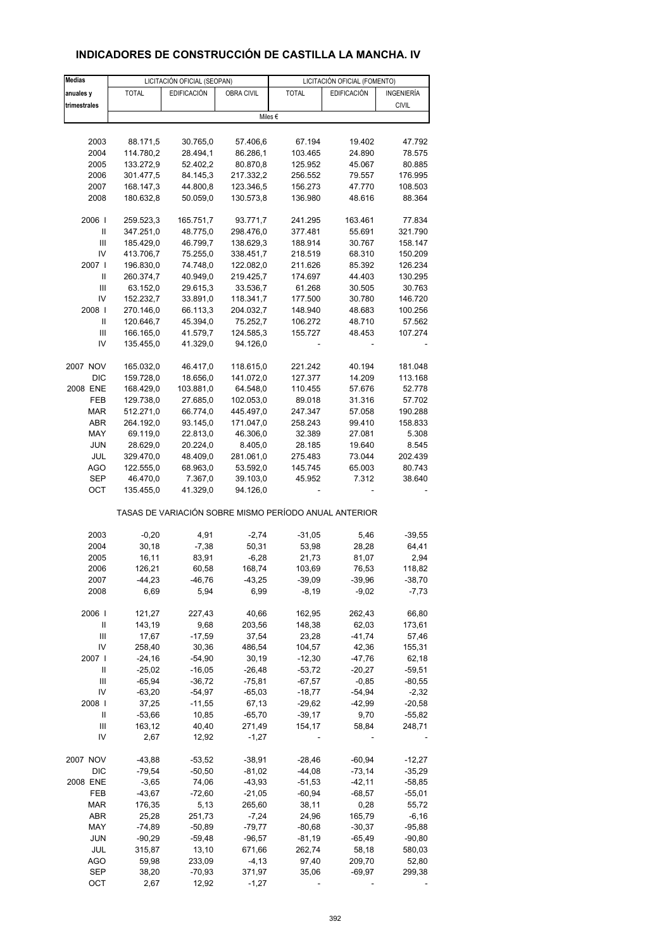# **INDICADORES DE CONSTRUCCIÓN DE CASTILLA LA MANCHA. IV**

| <b>Medias</b> |                        | LICITACIÓN OFICIAL (SEOPAN) |                        | LICITACIÓN OFICIAL (FOMENTO) |                                                       |              |  |  |
|---------------|------------------------|-----------------------------|------------------------|------------------------------|-------------------------------------------------------|--------------|--|--|
| anuales y     | <b>TOTAL</b>           | <b>EDIFICACIÓN</b>          | OBRA CIVIL             | <b>TOTAL</b>                 | EDIFICACIÓN                                           | INGENIERÍA   |  |  |
| trimestrales  |                        |                             |                        |                              |                                                       | <b>CIVIL</b> |  |  |
|               |                        |                             |                        | Miles €                      |                                                       |              |  |  |
|               |                        |                             |                        |                              |                                                       |              |  |  |
| 2003          | 88.171,5               | 30.765,0                    | 57.406,6               | 67.194                       | 19.402                                                | 47.792       |  |  |
| 2004          | 114.780,2              | 28.494,1                    | 86.286,1               | 103.465                      | 24.890                                                | 78.575       |  |  |
| 2005          | 133.272,9              | 52.402,2                    | 80.870,8               | 125.952                      | 45.067                                                | 80.885       |  |  |
| 2006          | 301.477,5              | 84.145,3                    | 217.332,2              | 256.552                      | 79.557                                                | 176.995      |  |  |
| 2007          | 168.147,3              | 44.800,8                    | 123.346,5              | 156.273                      | 47.770                                                | 108.503      |  |  |
|               |                        |                             |                        |                              |                                                       |              |  |  |
| 2008          | 180.632,8              | 50.059,0                    | 130.573,8              | 136.980                      | 48.616                                                | 88.364       |  |  |
| 2006          | 259.523,3              | 165.751,7                   | 93.771,7               | 241.295                      | 163.461                                               | 77.834       |  |  |
| Ш             | 347.251,0              | 48.775,0                    | 298.476,0              | 377.481                      | 55.691                                                | 321.790      |  |  |
| Ш             | 185.429,0              | 46.799,7                    | 138.629,3              | 188.914                      | 30.767                                                | 158.147      |  |  |
| IV            | 413.706,7              | 75.255,0                    | 338.451,7              | 218.519                      | 68.310                                                | 150.209      |  |  |
| 2007 l        | 196.830,0              | 74.748,0                    | 122.082,0              | 211.626                      | 85.392                                                | 126.234      |  |  |
| Ш             | 260.374,7              | 40.949,0                    | 219.425,7              | 174.697                      | 44.403                                                | 130.295      |  |  |
| Ш             |                        |                             |                        |                              |                                                       |              |  |  |
| IV            | 63.152,0               | 29.615,3                    | 33.536,7               | 61.268                       | 30.505                                                | 30.763       |  |  |
|               | 152.232,7              | 33.891,0                    | 118.341,7              | 177.500                      | 30.780                                                | 146.720      |  |  |
| 2008          | 270.146,0              | 66.113,3                    | 204.032,7              | 148.940                      | 48.683                                                | 100.256      |  |  |
| $\sf II$      | 120.646,7              | 45.394,0                    | 75.252,7               | 106.272                      | 48.710                                                | 57.562       |  |  |
| Ш             | 166.165,0              | 41.579,7                    | 124.585,3              | 155.727                      | 48.453                                                | 107.274      |  |  |
| IV            | 135.455,0              | 41.329,0                    | 94.126,0               |                              |                                                       |              |  |  |
| 2007 NOV      |                        |                             |                        |                              | 40.194                                                | 181.048      |  |  |
| <b>DIC</b>    | 165.032,0<br>159.728,0 | 46.417,0<br>18.656,0        | 118.615,0<br>141.072,0 | 221.242<br>127.377           | 14.209                                                | 113.168      |  |  |
|               |                        |                             |                        |                              |                                                       |              |  |  |
| 2008 ENE      | 168.429,0              | 103.881,0                   | 64.548,0               | 110.455                      | 57.676                                                | 52.778       |  |  |
| FEB           | 129.738,0              | 27.685,0                    | 102.053,0              | 89.018                       | 31.316                                                | 57.702       |  |  |
| <b>MAR</b>    | 512.271,0              | 66.774,0                    | 445.497,0              | 247.347                      | 57.058                                                | 190.288      |  |  |
| ABR           | 264.192,0              | 93.145,0                    | 171.047,0              | 258.243                      | 99.410                                                | 158.833      |  |  |
| MAY           | 69.119,0               | 22.813,0                    | 46.306,0               | 32.389                       | 27.081                                                | 5.308        |  |  |
| <b>JUN</b>    | 28.629,0               | 20.224,0                    | 8.405,0                | 28.185                       | 19.640                                                | 8.545        |  |  |
| JUL           | 329.470,0              | 48.409,0                    | 281.061,0              | 275.483                      | 73.044                                                | 202.439      |  |  |
| AGO           | 122.555,0              | 68.963,0                    | 53.592,0               | 145.745                      | 65.003                                                | 80.743       |  |  |
| SEP           | 46.470,0               | 7.367,0                     | 39.103,0               | 45.952                       | 7.312                                                 | 38.640       |  |  |
| ОСТ           | 135.455,0              | 41.329,0                    | 94.126,0               |                              |                                                       |              |  |  |
|               |                        |                             |                        |                              | TASAS DE VARIACIÓN SOBRE MISMO PERÍODO ANUAL ANTERIOR |              |  |  |
| 2003          | $-0,20$                | 4,91                        | $-2,74$                | $-31,05$                     |                                                       | $-39,55$     |  |  |
|               |                        | $-7,38$                     |                        |                              | 5,46<br>28,28                                         |              |  |  |
| 2004          | 30,18                  |                             | 50,31                  | 53,98                        |                                                       | 64,41        |  |  |
| 2005          | 16,11                  | 83,91                       | $-6,28$                | 21,73                        | 81,07                                                 | 2,94         |  |  |
| 2006          | 126,21                 | 60,58                       | 168,74                 | 103,69                       | 76,53                                                 | 118,82       |  |  |
| 2007          | $-44,23$               | $-46,76$                    | $-43,25$               | $-39,09$                     | $-39,96$                                              | $-38,70$     |  |  |
| 2008          | 6,69                   | 5,94                        | 6,99                   | $-8,19$                      | $-9,02$                                               | $-7,73$      |  |  |
| 2006          | 121,27                 | 227,43                      | 40,66                  | 162,95                       | 262,43                                                | 66,80        |  |  |
| Ш             | 143,19                 | 9,68                        | 203,56                 | 148,38                       | 62,03                                                 | 173,61       |  |  |
| Ш             | 17,67                  | $-17,59$                    | 37,54                  | 23,28                        | $-41,74$                                              | 57,46        |  |  |
| IV            | 258,40                 | 30,36                       | 486,54                 | 104,57                       | 42,36                                                 | 155,31       |  |  |
| 2007 l        | $-24,16$               | $-54,90$                    | 30,19                  | $-12,30$                     | $-47,76$                                              | 62,18        |  |  |
| Ш             | $-25,02$               | $-16,05$                    | $-26,48$               | $-53,72$                     | $-20,27$                                              | $-59,51$     |  |  |
| Ш             | $-65,94$               | $-36,72$                    | $-75,81$               | $-67,57$                     | $-0,85$                                               | $-80,55$     |  |  |
| IV            | $-63,20$               | $-54,97$                    | $-65,03$               | $-18,77$                     | $-54,94$                                              | $-2,32$      |  |  |
| 2008          | 37,25                  | $-11,55$                    | 67,13                  | $-29,62$                     | $-42,99$                                              | $-20,58$     |  |  |
| Ш             | $-53,66$               | 10,85                       | $-65,70$               | $-39,17$                     | 9,70                                                  | $-55,82$     |  |  |
| Ш             | 163,12                 | 40,40                       | 271,49                 | 154,17                       | 58,84                                                 | 248,71       |  |  |
| IV            | 2,67                   | 12,92                       | $-1,27$                |                              |                                                       |              |  |  |
|               |                        |                             |                        |                              |                                                       |              |  |  |
| 2007 NOV      | $-43,88$               | $-53,52$                    | $-38,91$               | $-28,46$                     | $-60,94$                                              | $-12,27$     |  |  |
| DIC           | $-79,54$               | $-50,50$                    | $-81,02$               | $-44,08$                     | $-73,14$                                              | $-35,29$     |  |  |
| 2008 ENE      | $-3,65$                | 74,06                       | $-43,93$               | $-51,53$                     | $-42,11$                                              | $-58,85$     |  |  |
| FEB           | $-43,67$               | $-72,60$                    | $-21,05$               | $-60,94$                     | $-68,57$                                              | $-55,01$     |  |  |
| MAR           | 176,35                 | 5,13                        | 265,60                 | 38,11                        | 0,28                                                  | 55,72        |  |  |
| ABR           | 25,28                  | 251,73                      | $-7,24$                | 24,96                        | 165,79                                                | $-6,16$      |  |  |
| MAY           | $-74,89$               | $-50,89$                    | $-79,77$               | $-80,68$                     | $-30,37$                                              | $-95,88$     |  |  |
| <b>JUN</b>    | $-90,29$               | $-59,48$                    | $-96,57$               | $-81,19$                     | $-65,49$                                              | $-90,80$     |  |  |
| JUL           | 315,87                 | 13,10                       | 671,66                 | 262,74                       | 58,18                                                 | 580,03       |  |  |
| <b>AGO</b>    | 59,98                  | 233,09                      | $-4, 13$               | 97,40                        | 209,70                                                | 52,80        |  |  |
| <b>SEP</b>    | 38,20                  | $-70,93$                    | 371,97                 | 35,06                        | $-69,97$                                              | 299,38       |  |  |
| OCT           | 2,67                   | 12,92                       | $-1,27$                |                              |                                                       |              |  |  |
|               |                        |                             |                        |                              |                                                       |              |  |  |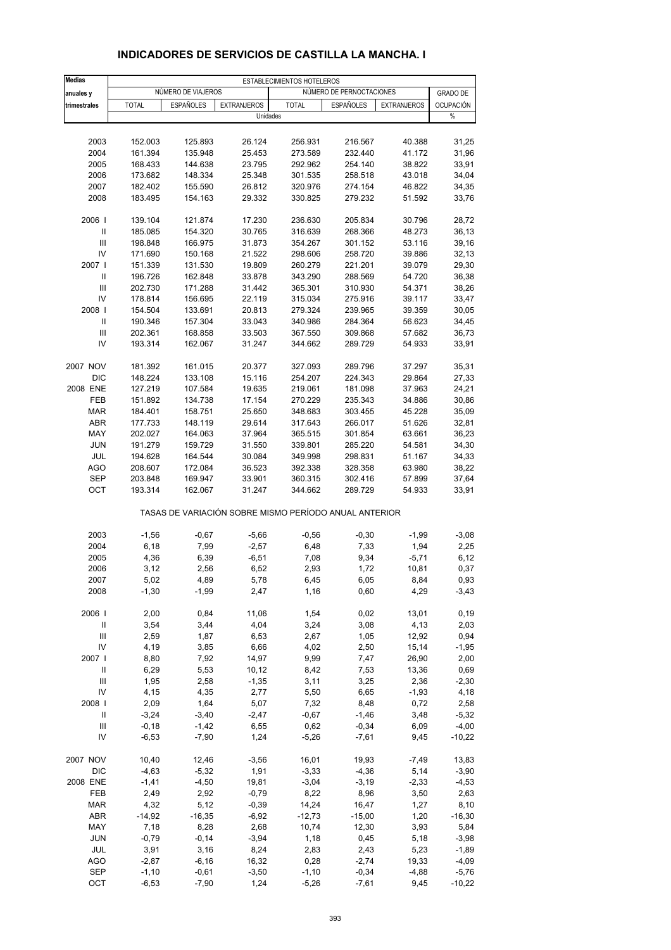| <b>Medias</b>              | ESTABLECIMIENTOS HOTELEROS |                    |                                                       |                    |                          |                    |                       |  |
|----------------------------|----------------------------|--------------------|-------------------------------------------------------|--------------------|--------------------------|--------------------|-----------------------|--|
| anuales y                  |                            | NUMERO DE VIAJEROS |                                                       |                    | NÚMERO DE PERNOCTACIONES |                    | <b>GRADO DE</b>       |  |
| trimestrales               | <b>TOTAL</b>               | <b>ESPAÑOLES</b>   | <b>EXTRANJEROS</b>                                    | <b>TOTAL</b>       | <b>ESPAÑOLES</b>         | <b>EXTRANJEROS</b> | <b>OCUPACIÓN</b><br>% |  |
|                            |                            |                    | Unidades                                              |                    |                          |                    |                       |  |
| 2003                       | 152.003                    | 125.893            | 26.124                                                | 256.931            | 216.567                  | 40.388             | 31,25                 |  |
| 2004                       | 161.394                    | 135.948            | 25.453                                                | 273.589            | 232.440                  | 41.172             | 31,96                 |  |
| 2005                       | 168.433                    | 144.638            | 23.795                                                | 292.962            | 254.140                  | 38.822             | 33,91                 |  |
| 2006                       | 173.682                    | 148.334            | 25.348                                                | 301.535            | 258.518                  | 43.018             | 34,04                 |  |
| 2007                       | 182.402                    | 155.590            | 26.812                                                | 320.976            | 274.154                  | 46.822             | 34,35                 |  |
| 2008                       | 183.495                    | 154.163            | 29.332                                                | 330.825            | 279.232                  | 51.592             | 33,76                 |  |
| 2006                       | 139.104                    | 121.874            | 17.230                                                | 236.630            | 205.834                  | 30.796             | 28,72                 |  |
| Ш                          | 185.085                    | 154.320            | 30.765                                                | 316.639            | 268.366                  | 48.273             | 36,13                 |  |
| Ш                          | 198.848                    | 166.975            | 31.873                                                | 354.267            | 301.152                  | 53.116             | 39,16                 |  |
| IV<br>2007 l               | 171.690                    | 150.168            | 21.522                                                | 298.606            | 258.720                  | 39.886             | 32,13                 |  |
| $\mathbf{II}$              | 151.339<br>196.726         | 131.530<br>162.848 | 19.809<br>33.878                                      | 260.279<br>343.290 | 221.201<br>288.569       | 39.079<br>54.720   | 29,30<br>36,38        |  |
| Ш                          | 202.730                    | 171.288            | 31.442                                                | 365.301            | 310.930                  | 54.371             | 38,26                 |  |
| IV                         | 178.814                    | 156.695            | 22.119                                                | 315.034            | 275.916                  | 39.117             | 33,47                 |  |
| 2008                       | 154.504                    | 133.691            | 20.813                                                | 279.324            | 239.965                  | 39.359             | 30,05                 |  |
| $\ensuremath{\mathsf{II}}$ | 190.346                    | 157.304            | 33.043                                                | 340.986            | 284.364                  | 56.623             | 34,45                 |  |
| Ш                          | 202.361                    | 168.858            | 33.503                                                | 367.550            | 309.868                  | 57.682             | 36,73                 |  |
| IV                         | 193.314                    | 162.067            | 31.247                                                | 344.662            | 289.729                  | 54.933             | 33,91                 |  |
| 2007 NOV                   | 181.392                    | 161.015            | 20.377                                                | 327.093            | 289.796                  | 37.297             | 35,31                 |  |
| <b>DIC</b>                 | 148.224                    | 133.108            | 15.116                                                | 254.207            | 224.343                  | 29.864             | 27,33                 |  |
| 2008 ENE                   | 127.219                    | 107.584            | 19.635                                                | 219.061            | 181.098                  | 37.963             | 24,21                 |  |
| FEB                        | 151.892                    | 134.738            | 17.154                                                | 270.229            | 235.343                  | 34.886             | 30,86                 |  |
| <b>MAR</b>                 | 184.401                    | 158.751            | 25.650                                                | 348.683            | 303.455                  | 45.228             | 35,09                 |  |
| ABR                        | 177.733                    | 148.119            | 29.614                                                | 317.643            | 266.017                  | 51.626             | 32,81                 |  |
| MAY                        | 202.027                    | 164.063            | 37.964                                                | 365.515            | 301.854                  | 63.661             | 36,23                 |  |
| <b>JUN</b>                 | 191.279                    | 159.729            | 31.550                                                | 339.801            | 285.220                  | 54.581             | 34,30                 |  |
| JUL                        | 194.628                    | 164.544            | 30.084                                                | 349.998            | 298.831                  | 51.167             | 34,33                 |  |
| <b>AGO</b><br>SEP          | 208.607<br>203.848         | 172.084<br>169.947 | 36.523<br>33.901                                      | 392.338<br>360.315 | 328.358<br>302.416       | 63.980<br>57.899   | 38,22<br>37,64        |  |
| OCT                        | 193.314                    | 162.067            | 31.247                                                | 344.662            | 289.729                  | 54.933             | 33,91                 |  |
|                            |                            |                    | TASAS DE VARIACIÓN SOBRE MISMO PERÍODO ANUAL ANTERIOR |                    |                          |                    |                       |  |
| 2003                       | $-1,56$                    | $-0,67$            | $-5,66$                                               | $-0,56$            | $-0,30$                  | $-1,99$            | $-3,08$               |  |
| 2004                       | 6, 18                      | 7,99               | $-2,57$                                               | 6,48               | 7,33                     | 1,94               | 2,25                  |  |
| 2005                       | 4,36                       | 6,39               | $-6,51$                                               | 7,08               | 9,34                     | $-5,71$            | 6,12                  |  |
| 2006                       | 3,12                       | 2,56               | 6,52                                                  | 2,93               | 1,72                     | 10,81              | 0,37                  |  |
| 2007                       | 5,02                       | 4,89               | 5,78                                                  | 6,45               | 6,05                     | 8,84               | 0,93                  |  |
| 2008                       | $-1,30$                    | $-1,99$            | 2,47                                                  | 1,16               | 0,60                     | 4,29               | $-3,43$               |  |
| 2006                       | 2,00                       | 0,84               | 11,06                                                 | 1,54               | 0,02                     | 13,01              | 0, 19                 |  |
| $\ensuremath{\mathsf{II}}$ | 3,54                       | 3,44               | 4,04                                                  | 3,24               | 3,08                     | 4,13               | 2,03                  |  |
| $\mathsf{III}$             | 2,59                       | 1,87               | 6,53                                                  | 2,67               | 1,05                     | 12,92              | 0,94                  |  |
| IV                         | 4,19                       | 3,85               | 6,66                                                  | 4,02               | 2,50                     | 15,14              | $-1,95$               |  |
| 2007                       | 8,80                       | 7,92               | 14,97                                                 | 9,99               | 7,47                     | 26,90              | 2,00                  |  |
| Ш<br>Ш                     | 6,29<br>1,95               | 5,53<br>2,58       | 10, 12<br>$-1,35$                                     | 8,42<br>3,11       | 7,53<br>3,25             | 13,36<br>2,36      | 0,69<br>$-2,30$       |  |
| IV                         | 4,15                       | 4,35               | 2,77                                                  | 5,50               | 6,65                     | $-1,93$            | 4,18                  |  |
| 2008                       | 2,09                       | 1,64               | 5,07                                                  | 7,32               | 8,48                     | 0,72               | 2,58                  |  |
| Ш                          | $-3,24$                    | $-3,40$            | $-2,47$                                               | $-0,67$            | $-1,46$                  | 3,48               | $-5,32$               |  |
| Ш                          | $-0,18$                    | $-1,42$            | 6,55                                                  | 0,62               | $-0,34$                  | 6,09               | $-4,00$               |  |
| IV                         | $-6,53$                    | $-7,90$            | 1,24                                                  | $-5,26$            | $-7,61$                  | 9,45               | $-10,22$              |  |
| 2007 NOV                   | 10,40                      | 12,46              | $-3,56$                                               | 16,01              | 19,93                    | $-7,49$            | 13,83                 |  |
| DIC                        | $-4,63$                    | $-5,32$            | 1,91                                                  | $-3,33$            | $-4,36$                  | 5,14               | $-3,90$               |  |
| 2008 ENE                   | $-1,41$                    | $-4,50$            | 19,81                                                 | $-3,04$            | $-3,19$                  | $-2,33$            | $-4,53$               |  |
| FEB                        | 2,49                       | 2,92               | $-0,79$                                               | 8,22               | 8,96                     | 3,50               | 2,63                  |  |
| <b>MAR</b>                 | 4,32                       | 5,12               | $-0,39$                                               | 14,24              | 16,47                    | 1,27               | 8,10                  |  |
| ABR                        | $-14,92$                   | $-16,35$           | $-6,92$                                               | $-12,73$           | $-15,00$                 | 1,20               | $-16,30$              |  |
| MAY                        | 7,18                       | 8,28               | 2,68                                                  | 10,74              | 12,30                    | 3,93               | 5,84                  |  |
| <b>JUN</b><br>JUL          | $-0,79$<br>3,91            | $-0,14$<br>3,16    | $-3,94$<br>8,24                                       | 1,18<br>2,83       | 0,45<br>2,43             | 5,18<br>5,23       | $-3,98$<br>$-1,89$    |  |
| AGO                        | $-2,87$                    | $-6, 16$           | 16,32                                                 | 0,28               | $-2,74$                  | 19,33              | $-4,09$               |  |
| <b>SEP</b>                 | $-1,10$                    | $-0,61$            | $-3,50$                                               | $-1,10$            | $-0,34$                  | $-4,88$            | $-5,76$               |  |
| OCT                        | $-6,53$                    | $-7,90$            | 1,24                                                  | $-5,26$            | $-7,61$                  | 9,45               | $-10,22$              |  |

#### **INDICADORES DE SERVICIOS DE CASTILLA LA MANCHA. I**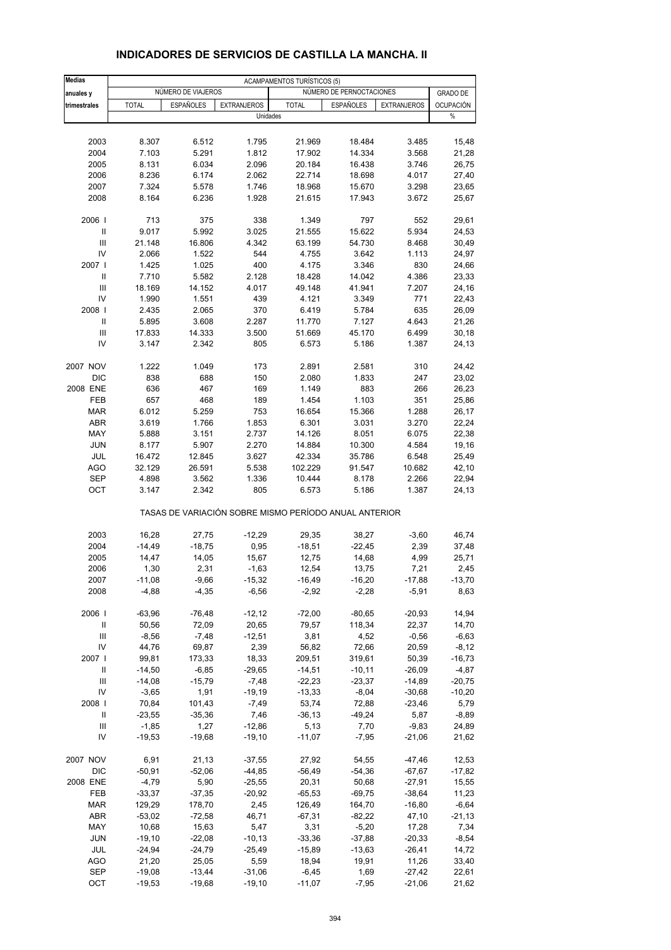| <b>Medias</b>              | <b>ACAMPAMENTOS TURÍSTICOS (5)</b> |                    |                                                       |              |                          |                    |                       |  |  |  |
|----------------------------|------------------------------------|--------------------|-------------------------------------------------------|--------------|--------------------------|--------------------|-----------------------|--|--|--|
| anuales y                  |                                    | NÚMERO DE VIAJEROS |                                                       |              | NÚMERO DE PERNOCTACIONES |                    | <b>GRADO DE</b>       |  |  |  |
| trimestrales               | <b>TOTAL</b>                       | <b>ESPAÑOLES</b>   | <b>EXTRANJEROS</b><br>Unidades                        | <b>TOTAL</b> | <b>ESPAÑOLES</b>         | <b>EXTRANJEROS</b> | <b>OCUPACIÓN</b><br>% |  |  |  |
|                            |                                    |                    |                                                       |              |                          |                    |                       |  |  |  |
| 2003                       | 8.307                              | 6.512              | 1.795                                                 | 21.969       | 18.484                   | 3.485              | 15,48                 |  |  |  |
| 2004                       | 7.103                              | 5.291              | 1.812                                                 | 17.902       | 14.334                   | 3.568              | 21,28                 |  |  |  |
| 2005                       | 8.131                              | 6.034              | 2.096                                                 | 20.184       | 16.438                   | 3.746              | 26,75                 |  |  |  |
| 2006                       | 8.236                              | 6.174              | 2.062                                                 | 22.714       | 18.698                   | 4.017              | 27,40                 |  |  |  |
| 2007                       | 7.324                              | 5.578              | 1.746                                                 | 18.968       | 15.670                   | 3.298              | 23,65                 |  |  |  |
| 2008                       | 8.164                              | 6.236              | 1.928                                                 | 21.615       | 17.943                   | 3.672              | 25,67                 |  |  |  |
| 2006                       | 713                                | 375                | 338                                                   | 1.349        | 797                      | 552                | 29,61                 |  |  |  |
| Ш                          | 9.017                              | 5.992              | 3.025                                                 | 21.555       | 15.622                   | 5.934              | 24,53                 |  |  |  |
| Ш                          | 21.148                             | 16.806             | 4.342                                                 | 63.199       | 54.730                   | 8.468              | 30,49                 |  |  |  |
| IV                         | 2.066                              | 1.522              | 544                                                   | 4.755        | 3.642                    | 1.113              | 24,97                 |  |  |  |
| 2007 l                     | 1.425                              | 1.025              | 400                                                   | 4.175        | 3.346                    | 830                | 24,66                 |  |  |  |
| Ш                          | 7.710                              | 5.582              | 2.128                                                 | 18.428       | 14.042                   | 4.386              | 23,33                 |  |  |  |
| Ш                          | 18.169                             | 14.152             | 4.017                                                 | 49.148       | 41.941                   | 7.207              | 24,16                 |  |  |  |
| IV                         | 1.990                              | 1.551              | 439                                                   | 4.121        | 3.349                    | 771                | 22,43                 |  |  |  |
| 2008                       | 2.435                              | 2.065              | 370                                                   | 6.419        | 5.784                    | 635                | 26,09                 |  |  |  |
| Ш                          | 5.895                              | 3.608              | 2.287                                                 | 11.770       | 7.127                    | 4.643              | 21,26                 |  |  |  |
| Ш                          | 17.833                             | 14.333             | 3.500                                                 | 51.669       | 45.170                   | 6.499              | 30,18                 |  |  |  |
| IV                         | 3.147                              | 2.342              | 805                                                   | 6.573        | 5.186                    | 1.387              | 24,13                 |  |  |  |
| 2007 NOV                   | 1.222                              | 1.049              | 173                                                   | 2.891        | 2.581                    | 310                | 24,42                 |  |  |  |
| DIC                        | 838                                | 688                | 150                                                   | 2.080        | 1.833                    | 247                | 23,02                 |  |  |  |
| 2008 ENE                   | 636                                | 467                | 169                                                   | 1.149        | 883                      | 266                | 26,23                 |  |  |  |
| FEB                        | 657                                | 468                | 189                                                   | 1.454        | 1.103                    | 351                | 25,86                 |  |  |  |
| <b>MAR</b>                 | 6.012                              | 5.259              | 753                                                   | 16.654       | 15.366                   | 1.288              | 26,17                 |  |  |  |
| <b>ABR</b>                 | 3.619                              | 1.766              | 1.853                                                 | 6.301        | 3.031                    | 3.270              | 22,24                 |  |  |  |
| MAY                        | 5.888                              | 3.151              | 2.737                                                 | 14.126       | 8.051                    | 6.075              | 22,38                 |  |  |  |
| <b>JUN</b>                 | 8.177                              | 5.907              | 2.270                                                 | 14.884       | 10.300                   | 4.584              | 19,16                 |  |  |  |
| JUL                        | 16.472                             | 12.845             | 3.627                                                 | 42.334       | 35.786                   | 6.548              | 25,49                 |  |  |  |
| <b>AGO</b>                 | 32.129                             | 26.591             | 5.538                                                 | 102.229      | 91.547                   | 10.682             | 42,10                 |  |  |  |
| <b>SEP</b>                 | 4.898                              | 3.562              | 1.336                                                 | 10.444       | 8.178                    | 2.266              | 22,94                 |  |  |  |
| OCT                        | 3.147                              | 2.342              | 805                                                   | 6.573        | 5.186                    | 1.387              | 24,13                 |  |  |  |
|                            |                                    |                    | TASAS DE VARIACIÓN SOBRE MISMO PERÍODO ANUAL ANTERIOR |              |                          |                    |                       |  |  |  |
| 2003                       | 16,28                              | 27,75              | $-12,29$                                              | 29,35        | 38,27                    | $-3,60$            | 46,74                 |  |  |  |
| 2004                       | $-14,49$                           | $-18,75$           | 0,95                                                  | $-18,51$     | $-22,45$                 | 2,39               | 37,48                 |  |  |  |
| 2005                       | 14,47                              | 14,05              | 15,67                                                 | 12,75        | 14,68                    | 4,99               | 25,71                 |  |  |  |
| 2006                       | 1,30                               | 2,31               | $-1,63$                                               | 12,54        | 13,75                    | 7,21               | 2,45                  |  |  |  |
| 2007                       | $-11,08$                           | $-9,66$            | $-15,32$                                              | $-16,49$     | $-16,20$                 | $-17,88$           | $-13,70$              |  |  |  |
| 2008                       | $-4,88$                            | $-4,35$            | $-6,56$                                               | $-2,92$      | $-2,28$                  | $-5,91$            | 8,63                  |  |  |  |
| 2006                       | $-63,96$                           | $-76,48$           | $-12, 12$                                             | $-72,00$     | $-80,65$                 | $-20,93$           | 14,94                 |  |  |  |
| $\ensuremath{\mathsf{II}}$ | 50,56                              | 72,09              | 20,65                                                 | 79,57        | 118,34                   | 22,37              | 14,70                 |  |  |  |
| Ш                          | $-8,56$                            | $-7,48$            | $-12,51$                                              | 3,81         | 4,52                     | $-0,56$            | $-6,63$               |  |  |  |
| IV                         | 44,76                              | 69,87              | 2,39                                                  | 56,82        | 72,66                    | 20,59              | $-8,12$               |  |  |  |
| 2007                       | 99,81                              | 173,33             | 18,33                                                 | 209,51       | 319,61                   | 50,39              | $-16,73$              |  |  |  |
| Ш                          | $-14,50$                           | $-6,85$            | $-29,65$                                              | $-14,51$     | $-10,11$                 | $-26,09$           | $-4,87$               |  |  |  |
| Ш                          | $-14,08$                           | $-15,79$           | $-7,48$                                               | $-22,23$     | $-23,37$                 | $-14,89$           | $-20,75$              |  |  |  |
| IV                         | $-3,65$                            | 1,91               | $-19,19$                                              | $-13,33$     | $-8,04$                  | $-30,68$           | $-10,20$              |  |  |  |
| 2008                       | 70,84                              | 101,43             | $-7,49$                                               | 53,74        | 72,88                    | $-23,46$           | 5,79                  |  |  |  |
| Ш                          | $-23,55$                           | $-35,36$           | 7,46                                                  | $-36, 13$    | $-49,24$                 | 5,87               | $-8,89$               |  |  |  |
| Ш                          | $-1,85$                            | 1,27               | $-12,86$                                              | 5,13         | 7,70                     | $-9,83$            | 24,89                 |  |  |  |
| IV                         | $-19,53$                           | $-19,68$           | $-19,10$                                              | $-11,07$     | $-7,95$                  | $-21,06$           | 21,62                 |  |  |  |
| 2007 NOV                   | 6,91                               | 21,13              | $-37,55$                                              | 27,92        | 54,55                    | $-47,46$           | 12,53                 |  |  |  |
| DIC                        | $-50,91$                           | $-52,06$           | $-44,85$                                              | $-56,49$     | $-54,36$                 | $-67,67$           | $-17,82$              |  |  |  |
| 2008 ENE                   | $-4,79$                            | 5,90               | $-25,55$                                              | 20,31        | 50,68                    | $-27,91$           | 15,55                 |  |  |  |
| FEB                        | $-33,37$                           | $-37,35$           | $-20,92$                                              | $-65,53$     | $-69,75$                 | $-38,64$           | 11,23                 |  |  |  |
| <b>MAR</b>                 | 129,29                             | 178,70             | 2,45                                                  | 126,49       | 164,70                   | $-16,80$           | $-6,64$               |  |  |  |
| ABR                        | $-53,02$                           | $-72,58$           | 46,71                                                 | $-67,31$     | $-82,22$                 | 47,10              | $-21,13$              |  |  |  |
| MAY                        | 10,68                              | 15,63              | 5,47                                                  | 3,31         | $-5,20$                  | 17,28              | 7,34                  |  |  |  |
| <b>JUN</b>                 | $-19,10$                           | $-22,08$           | $-10, 13$                                             | $-33,36$     | $-37,88$                 | $-20,33$           | $-8,54$               |  |  |  |
| JUL                        | $-24,94$                           | $-24,79$           | $-25,49$                                              | $-15,89$     | $-13,63$                 | $-26,41$           | 14,72                 |  |  |  |
| <b>AGO</b>                 | 21,20                              | 25,05              | 5,59                                                  | 18,94        | 19,91                    | 11,26              | 33,40                 |  |  |  |
| <b>SEP</b>                 | $-19,08$                           | $-13,44$           | $-31,06$                                              | $-6,45$      | 1,69                     | $-27,42$           | 22,61                 |  |  |  |
| OCT                        | $-19,53$                           | $-19,68$           | $-19,10$                                              | $-11,07$     | $-7,95$                  | $-21,06$           | 21,62                 |  |  |  |

#### **INDICADORES DE SERVICIOS DE CASTILLA LA MANCHA. II**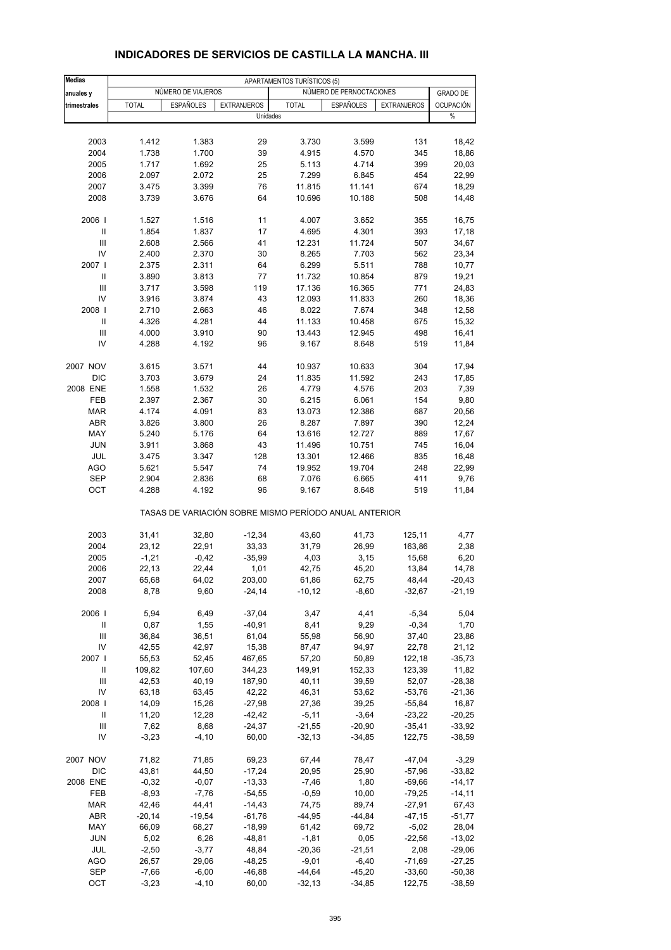| <b>Medias</b>                      |                  |                    |                      | APARTAMENTOS TURÍSTICOS (5) |                                                       |                      |                    |
|------------------------------------|------------------|--------------------|----------------------|-----------------------------|-------------------------------------------------------|----------------------|--------------------|
| anuales y                          |                  | NÚMERO DE VIAJEROS |                      |                             | NÚMERO DE PERNOCTACIONES                              |                      | <b>GRADO DE</b>    |
| trimestrales                       | <b>TOTAL</b>     | <b>ESPAÑOLES</b>   | <b>EXTRANJEROS</b>   | <b>TOTAL</b>                | <b>ESPAÑOLES</b>                                      | <b>EXTRANJEROS</b>   | OCUPACIÓN          |
|                                    |                  |                    | Unidades             |                             |                                                       |                      | $\%$               |
|                                    |                  |                    |                      |                             |                                                       |                      |                    |
| 2003                               | 1.412            | 1.383              | 29                   | 3.730                       | 3.599                                                 | 131                  | 18,42              |
| 2004                               | 1.738            | 1.700              | 39                   | 4.915                       | 4.570                                                 | 345                  | 18,86              |
| 2005                               | 1.717            | 1.692              | 25                   | 5.113                       | 4.714                                                 | 399                  | 20,03              |
| 2006                               | 2.097            | 2.072              | 25                   | 7.299                       | 6.845                                                 | 454                  | 22,99              |
| 2007                               | 3.475            | 3.399              | 76                   | 11.815                      | 11.141                                                | 674                  | 18,29              |
| 2008                               | 3.739            | 3.676              | 64                   | 10.696                      | 10.188                                                | 508                  | 14,48              |
| 2006                               | 1.527            | 1.516              | 11                   | 4.007                       | 3.652                                                 | 355                  | 16,75              |
| Ш                                  | 1.854            | 1.837              | 17                   | 4.695                       | 4.301                                                 | 393                  | 17,18              |
| Ш                                  | 2.608            | 2.566              | 41                   | 12.231                      | 11.724                                                | 507                  | 34,67              |
| IV                                 | 2.400            | 2.370              | 30                   | 8.265                       | 7.703                                                 | 562                  | 23,34              |
| 2007 l                             | 2.375            | 2.311              | 64                   | 6.299                       | 5.511                                                 | 788                  | 10,77              |
| Ш                                  | 3.890            | 3.813              | 77                   | 11.732                      | 10.854                                                | 879                  | 19,21              |
| Ш                                  | 3.717            | 3.598              | 119                  | 17.136                      | 16.365                                                | 771                  | 24,83              |
| IV                                 | 3.916            | 3.874              | 43                   | 12.093                      | 11.833                                                | 260                  | 18,36              |
| 2008                               | 2.710            | 2.663              | 46                   | 8.022                       | 7.674                                                 | 348                  | 12,58              |
| Ш                                  | 4.326            | 4.281              | 44                   | 11.133                      | 10.458                                                | 675                  | 15,32              |
| Ш                                  | 4.000            | 3.910              | 90                   | 13.443                      | 12.945                                                | 498                  | 16,41              |
| IV                                 | 4.288            | 4.192              | 96                   | 9.167                       | 8.648                                                 | 519                  | 11,84              |
| 2007 NOV                           | 3.615            | 3.571              | 44                   | 10.937                      | 10.633                                                | 304                  | 17,94              |
| <b>DIC</b>                         | 3.703            | 3.679              | 24                   | 11.835                      | 11.592                                                | 243                  | 17,85              |
| 2008 ENE                           | 1.558            | 1.532              | 26                   | 4.779                       | 4.576                                                 | 203                  | 7,39               |
| FEB                                | 2.397            | 2.367              | 30                   | 6.215                       | 6.061                                                 | 154                  | 9,80               |
| <b>MAR</b>                         | 4.174            | 4.091              | 83                   | 13.073                      | 12.386                                                | 687                  | 20,56              |
| <b>ABR</b>                         | 3.826            | 3.800              | 26                   | 8.287                       | 7.897                                                 | 390                  | 12,24              |
| MAY                                | 5.240            | 5.176              | 64                   | 13.616                      | 12.727                                                | 889                  | 17,67              |
| <b>JUN</b>                         | 3.911            | 3.868              | 43                   | 11.496                      | 10.751                                                | 745                  | 16,04              |
| JUL                                | 3.475            | 3.347              | 128                  | 13.301                      | 12.466                                                | 835                  | 16,48              |
| <b>AGO</b>                         | 5.621            | 5.547              | 74                   | 19.952                      | 19.704                                                | 248                  | 22,99              |
| <b>SEP</b>                         | 2.904            | 2.836              | 68                   | 7.076                       | 6.665                                                 | 411                  | 9,76               |
| OCT                                | 4.288            | 4.192              | 96                   | 9.167                       | 8.648                                                 | 519                  | 11,84              |
|                                    |                  |                    |                      |                             | TASAS DE VARIACIÓN SOBRE MISMO PERÍODO ANUAL ANTERIOR |                      |                    |
| 2003                               | 31,41            | 32,80              | $-12,34$             | 43,60                       | 41,73                                                 | 125,11               | 4,77               |
| 2004                               | 23,12            | 22,91              | 33,33                | 31,79                       | 26,99                                                 | 163,86               | 2,38               |
| 2005                               | $-1,21$          | $-0,42$            | $-35,99$             | 4,03                        | 3,15                                                  | 15,68                | 6,20               |
| 2006                               | 22,13            | 22,44              | 1,01                 | 42,75                       | 45,20                                                 | 13,84                | 14,78              |
| 2007                               | 65,68            | 64,02              | 203,00               | 61,86                       | 62,75                                                 | 48,44                | $-20,43$           |
| 2008                               | 8,78             | 9,60               | $-24,14$             | $-10,12$                    | $-8,60$                                               | $-32,67$             | $-21,19$           |
| 2006                               | 5,94             | 6,49               | $-37,04$             | 3,47                        | 4,41                                                  | $-5,34$              | 5,04               |
| $\ensuremath{\mathsf{II}}$         | 0,87             | 1,55               | $-40,91$             | 8,41                        | 9,29                                                  | $-0,34$              | 1,70               |
| $\ensuremath{\mathsf{III}}\xspace$ | 36,84            | 36,51              | 61,04                | 55,98                       | 56,90                                                 | 37,40                | 23,86              |
| IV                                 | 42,55            | 42,97              | 15,38                | 87,47                       | 94,97                                                 | 22,78                | 21,12              |
| 2007                               | 55,53            | 52,45              | 467,65               | 57,20                       | 50,89                                                 | 122,18               | $-35,73$           |
| Ш                                  | 109,82           | 107,60             | 344,23               | 149,91                      | 152,33                                                | 123,39               | 11,82              |
| Ш                                  | 42,53            | 40,19              | 187,90               | 40,11                       | 39,59                                                 | 52,07                | $-28,38$           |
| IV                                 | 63,18            | 63,45              | 42,22                | 46,31                       | 53,62                                                 | $-53,76$             | -21,36             |
| 2008                               | 14,09            | 15,26              | $-27,98$             | 27,36                       | 39,25                                                 | $-55,84$             | 16,87              |
| Ш                                  | 11,20            | 12,28              | $-42,42$             | $-5,11$                     | $-3,64$                                               | $-23,22$             | $-20,25$           |
| Ш                                  | 7,62             | 8,68               | $-24,37$             | $-21,55$                    | $-20,90$                                              | $-35,41$             | $-33,92$           |
| IV                                 | $-3,23$          | $-4,10$            | 60,00                | $-32,13$                    | $-34,85$                                              | 122,75               | $-38,59$           |
| 2007 NOV                           | 71,82            | 71,85              | 69,23                | 67,44                       | 78,47                                                 | $-47,04$             | $-3,29$            |
| DIC                                | 43,81            | 44,50              | $-17,24$             | 20,95                       | 25,90                                                 | $-57,96$             | $-33,82$           |
| 2008 ENE                           | $-0,32$          | $-0,07$            | $-13,33$             | $-7,46$                     | 1,80                                                  | $-69,66$             | $-14, 17$          |
| FEB                                | $-8,93$          | $-7,76$            | $-54,55$             | $-0,59$                     | 10,00                                                 | $-79,25$             | -14,11             |
| <b>MAR</b>                         | 42,46            | 44,41              | $-14,43$             | 74,75                       | 89,74                                                 | $-27,91$             | 67,43              |
| ABR                                | $-20,14$         | $-19,54$           | $-61,76$             | $-44,95$                    | $-44,84$                                              | $-47,15$             | $-51,77$           |
| MAY                                | 66,09            | 68,27              | $-18,99$             | 61,42                       | 69,72                                                 | $-5,02$              | 28,04              |
| JUN                                | 5,02             | 6,26               | $-48,81$             | $-1,81$                     | 0,05                                                  | $-22,56$             | $-13,02$           |
| JUL                                | $-2,50$          | $-3,77$            | 48,84                | $-20,36$                    | $-21,51$                                              | 2,08                 | $-29,06$           |
| AGO<br><b>SEP</b>                  | 26,57<br>$-7,66$ | 29,06<br>$-6,00$   | $-48,25$<br>$-46,88$ | $-9,01$<br>$-44,64$         | $-6,40$<br>$-45,20$                                   | $-71,69$<br>$-33,60$ | -27,25<br>$-50,38$ |
| OCT                                | $-3,23$          | $-4, 10$           | 60,00                | $-32,13$                    | $-34,85$                                              | 122,75               | $-38,59$           |
|                                    |                  |                    |                      |                             |                                                       |                      |                    |

#### **INDICADORES DE SERVICIOS DE CASTILLA LA MANCHA. III**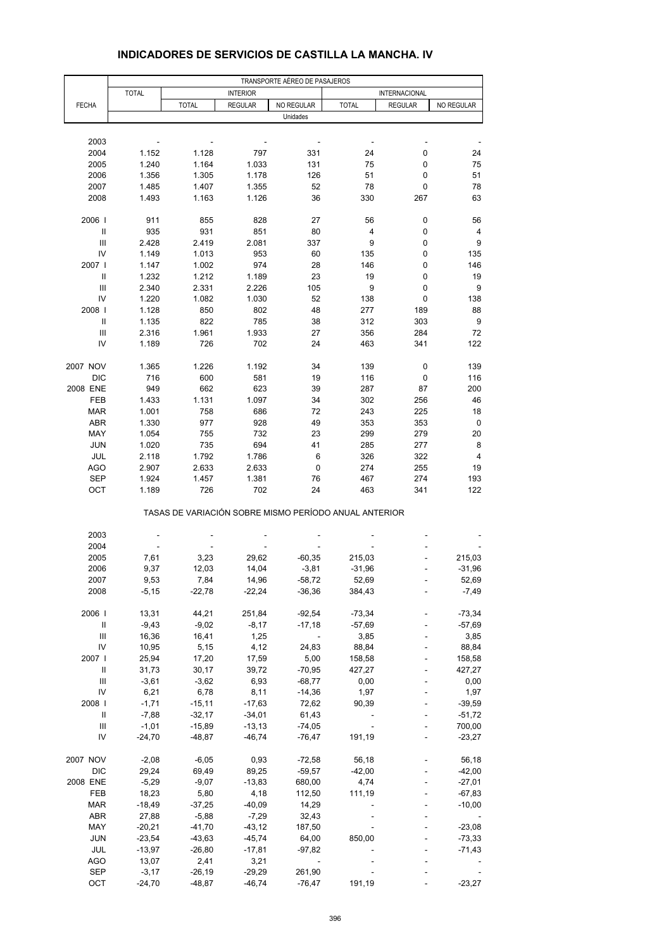|                                         | TRANSPORTE AÉREO DE PASAJEROS |                                                       |                 |                          |                |                |                |  |  |  |
|-----------------------------------------|-------------------------------|-------------------------------------------------------|-----------------|--------------------------|----------------|----------------|----------------|--|--|--|
|                                         | <b>TOTAL</b>                  |                                                       | <b>INTERIOR</b> |                          |                | INTERNACIONAL  |                |  |  |  |
| <b>FECHA</b>                            |                               | <b>TOTAL</b>                                          | <b>REGULAR</b>  | NO REGULAR               | <b>TOTAL</b>   | <b>REGULAR</b> | NO REGULAR     |  |  |  |
|                                         |                               |                                                       |                 | Unidades                 |                |                |                |  |  |  |
|                                         |                               |                                                       |                 |                          |                |                |                |  |  |  |
| 2003                                    |                               |                                                       |                 |                          |                |                |                |  |  |  |
| 2004                                    | 1.152                         | 1.128                                                 | 797             | 331                      | 24             | 0              | 24             |  |  |  |
| 2005                                    | 1.240                         | 1.164                                                 | 1.033           | 131                      | 75             | 0              | 75             |  |  |  |
| 2006                                    | 1.356                         | 1.305                                                 | 1.178           | 126                      | 51             | 0              | 51             |  |  |  |
| 2007                                    | 1.485                         | 1.407                                                 | 1.355           | 52                       | 78             | 0              | 78             |  |  |  |
| 2008                                    | 1.493                         | 1.163                                                 | 1.126           | 36                       | 330            | 267            | 63             |  |  |  |
|                                         |                               |                                                       |                 |                          |                |                |                |  |  |  |
| 2006                                    | 911                           | 855                                                   | 828             | 27                       | 56             | 0              | 56             |  |  |  |
| Ш                                       | 935                           | 931                                                   | 851             | 80                       | $\overline{4}$ | 0              | $\overline{4}$ |  |  |  |
| Ш                                       | 2.428                         | 2.419                                                 | 2.081           | 337                      | 9              | 0              | 9              |  |  |  |
| IV                                      | 1.149                         | 1.013                                                 | 953             | 60                       | 135            | 0              | 135            |  |  |  |
| 2007 l                                  | 1.147                         | 1.002                                                 | 974             | 28                       | 146            | 0              | 146            |  |  |  |
| Ш                                       | 1.232                         | 1.212                                                 | 1.189           | 23                       | 19             | 0              | 19             |  |  |  |
| $\mathsf{III}$                          | 2.340                         | 2.331                                                 | 2.226           | 105                      | 9              | 0              | 9              |  |  |  |
| IV                                      | 1.220                         | 1.082                                                 | 1.030           | 52                       | 138            | 0              | 138            |  |  |  |
| 2008                                    | 1.128                         | 850                                                   | 802             | 48                       | 277            | 189            | 88             |  |  |  |
| Ш                                       | 1.135                         | 822                                                   | 785             | 38                       | 312            | 303            | 9              |  |  |  |
| Ш                                       | 2.316                         | 1.961                                                 | 1.933           | 27                       | 356            | 284            | 72             |  |  |  |
| IV                                      | 1.189                         | 726                                                   | 702             | 24                       | 463            | 341            | 122            |  |  |  |
|                                         |                               |                                                       |                 |                          |                |                |                |  |  |  |
| 2007 NOV                                | 1.365                         | 1.226                                                 | 1.192           | 34                       | 139            | 0              | 139            |  |  |  |
| <b>DIC</b>                              | 716                           | 600                                                   | 581             | 19                       | 116            | 0              | 116            |  |  |  |
| 2008 ENE                                | 949                           | 662                                                   | 623             | 39                       | 287            | 87             | 200            |  |  |  |
| FEB                                     | 1.433                         | 1.131                                                 | 1.097           | 34                       | 302            | 256            | 46             |  |  |  |
| <b>MAR</b>                              | 1.001                         | 758                                                   | 686             | 72                       | 243            | 225            | 18             |  |  |  |
| <b>ABR</b>                              | 1.330                         | 977                                                   | 928             | 49                       | 353            | 353            | 0              |  |  |  |
|                                         |                               |                                                       |                 |                          |                | 279            |                |  |  |  |
| MAY                                     | 1.054                         | 755                                                   | 732             | 23                       | 299            |                | 20             |  |  |  |
| <b>JUN</b>                              | 1.020                         | 735                                                   | 694             | 41                       | 285            | 277            | 8              |  |  |  |
| JUL                                     | 2.118                         | 1.792                                                 | 1.786           | 6                        | 326            | 322            | 4              |  |  |  |
| AGO                                     | 2.907                         | 2.633                                                 | 2.633           | 0                        | 274            | 255            | 19             |  |  |  |
| <b>SEP</b>                              | 1.924                         | 1.457                                                 | 1.381           | 76                       | 467            | 274            | 193            |  |  |  |
| OCT                                     | 1.189                         | 726                                                   | 702             | 24                       | 463            | 341            | 122            |  |  |  |
|                                         |                               | TASAS DE VARIACIÓN SOBRE MISMO PERÍODO ANUAL ANTERIOR |                 |                          |                |                |                |  |  |  |
| 2003                                    |                               |                                                       |                 |                          |                |                |                |  |  |  |
| 2004                                    |                               |                                                       |                 |                          |                |                |                |  |  |  |
| 2005                                    | 7,61                          | 3,23                                                  | 29,62           | $-60,35$                 | 215,03         |                | 215,03         |  |  |  |
| 2006                                    | 9,37                          | 12,03                                                 | 14,04           | $-3,81$                  | $-31,96$       |                | $-31,96$       |  |  |  |
| 2007                                    | 9,53                          | 7,84                                                  | 14,96           | $-58,72$                 | 52,69          |                | 52,69          |  |  |  |
| 2008                                    | $-5,15$                       | $-22,78$                                              | $-22,24$        | $-36,36$                 | 384,43         |                | $-7,49$        |  |  |  |
|                                         |                               |                                                       |                 |                          |                |                |                |  |  |  |
| 2006                                    | 13,31                         | 44,21                                                 | 251,84          | $-92,54$                 | $-73,34$       |                | $-73,34$       |  |  |  |
| $\ensuremath{\mathsf{II}}$              | $-9,43$                       | $-9,02$                                               | $-8,17$         | $-17,18$                 | $-57,69$       |                | $-57,69$       |  |  |  |
| Ш                                       | 16,36                         | 16,41                                                 | 1,25            |                          | 3,85           |                | 3,85           |  |  |  |
| IV                                      | 10,95                         | 5,15                                                  | 4,12            | 24,83                    | 88,84          |                | 88,84          |  |  |  |
| 2007                                    | 25,94                         | 17,20                                                 | 17,59           | 5,00                     | 158,58         |                | 158,58         |  |  |  |
|                                         |                               |                                                       |                 |                          | 427,27         |                | 427,27         |  |  |  |
| Ш<br>$\ensuremath{\mathsf{III}}\xspace$ | 31,73                         | 30,17                                                 | 39,72           | $-70,95$                 |                |                |                |  |  |  |
|                                         | $-3,61$                       | $-3,62$                                               | 6,93            | $-68,77$                 | 0,00           |                | 0,00           |  |  |  |
| IV                                      | 6,21                          | 6,78                                                  | 8,11            | $-14,36$                 | 1,97           |                | 1,97           |  |  |  |
| 2008                                    | $-1,71$                       | $-15,11$                                              | $-17,63$        | 72,62                    | 90,39          |                | $-39,59$       |  |  |  |
| $\ensuremath{\mathsf{II}}$              | $-7,88$                       | $-32,17$                                              | $-34,01$        | 61,43                    |                |                | $-51,72$       |  |  |  |
| $\mathsf{III}$                          | $-1,01$                       | $-15,89$                                              | $-13,13$        | $-74,05$                 |                |                | 700,00         |  |  |  |
| IV                                      | $-24,70$                      | $-48,87$                                              | $-46,74$        | $-76,47$                 | 191,19         |                | $-23,27$       |  |  |  |
| 2007 NOV                                | $-2,08$                       | $-6,05$                                               | 0,93            | $-72,58$                 | 56,18          |                | 56,18          |  |  |  |
| DIC                                     | 29,24                         | 69,49                                                 | 89,25           | $-59,57$                 | $-42,00$       |                | $-42,00$       |  |  |  |
| 2008 ENE                                | $-5,29$                       | $-9,07$                                               | $-13,83$        | 680,00                   | 4,74           |                | $-27,01$       |  |  |  |
| FEB                                     | 18,23                         | 5,80                                                  | 4,18            | 112,50                   | 111,19         |                | $-67,83$       |  |  |  |
| <b>MAR</b>                              | $-18,49$                      | $-37,25$                                              | $-40,09$        | 14,29                    |                |                | $-10,00$       |  |  |  |
| ABR                                     | 27,88                         | $-5,88$                                               | $-7,29$         | 32,43                    |                |                |                |  |  |  |
| MAY                                     | $-20,21$                      | $-41,70$                                              | $-43, 12$       | 187,50                   |                |                | $-23,08$       |  |  |  |
| <b>JUN</b>                              | $-23,54$                      | $-43,63$                                              | $-45,74$        | 64,00                    | 850,00         |                | -73,33         |  |  |  |
| JUL                                     | $-13,97$                      | $-26,80$                                              | $-17,81$        | $-97,82$                 |                |                | $-71,43$       |  |  |  |
| AGO                                     | 13,07                         | 2,41                                                  | 3,21            | $\overline{\phantom{a}}$ |                |                |                |  |  |  |
| <b>SEP</b>                              | $-3,17$                       | $-26,19$                                              | $-29,29$        | 261,90                   |                |                |                |  |  |  |
| OCT                                     | $-24,70$                      | $-48,87$                                              | $-46,74$        | $-76,47$                 | 191,19         |                | $-23,27$       |  |  |  |

#### **INDICADORES DE SERVICIOS DE CASTILLA LA MANCHA. IV**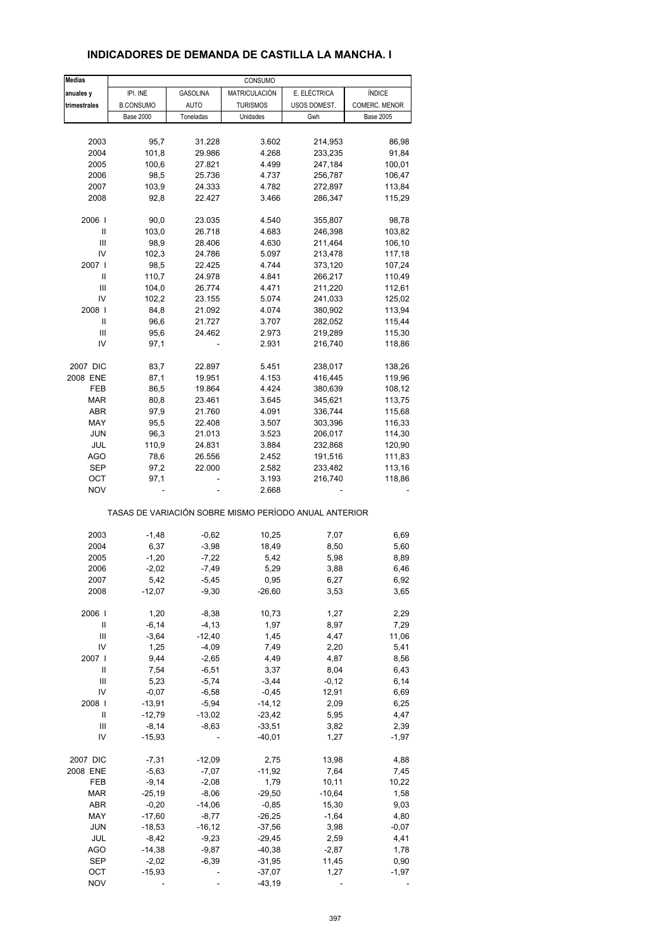| <b>Medias</b> |                  |                 | CONSUMO         |                                                       |                  |
|---------------|------------------|-----------------|-----------------|-------------------------------------------------------|------------------|
| anuales y     | IPI. INE         | <b>GASOLINA</b> | MATRICULACIÓN   | E. ELÉCTRICA                                          | <b>ÍNDICE</b>    |
| trimestrales  | <b>B.CONSUMO</b> | <b>AUTO</b>     | <b>TURISMOS</b> | USOS DOMEST.                                          | COMERC. MENOR    |
|               | <b>Base 2000</b> | Toneladas       | Unidades        | Gwh                                                   | <b>Base 2005</b> |
|               |                  |                 |                 |                                                       |                  |
| 2003          | 95,7             | 31.228          | 3.602           | 214,953                                               | 86,98            |
|               |                  |                 |                 | 233,235                                               | 91,84            |
| 2004          | 101,8            | 29.986          | 4.268           |                                                       |                  |
| 2005          | 100,6            | 27.821          | 4.499           | 247,184                                               | 100,01           |
| 2006          | 98,5             | 25.736          | 4.737           | 256,787                                               | 106,47           |
| 2007          | 103,9            | 24.333          | 4.782           | 272,897                                               | 113,84           |
| 2008          | 92,8             | 22.427          | 3.466           | 286,347                                               | 115,29           |
|               |                  |                 |                 |                                                       |                  |
| 2006          | 90,0             | 23.035          | 4.540           | 355,807                                               | 98,78            |
| Ш             | 103,0            | 26.718          | 4.683           | 246,398                                               | 103,82           |
| Ш             | 98,9             | 28.406          | 4.630           | 211,464                                               | 106,10           |
| IV            | 102,3            | 24.786          | 5.097           | 213,478                                               | 117,18           |
| 2007          | 98,5             | 22.425          | 4.744           | 373,120                                               | 107,24           |
| Ш             | 110,7            | 24.978          | 4.841           | 266,217                                               | 110,49           |
| Ш             |                  |                 |                 |                                                       |                  |
|               | 104,0            | 26.774          | 4.471           | 211,220                                               | 112,61           |
| IV            | 102,2            | 23.155          | 5.074           | 241,033                                               | 125,02           |
| 2008          | 84,8             | 21.092          | 4.074           | 380,902                                               | 113,94           |
| Ш             | 96,6             | 21.727          | 3.707           | 282,052                                               | 115,44           |
| Ш             | 95,6             | 24.462          | 2.973           | 219,289                                               | 115,30           |
| IV            | 97,1             |                 | 2.931           | 216,740                                               | 118,86           |
|               |                  |                 |                 |                                                       |                  |
| 2007 DIC      | 83,7             | 22.897          | 5.451           | 238,017                                               | 138,26           |
| 2008 ENE      | 87,1             | 19.951          | 4.153           | 416,445                                               | 119,96           |
| FEB           | 86,5             | 19.864          | 4.424           | 380,639                                               | 108,12           |
| <b>MAR</b>    | 80,8             | 23.461          | 3.645           | 345,621                                               | 113,75           |
|               |                  |                 |                 |                                                       |                  |
| <b>ABR</b>    | 97,9             | 21.760          | 4.091           | 336,744                                               | 115,68           |
| MAY           | 95,5             | 22.408          | 3.507           | 303,396                                               | 116,33           |
| <b>JUN</b>    | 96,3             | 21.013          | 3.523           | 206,017                                               | 114,30           |
| <b>JUL</b>    | 110,9            | 24.831          | 3.884           | 232,868                                               | 120,90           |
| <b>AGO</b>    | 78,6             | 26.556          | 2.452           | 191,516                                               | 111,83           |
| <b>SEP</b>    | 97,2             | 22.000          | 2.582           | 233,482                                               | 113,16           |
| OCT           | 97,1             |                 | 3.193           | 216,740                                               | 118,86           |
| <b>NOV</b>    |                  |                 | 2.668           |                                                       |                  |
|               |                  |                 |                 | TASAS DE VARIACIÓN SOBRE MISMO PERÍODO ANUAL ANTERIOR |                  |
|               |                  |                 |                 |                                                       |                  |
| 2003          | $-1,48$          | $-0,62$         | 10,25           | 7,07                                                  | 6,69             |
| 2004          | 6,37             | $-3,98$         | 18,49           | 8,50                                                  | 5,60             |
| 2005          | $-1,20$          | $-7,22$         | 5,42            | 5,98                                                  | 8,89             |
| 2006          | $-2,02$          | $-7,49$         | 5,29            | 3,88                                                  | 6,46             |
| 2007          | 5,42             | $-5,45$         | 0,95            | 6,27                                                  | 6,92             |
| 2008          | $-12,07$         | $-9,30$         | $-26,60$        | 3,53                                                  | 3,65             |
|               |                  |                 |                 |                                                       |                  |
| 2006          | 1,20             | $-8,38$         | 10,73           | 1,27                                                  | 2,29             |
| Ш             | $-6, 14$         | $-4, 13$        | 1,97            | 8,97                                                  | 7,29             |
| Ш             | $-3,64$          | $-12,40$        | 1,45            | 4,47                                                  | 11,06            |
| IV            | 1,25             | $-4,09$         | 7,49            | 2,20                                                  | 5,41             |
| 2007          | 9,44             | $-2,65$         | 4,49            | 4,87                                                  | 8,56             |
| Ш             | 7,54             | $-6,51$         | 3,37            | 8,04                                                  | 6,43             |
| Ш             | 5,23             | $-5,74$         | $-3,44$         | $-0,12$                                               | 6,14             |
|               |                  |                 |                 |                                                       |                  |
| IV            | $-0,07$          | $-6,58$         | $-0,45$         | 12,91                                                 | 6,69             |
| 2008          | $-13,91$         | $-5,94$         | $-14,12$        | 2,09                                                  | 6,25             |
| Ш             | $-12,79$         | $-13,02$        | $-23,42$        | 5,95                                                  | 4,47             |
| Ш             | $-8,14$          | $-8,63$         | $-33,51$        | 3,82                                                  | 2,39             |
| IV            | $-15,93$         |                 | $-40,01$        | 1,27                                                  | $-1,97$          |
|               |                  |                 |                 |                                                       |                  |
| 2007 DIC      | $-7,31$          | $-12,09$        | 2,75            | 13,98                                                 | 4,88             |
| 2008 ENE      | $-5,63$          | $-7,07$         | $-11,92$        | 7,64                                                  | 7,45             |
| FEB           | $-9,14$          | $-2,08$         | 1,79            | 10, 11                                                | 10,22            |
| MAR           | $-25,19$         | $-8,06$         | $-29,50$        | $-10,64$                                              | 1,58             |
| ABR           | $-0,20$          | $-14,06$        | $-0,85$         | 15,30                                                 | 9,03             |
| MAY           | $-17,60$         | $-8,77$         | $-26,25$        | $-1,64$                                               | 4,80             |
|               |                  |                 |                 |                                                       |                  |
| <b>JUN</b>    | $-18,53$         | $-16, 12$       | $-37,56$        | 3,98                                                  | $-0,07$          |
| JUL           | $-8,42$          | $-9,23$         | $-29,45$        | 2,59                                                  | 4,41             |
| <b>AGO</b>    | $-14,38$         | $-9,87$         | $-40,38$        | $-2,87$                                               | 1,78             |
| <b>SEP</b>    | $-2,02$          | $-6,39$         | $-31,95$        | 11,45                                                 | 0,90             |
| OCT           | $-15,93$         |                 | $-37,07$        | 1,27                                                  | $-1,97$          |
| <b>NOV</b>    |                  |                 | $-43,19$        |                                                       |                  |

#### **INDICADORES DE DEMANDA DE CASTILLA LA MANCHA. I**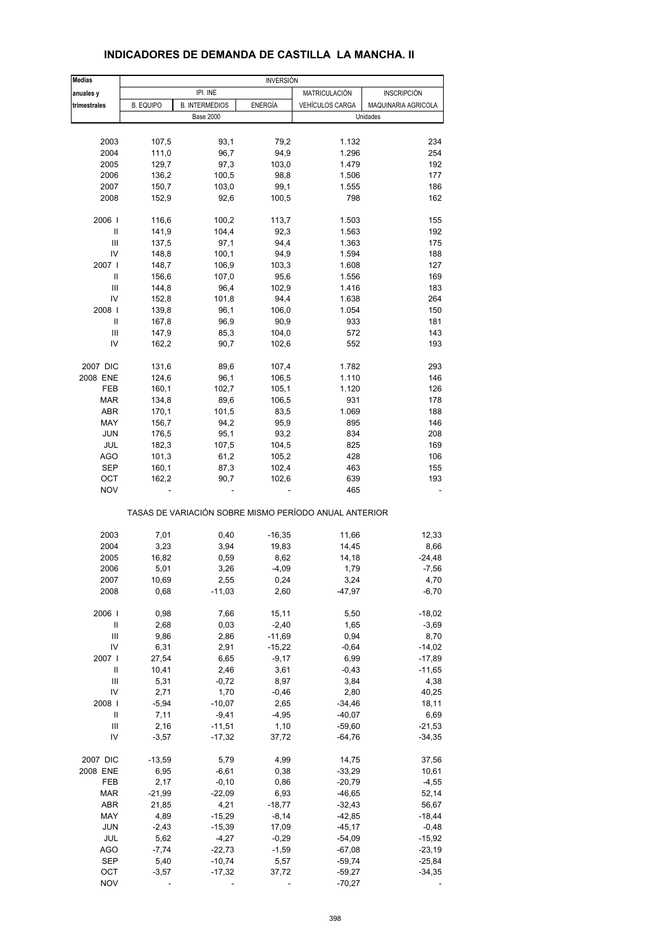| <b>Medias</b>                      | <b>INVERSIÓN</b> |                       |                |                                                       |                     |  |  |
|------------------------------------|------------------|-----------------------|----------------|-------------------------------------------------------|---------------------|--|--|
| anuales y                          |                  | IPI. INE              |                | MATRICULACIÓN                                         | <b>INSCRIPCIÓN</b>  |  |  |
| trimestrales                       | <b>B. EQUIPO</b> | <b>B. INTERMEDIOS</b> | <b>ENERGÍA</b> | <b>VEHÍCULOS CARGA</b>                                | MAQUINARIA AGRICOLA |  |  |
|                                    |                  | <b>Base 2000</b>      |                |                                                       | Unidades            |  |  |
|                                    |                  |                       |                |                                                       |                     |  |  |
| 2003                               | 107,5            | 93,1                  | 79,2           | 1.132                                                 | 234                 |  |  |
| 2004                               | 111,0            | 96,7                  | 94,9           | 1.296                                                 | 254                 |  |  |
| 2005                               | 129,7            | 97,3                  | 103,0          | 1.479                                                 | 192                 |  |  |
| 2006                               | 136,2            | 100,5                 | 98,8           | 1.506                                                 | 177                 |  |  |
| 2007                               | 150,7            | 103,0                 | 99,1           | 1.555                                                 | 186                 |  |  |
| 2008                               | 152,9            | 92,6                  | 100,5          | 798                                                   | 162                 |  |  |
|                                    |                  |                       |                |                                                       |                     |  |  |
| 2006                               | 116,6            | 100,2                 | 113,7          | 1.503                                                 | 155                 |  |  |
| $\mathbf{I}$                       | 141,9            | 104,4                 | 92,3           | 1.563                                                 | 192                 |  |  |
| Ш                                  | 137,5            | 97,1                  | 94,4           | 1.363                                                 | 175                 |  |  |
| IV                                 | 148,8            | 100,1                 | 94,9           | 1.594                                                 | 188                 |  |  |
| 2007 l                             | 148,7            | 106,9                 | 103,3          | 1.608                                                 | 127                 |  |  |
| Ш                                  | 156,6            | 107,0                 | 95,6           | 1.556                                                 | 169                 |  |  |
| Ш                                  | 144,8            | 96,4                  | 102,9          | 1.416                                                 | 183                 |  |  |
| IV                                 | 152,8            | 101,8                 | 94,4           | 1.638                                                 | 264                 |  |  |
| 2008                               | 139,8            | 96,1                  | 106,0          | 1.054                                                 | 150                 |  |  |
| Ш                                  | 167,8            | 96,9                  | 90,9           | 933                                                   | 181                 |  |  |
| $\ensuremath{\mathsf{III}}\xspace$ | 147,9            | 85,3                  | 104,0          | 572                                                   | 143                 |  |  |
| IV                                 | 162,2            | 90,7                  | 102,6          | 552                                                   | 193                 |  |  |
|                                    |                  |                       |                |                                                       |                     |  |  |
| 2007 DIC                           | 131,6            | 89,6                  | 107,4          | 1.782                                                 | 293                 |  |  |
| 2008 ENE                           | 124,6            | 96,1                  | 106,5          | 1.110                                                 | 146                 |  |  |
| FEB                                | 160,1            | 102,7                 | 105,1          | 1.120                                                 | 126                 |  |  |
| <b>MAR</b>                         | 134,8            | 89,6                  | 106,5          | 931                                                   | 178                 |  |  |
| ABR                                | 170,1            | 101,5                 | 83,5           | 1.069                                                 | 188                 |  |  |
| MAY                                | 156,7            | 94,2                  | 95,9           | 895                                                   | 146                 |  |  |
| <b>JUN</b>                         | 176,5            | 95,1                  | 93,2           | 834                                                   | 208                 |  |  |
| JUL                                | 182,3            | 107,5                 | 104,5          | 825                                                   | 169                 |  |  |
| <b>AGO</b>                         | 101,3            | 61,2                  | 105,2          | 428                                                   | 106                 |  |  |
| <b>SEP</b>                         | 160,1            | 87,3                  | 102,4          | 463                                                   | 155                 |  |  |
| ОСТ                                | 162,2            | 90,7                  | 102,6          | 639                                                   | 193                 |  |  |
| <b>NOV</b>                         |                  |                       |                | 465                                                   |                     |  |  |
|                                    |                  |                       |                | TASAS DE VARIACIÓN SOBRE MISMO PERÍODO ANUAL ANTERIOR |                     |  |  |
| 2003                               | 7,01             | 0,40                  | $-16,35$       | 11,66                                                 | 12,33               |  |  |
| 2004                               | 3,23             | 3,94                  | 19,83          | 14,45                                                 | 8,66                |  |  |
| 2005                               | 16,82            | 0,59                  | 8,62           | 14,18                                                 | $-24,48$            |  |  |
| 2006                               | 5,01             | 3,26                  | $-4.09$        | 1,79                                                  | $-7,56$             |  |  |
| 2007                               | 10,69            | 2,55                  | 0,24           | 3,24                                                  | 4,70                |  |  |
| 2008                               | 0,68             | $-11,03$              | 2,60           | $-47,97$                                              | $-6,70$             |  |  |
|                                    |                  |                       |                |                                                       |                     |  |  |
| 2006                               | 0,98             | 7,66                  | 15,11          | 5,50                                                  | $-18,02$            |  |  |
| Ш                                  | 2,68             | 0,03                  | $-2,40$        | 1,65                                                  | $-3,69$             |  |  |
| $\ensuremath{\mathsf{III}}\xspace$ | 9,86             | 2,86                  | $-11,69$       | 0,94                                                  | 8,70                |  |  |
| IV                                 | 6,31             | 2,91                  | $-15,22$       | $-0,64$                                               | $-14,02$            |  |  |
| 2007                               | 27,54            | 6,65                  | $-9,17$        | 6,99                                                  | $-17,89$            |  |  |
| Ш                                  | 10,41            | 2,46                  | 3,61           | $-0,43$                                               | $-11,65$            |  |  |
| $\ensuremath{\mathsf{III}}\xspace$ | 5,31             | $-0,72$               | 8,97           | 3,84                                                  | 4,38                |  |  |
| IV                                 | 2,71             | 1,70                  | $-0,46$        | 2,80                                                  | 40,25               |  |  |
| 2008                               | $-5,94$          | $-10,07$              | 2,65           | $-34,46$                                              | 18,11               |  |  |
| Ш                                  | 7,11             | $-9,41$               | $-4,95$        | $-40,07$                                              | 6,69                |  |  |
| Ш                                  | 2,16             | $-11,51$              | 1,10           | $-59,60$                                              | $-21,53$            |  |  |
| IV                                 | $-3,57$          | $-17,32$              | 37,72          | $-64,76$                                              | $-34,35$            |  |  |
|                                    |                  |                       |                |                                                       |                     |  |  |
| 2007 DIC                           | $-13,59$         | 5,79                  | 4,99           | 14,75                                                 | 37,56               |  |  |
| 2008 ENE                           | 6,95             | $-6,61$               | 0,38           | $-33,29$                                              | 10,61               |  |  |
| FEB                                | 2,17             | $-0, 10$              | 0,86           | $-20,79$                                              | $-4,55$             |  |  |
| MAR                                | $-21,99$         | $-22,09$              | 6,93           | $-46,65$                                              | 52,14               |  |  |
| ABR                                | 21,85            | 4,21                  | $-18,77$       | $-32,43$                                              | 56,67               |  |  |
| MAY                                | 4,89             | $-15,29$              | $-8,14$        | $-42,85$                                              | $-18,44$            |  |  |
| <b>JUN</b>                         | $-2,43$          | $-15,39$              | 17,09          | $-45,17$                                              | $-0,48$             |  |  |
| JUL                                | 5,62             | $-4,27$               | $-0,29$        | $-54,09$                                              | $-15,92$            |  |  |
| <b>AGO</b>                         | $-7,74$          | $-22,73$              | $-1,59$        | $-67,08$                                              | $-23,19$            |  |  |
| <b>SEP</b>                         | 5,40             | $-10,74$              | 5,57           | $-59,74$                                              | $-25,84$            |  |  |
| OCT                                | $-3,57$          | $-17,32$              | 37,72          | $-59,27$                                              | $-34,35$            |  |  |
| <b>NOV</b>                         |                  |                       |                | $-70,27$                                              |                     |  |  |

#### **INDICADORES DE DEMANDA DE CASTILLA LA MANCHA. II**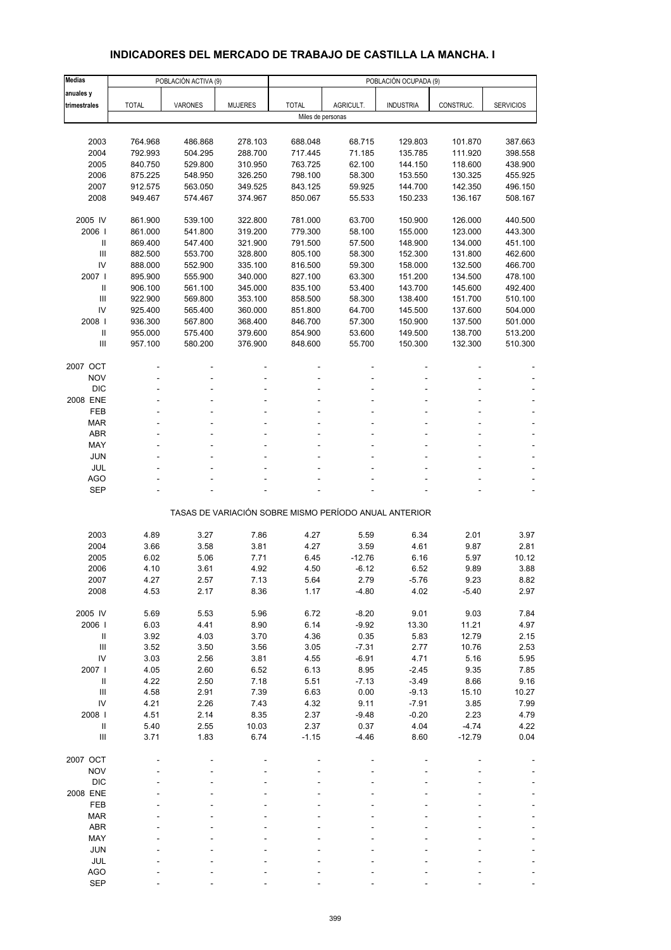# **INDICADORES DEL MERCADO DE TRABAJO DE CASTILLA LA MANCHA. I**

| <b>Medias</b>                      |                    | POBLACIÓN ACTIVA (9) |                    |                    |                                                       | POBLACIÓN OCUPADA (9) |                    |                    |
|------------------------------------|--------------------|----------------------|--------------------|--------------------|-------------------------------------------------------|-----------------------|--------------------|--------------------|
| anuales y                          |                    |                      |                    |                    |                                                       |                       |                    |                    |
| trimestrales                       | <b>TOTAL</b>       | <b>VARONES</b>       | <b>MUJERES</b>     | <b>TOTAL</b>       | AGRICULT.                                             | <b>INDUSTRIA</b>      | CONSTRUC.          | <b>SERVICIOS</b>   |
|                                    |                    |                      |                    | Miles de personas  |                                                       |                       |                    |                    |
|                                    |                    |                      |                    |                    |                                                       |                       |                    |                    |
| 2003                               | 764.968            | 486.868              | 278.103            | 688.048            | 68.715                                                | 129.803               | 101.870            | 387.663            |
| 2004                               | 792.993            | 504.295              | 288.700            | 717.445            | 71.185                                                | 135.785               | 111.920            | 398.558            |
| 2005                               | 840.750            | 529.800              | 310.950            | 763.725            | 62.100                                                | 144.150               | 118.600            | 438.900            |
| 2006                               | 875.225            | 548.950              | 326.250            | 798.100            | 58.300                                                | 153.550               | 130.325            | 455.925            |
| 2007                               | 912.575            | 563.050              | 349.525            | 843.125            | 59.925                                                | 144.700               | 142.350            | 496.150            |
| 2008                               | 949.467            | 574.467              | 374.967            | 850.067            | 55.533                                                | 150.233               | 136.167            | 508.167            |
|                                    |                    |                      |                    |                    |                                                       |                       |                    |                    |
| 2005 IV                            | 861.900            | 539.100              | 322.800            | 781.000            | 63.700                                                | 150.900               | 126.000            | 440.500            |
| 2006                               | 861.000            | 541.800              | 319.200            | 779.300            | 58.100                                                | 155.000               | 123.000            | 443.300            |
| Ш                                  | 869.400            | 547.400              | 321.900            | 791.500            | 57.500                                                | 148.900               | 134.000            | 451.100            |
| III<br>IV                          | 882.500            | 553.700              | 328.800            | 805.100            | 58.300                                                | 152.300               | 131.800            | 462.600            |
| 2007 l                             | 888.000            | 552.900              | 335.100            | 816.500            | 59.300                                                | 158.000               | 132.500            | 466.700            |
| $\mathbf{II}$                      | 895.900            | 555.900              | 340.000            | 827.100            | 63.300                                                | 151.200               | 134.500            | 478.100            |
| $\mathbf{III}$                     | 906.100<br>922.900 | 561.100              | 345.000            | 835.100            | 53.400                                                | 143.700               | 145.600            | 492.400            |
| IV                                 |                    | 569.800              | 353.100            | 858.500            | 58.300                                                | 138.400               | 151.700            | 510.100            |
| 2008                               | 925.400<br>936.300 | 565.400<br>567.800   | 360.000<br>368.400 | 851.800<br>846.700 | 64.700<br>57.300                                      | 145.500<br>150.900    | 137.600<br>137.500 | 504.000<br>501.000 |
| $\, \parallel$                     | 955.000            | 575.400              | 379.600            | 854.900            | 53.600                                                | 149.500               | 138.700            | 513.200            |
| Ш                                  | 957.100            | 580.200              | 376.900            | 848.600            | 55.700                                                | 150.300               | 132.300            | 510.300            |
|                                    |                    |                      |                    |                    |                                                       |                       |                    |                    |
| 2007 OCT                           |                    |                      |                    |                    |                                                       |                       |                    |                    |
| <b>NOV</b>                         |                    |                      |                    |                    |                                                       |                       |                    |                    |
| <b>DIC</b>                         |                    |                      |                    |                    |                                                       |                       |                    |                    |
| 2008 ENE                           |                    |                      |                    |                    |                                                       |                       |                    |                    |
| FEB                                |                    |                      |                    |                    |                                                       |                       |                    |                    |
| <b>MAR</b>                         |                    |                      |                    |                    |                                                       |                       |                    |                    |
| <b>ABR</b>                         | ٠                  |                      |                    |                    |                                                       |                       |                    |                    |
| MAY                                |                    |                      |                    |                    |                                                       |                       |                    |                    |
| JUN                                |                    |                      |                    |                    |                                                       |                       |                    |                    |
| JUL                                |                    |                      |                    |                    |                                                       |                       |                    |                    |
| <b>AGO</b>                         |                    |                      |                    |                    |                                                       |                       |                    |                    |
| <b>SEP</b>                         |                    |                      |                    |                    |                                                       |                       |                    |                    |
|                                    |                    |                      |                    |                    |                                                       |                       |                    |                    |
|                                    |                    |                      |                    |                    | TASAS DE VARIACIÓN SOBRE MISMO PERÍODO ANUAL ANTERIOR |                       |                    |                    |
|                                    |                    |                      |                    |                    |                                                       |                       |                    |                    |
| 2003                               | 4.89               | 3.27                 | 7.86               | 4.27               | 5.59                                                  | 6.34                  | 2.01               | 3.97               |
| 2004                               | 3.66               | 3.58                 | 3.81               | 4.27               | 3.59                                                  | 4.61                  | 9.87               | 2.81               |
| 2005                               | 6.02               | 5.06                 | 7.71               | 6.45               | $-12.76$                                              | 6.16                  | 5.97               | 10.12              |
| 2006                               | 4.10               | 3.61                 | 4.92               | 4.50               | $-6.12$                                               | 6.52                  | 9.89               | 3.88               |
| 2007                               | 4.27               | 2.57                 | 7.13               | 5.64               | 2.79                                                  | -5.76                 | 9.23               | 8.82               |
| 2008                               | 4.53               | 2.17                 | 8.36               | 1.17               | $-4.80$                                               | 4.02                  | $-5.40$            | 2.97               |
| 2005 IV                            | 5.69               | 5.53                 | 5.96               | 6.72               | $-8.20$                                               | 9.01                  | 9.03               | 7.84               |
| 2006                               | 6.03               | 4.41                 | 8.90               | 6.14               | $-9.92$                                               | 13.30                 | 11.21              | 4.97               |
| Ш                                  | 3.92               | 4.03                 | 3.70               | 4.36               | 0.35                                                  | 5.83                  | 12.79              | 2.15               |
| $\mathop{\mathrm{III}}\nolimits$   | 3.52               | 3.50                 | 3.56               | 3.05               | $-7.31$                                               | 2.77                  | 10.76              | 2.53               |
| IV                                 | 3.03               | 2.56                 | 3.81               | 4.55               | $-6.91$                                               | 4.71                  | 5.16               | 5.95               |
| 2007 l                             | 4.05               | 2.60                 | 6.52               | 6.13               | 8.95                                                  | $-2.45$               | 9.35               | 7.85               |
| $\mathbf{II}$                      | 4.22               | 2.50                 | 7.18               | 5.51               | $-7.13$                                               | $-3.49$               | 8.66               | 9.16               |
| $\ensuremath{\mathsf{III}}\xspace$ | 4.58               | 2.91                 | 7.39               | 6.63               | 0.00                                                  | $-9.13$               | 15.10              | 10.27              |
| IV                                 | 4.21               | 2.26                 | 7.43               | 4.32               | 9.11                                                  | $-7.91$               | 3.85               | 7.99               |
| 2008                               | 4.51               | 2.14                 | 8.35               | 2.37               | $-9.48$                                               | $-0.20$               | 2.23               | 4.79               |
| $\mathbf{II}$                      | 5.40               | 2.55                 | 10.03              | 2.37               | 0.37                                                  | 4.04                  | $-4.74$            | 4.22               |
| Ш                                  | 3.71               | 1.83                 | 6.74               | $-1.15$            | $-4.46$                                               | 8.60                  | $-12.79$           | 0.04               |
|                                    |                    |                      |                    |                    |                                                       |                       |                    |                    |
| 2007 OCT                           |                    |                      |                    |                    |                                                       |                       |                    |                    |
| <b>NOV</b>                         |                    |                      |                    |                    |                                                       |                       |                    |                    |
| <b>DIC</b>                         |                    |                      |                    |                    |                                                       |                       |                    |                    |
| 2008 ENE                           |                    |                      |                    |                    |                                                       |                       |                    |                    |
| FEB                                |                    |                      |                    |                    |                                                       |                       |                    |                    |
| <b>MAR</b>                         |                    |                      |                    |                    |                                                       |                       |                    |                    |
| <b>ABR</b>                         |                    |                      |                    |                    |                                                       |                       |                    |                    |
| MAY                                |                    |                      |                    |                    |                                                       |                       |                    |                    |
| <b>JUN</b>                         |                    |                      |                    |                    |                                                       |                       |                    |                    |
| JUL                                |                    |                      |                    |                    |                                                       |                       |                    |                    |
| <b>AGO</b>                         |                    |                      |                    |                    |                                                       |                       |                    |                    |
| <b>SEP</b>                         |                    |                      |                    |                    |                                                       |                       |                    |                    |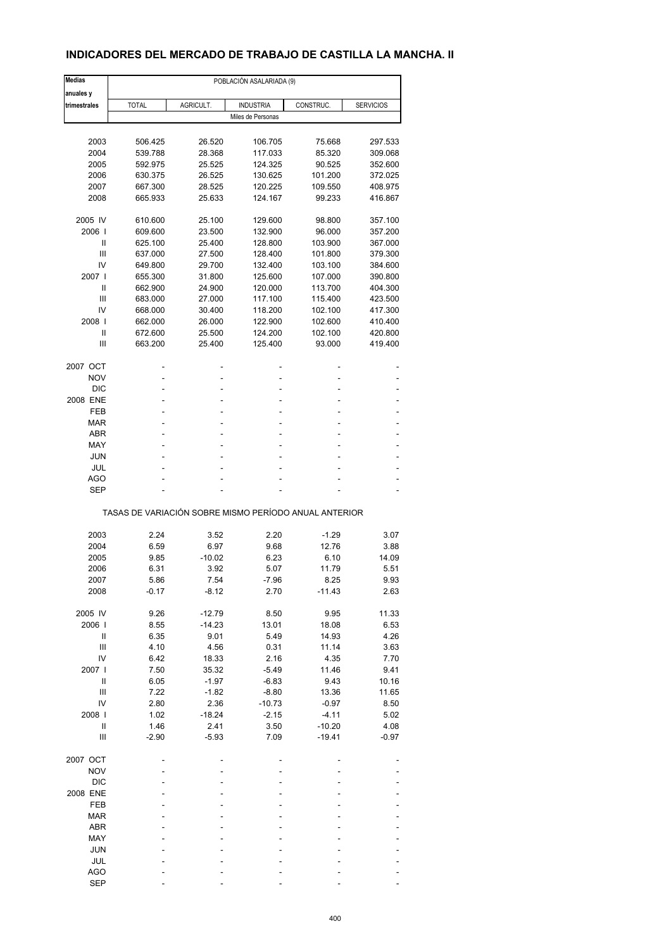## **INDICADORES DEL MERCADO DE TRABAJO DE CASTILLA LA MANCHA. II**

| <b>Medias</b>                                         |              |           | POBLACIÓN ASALARIADA (9) |           |                  |  |  |  |  |
|-------------------------------------------------------|--------------|-----------|--------------------------|-----------|------------------|--|--|--|--|
| anuales y                                             |              |           |                          |           |                  |  |  |  |  |
| trimestrales                                          | <b>TOTAL</b> | AGRICULT. | <b>INDUSTRIA</b>         | CONSTRUC. | <b>SERVICIOS</b> |  |  |  |  |
|                                                       |              |           | Miles de Personas        |           |                  |  |  |  |  |
| 2003                                                  | 506.425      | 26.520    | 106.705                  | 75.668    | 297.533          |  |  |  |  |
| 2004                                                  | 539.788      | 28.368    | 117.033                  | 85.320    | 309.068          |  |  |  |  |
| 2005                                                  | 592.975      | 25.525    | 124.325                  | 90.525    | 352.600          |  |  |  |  |
| 2006                                                  | 630.375      | 26.525    | 130.625                  | 101.200   | 372.025          |  |  |  |  |
| 2007                                                  | 667.300      | 28.525    | 120.225                  | 109.550   | 408.975          |  |  |  |  |
| 2008                                                  | 665.933      | 25.633    | 124.167                  | 99.233    | 416.867          |  |  |  |  |
|                                                       |              |           |                          |           |                  |  |  |  |  |
| 2005 IV                                               | 610.600      | 25.100    | 129.600                  | 98.800    | 357.100          |  |  |  |  |
| 2006                                                  | 609.600      | 23.500    | 132.900                  | 96.000    | 357.200          |  |  |  |  |
| Ш                                                     | 625.100      | 25.400    | 128.800                  | 103.900   | 367.000          |  |  |  |  |
| Ш                                                     | 637.000      | 27.500    | 128.400                  | 101.800   | 379.300          |  |  |  |  |
| IV                                                    | 649.800      | 29.700    | 132.400                  | 103.100   | 384.600          |  |  |  |  |
| 2007 l                                                | 655.300      | 31.800    | 125.600                  | 107.000   | 390.800          |  |  |  |  |
| Ш                                                     | 662.900      | 24.900    | 120.000                  | 113.700   | 404.300          |  |  |  |  |
| Ш                                                     | 683.000      | 27.000    | 117.100                  | 115.400   | 423.500          |  |  |  |  |
| IV                                                    | 668.000      | 30.400    | 118.200                  | 102.100   | 417.300          |  |  |  |  |
| 2008                                                  | 662.000      | 26.000    | 122.900                  | 102.600   | 410.400          |  |  |  |  |
| Ш                                                     | 672.600      | 25.500    | 124.200                  | 102.100   | 420.800          |  |  |  |  |
| Ш                                                     | 663.200      | 25.400    | 125.400                  | 93.000    | 419.400          |  |  |  |  |
| 2007 OCT                                              |              |           |                          |           |                  |  |  |  |  |
| <b>NOV</b>                                            |              |           | ۰                        |           |                  |  |  |  |  |
| <b>DIC</b>                                            |              |           |                          |           |                  |  |  |  |  |
| 2008 ENE                                              | ä,           | ٠         | ä,                       | ٠         |                  |  |  |  |  |
| FEB                                                   | ۰            |           | ۰                        |           |                  |  |  |  |  |
| <b>MAR</b>                                            |              |           |                          |           |                  |  |  |  |  |
| <b>ABR</b>                                            | ٠            | ٠         | ä,                       | ۰         | ٠                |  |  |  |  |
| MAY                                                   |              |           | ۰                        |           |                  |  |  |  |  |
| <b>JUN</b>                                            |              |           |                          |           |                  |  |  |  |  |
| JUL                                                   | ä,           | ٠         | ä,                       |           |                  |  |  |  |  |
| AGO                                                   |              |           |                          |           |                  |  |  |  |  |
| <b>SEP</b>                                            |              |           |                          |           |                  |  |  |  |  |
| TASAS DE VARIACIÓN SOBRE MISMO PERÍODO ANUAL ANTERIOR |              |           |                          |           |                  |  |  |  |  |
|                                                       |              |           |                          |           |                  |  |  |  |  |
| 2003                                                  | 2.24         | 3.52      | 2.20                     | $-1.29$   | 3.07             |  |  |  |  |
| 2004                                                  | 6.59         | 6.97      | 9.68                     | 12.76     | 3.88             |  |  |  |  |
| 2005                                                  | 9.85         | $-10.02$  | 6.23                     | 6.10      | 14.09            |  |  |  |  |
| 2006                                                  | 6.31         | 3.92      | 5.07                     | 11.79     | 5.51             |  |  |  |  |
| 2007                                                  | 5.86         | 7.54      | -7.96                    | 8.25      | 9.93             |  |  |  |  |
| 2008                                                  | $-0.17$      | $-8.12$   | 2.70                     | $-11.43$  | 2.63             |  |  |  |  |
| 2005 IV                                               | 9.26         | $-12.79$  | 8.50                     | 9.95      | 11.33            |  |  |  |  |
| 2006                                                  | 8.55         | $-14.23$  | 13.01                    | 18.08     | 6.53             |  |  |  |  |
| Ш                                                     | 6.35         | 9.01      | 5.49                     | 14.93     | 4.26             |  |  |  |  |
| $\mathsf{III}$                                        |              |           |                          | 11.14     |                  |  |  |  |  |
| IV                                                    | 4.10         | 4.56      | 0.31                     |           | 3.63<br>7.70     |  |  |  |  |
|                                                       | 6.42         | 18.33     | 2.16                     | 4.35      |                  |  |  |  |  |
| 2007 l                                                | 7.50         | 35.32     | $-5.49$                  | 11.46     | 9.41             |  |  |  |  |
| Ш                                                     | 6.05         | $-1.97$   | $-6.83$                  | 9.43      | 10.16            |  |  |  |  |
| $\mathsf{III}$                                        | 7.22         | $-1.82$   | $-8.80$                  | 13.36     | 11.65            |  |  |  |  |
| IV                                                    | 2.80         | 2.36      | $-10.73$                 | $-0.97$   | 8.50             |  |  |  |  |
| 2008                                                  | 1.02         | $-18.24$  | $-2.15$                  | $-4.11$   | 5.02             |  |  |  |  |
| $\sf II$                                              | 1.46         | 2.41      | 3.50                     | $-10.20$  | 4.08             |  |  |  |  |
| Ш                                                     | $-2.90$      | $-5.93$   | 7.09                     | $-19.41$  | $-0.97$          |  |  |  |  |
| 2007 OCT                                              |              |           |                          |           |                  |  |  |  |  |
| <b>NOV</b>                                            |              |           |                          |           |                  |  |  |  |  |
| <b>DIC</b>                                            |              |           |                          |           |                  |  |  |  |  |
| 2008 ENE                                              |              |           |                          |           |                  |  |  |  |  |
| FEB                                                   |              |           |                          |           |                  |  |  |  |  |
| <b>MAR</b>                                            |              |           |                          |           |                  |  |  |  |  |
| ABR                                                   |              |           |                          |           |                  |  |  |  |  |
| MAY                                                   |              |           |                          |           |                  |  |  |  |  |
| <b>JUN</b>                                            |              |           |                          |           |                  |  |  |  |  |
| JUL                                                   |              |           |                          |           |                  |  |  |  |  |
| <b>AGO</b>                                            |              |           |                          |           |                  |  |  |  |  |
| <b>SEP</b>                                            |              |           |                          |           |                  |  |  |  |  |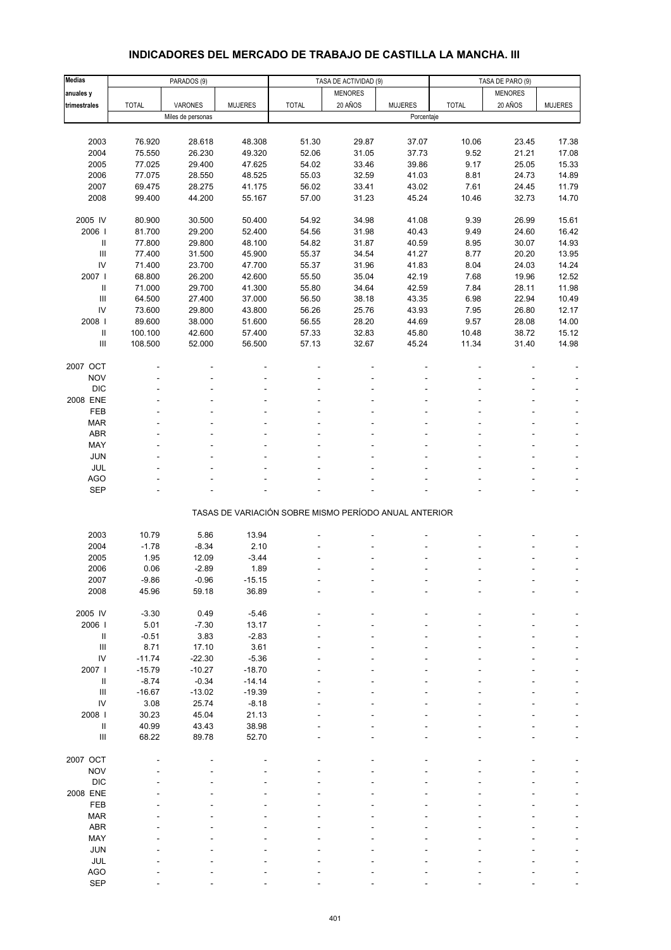# **INDICADORES DEL MERCADO DE TRABAJO DE CASTILLA LA MANCHA. III**

| <b>Medias</b>                      |              | PARADOS (9)       |                |                                                       | TASA DE ACTIVIDAD (9) |                | TASA DE PARO (9) |                |                          |
|------------------------------------|--------------|-------------------|----------------|-------------------------------------------------------|-----------------------|----------------|------------------|----------------|--------------------------|
| anuales y                          |              |                   |                |                                                       | <b>MENORES</b>        |                |                  | <b>MENORES</b> |                          |
| trimestrales                       | <b>TOTAL</b> | VARONES           | <b>MUJERES</b> | <b>TOTAL</b>                                          | 20 AÑOS               | <b>MUJERES</b> | <b>TOTAL</b>     | 20 AÑOS        | <b>MUJERES</b>           |
|                                    |              | Miles de personas |                |                                                       |                       | Porcentaje     |                  |                |                          |
|                                    |              |                   |                |                                                       |                       |                |                  |                |                          |
| 2003                               | 76.920       | 28.618            | 48.308         | 51.30                                                 | 29.87                 | 37.07          | 10.06            | 23.45          | 17.38                    |
| 2004                               | 75.550       | 26.230            | 49.320         | 52.06                                                 | 31.05                 | 37.73          | 9.52             | 21.21          | 17.08                    |
| 2005                               | 77.025       | 29.400            | 47.625         | 54.02                                                 | 33.46                 | 39.86          | 9.17             | 25.05          | 15.33                    |
| 2006                               | 77.075       | 28.550            | 48.525         | 55.03                                                 | 32.59                 | 41.03          | 8.81             | 24.73          | 14.89                    |
| 2007                               | 69.475       | 28.275            | 41.175         | 56.02                                                 | 33.41                 | 43.02          | 7.61             | 24.45          | 11.79                    |
| 2008                               | 99.400       | 44.200            | 55.167         | 57.00                                                 | 31.23                 | 45.24          | 10.46            | 32.73          | 14.70                    |
|                                    |              |                   |                |                                                       |                       |                |                  |                |                          |
| 2005 IV                            | 80.900       | 30.500            | 50.400         | 54.92                                                 | 34.98                 | 41.08          | 9.39             | 26.99          | 15.61                    |
| 2006                               | 81.700       | 29.200            | 52.400         | 54.56                                                 | 31.98                 | 40.43          | 9.49             | 24.60          | 16.42                    |
| Ш                                  | 77.800       | 29.800            | 48.100         | 54.82                                                 | 31.87                 | 40.59          | 8.95             | 30.07          | 14.93                    |
| $\ensuremath{\mathsf{III}}\xspace$ | 77.400       | 31.500            | 45.900         | 55.37                                                 | 34.54                 | 41.27          | 8.77             | 20.20          | 13.95                    |
| ${\sf IV}$                         | 71.400       | 23.700            | 47.700         | 55.37                                                 | 31.96                 | 41.83          | 8.04             | 24.03          | 14.24                    |
| 2007                               | 68.800       | 26.200            | 42.600         | 55.50                                                 | 35.04                 | 42.19          | 7.68             | 19.96          | 12.52                    |
| $\ensuremath{\mathsf{II}}\xspace$  | 71.000       | 29.700            | 41.300         | 55.80                                                 | 34.64                 | 42.59          | 7.84             | 28.11          | 11.98                    |
| $\ensuremath{\mathsf{III}}\xspace$ | 64.500       | 27.400            | 37.000         | 56.50                                                 | 38.18                 | 43.35          | 6.98             | 22.94          | 10.49                    |
| IV                                 | 73.600       | 29.800            | 43.800         | 56.26                                                 | 25.76                 | 43.93          | 7.95             | 26.80          | 12.17                    |
| 2008 l                             | 89.600       | 38.000            | 51.600         | 56.55                                                 | 28.20                 | 44.69          | 9.57             | 28.08          | 14.00                    |
| $\ensuremath{\mathsf{II}}\xspace$  | 100.100      | 42.600            | 57.400         | 57.33                                                 | 32.83                 | 45.80          | 10.48            | 38.72          | 15.12                    |
| Ш                                  | 108.500      | 52.000            | 56.500         | 57.13                                                 | 32.67                 | 45.24          | 11.34            | 31.40          | 14.98                    |
|                                    |              |                   |                |                                                       |                       |                |                  |                |                          |
| 2007 OCT                           |              |                   |                |                                                       |                       |                |                  |                |                          |
| <b>NOV</b>                         |              |                   |                |                                                       |                       |                |                  |                |                          |
| <b>DIC</b>                         |              |                   |                |                                                       |                       |                |                  |                |                          |
| 2008 ENE                           |              |                   |                |                                                       |                       |                |                  |                |                          |
| FEB                                |              |                   |                |                                                       |                       |                |                  |                |                          |
| <b>MAR</b>                         |              |                   |                |                                                       |                       |                |                  |                |                          |
| ABR                                |              |                   |                |                                                       |                       |                |                  |                |                          |
| MAY                                |              |                   |                |                                                       |                       |                |                  |                |                          |
| JUN                                |              |                   |                |                                                       |                       |                |                  |                |                          |
| JUL                                |              |                   |                |                                                       |                       |                |                  |                |                          |
| AGO                                |              |                   |                |                                                       |                       |                |                  |                |                          |
| <b>SEP</b>                         |              |                   |                |                                                       |                       |                |                  |                |                          |
|                                    |              |                   |                |                                                       |                       |                |                  |                |                          |
|                                    |              |                   |                | TASAS DE VARIACIÓN SOBRE MISMO PERÍODO ANUAL ANTERIOR |                       |                |                  |                |                          |
|                                    |              |                   |                |                                                       |                       |                |                  |                |                          |
| 2003                               | 10.79        | 5.86              | 13.94          |                                                       |                       |                |                  |                |                          |
| 2004                               | $-1.78$      | $-8.34$           | 2.10           |                                                       |                       |                |                  |                |                          |
| 2005                               | 1.95         | 12.09             | $-3.44$        |                                                       |                       |                |                  |                |                          |
| 2006                               | 0.06         | $-2.89$           | 1.89           |                                                       |                       |                |                  |                | $\overline{\phantom{0}}$ |
| 2007                               | -9.86        | -0.96             | $-15.15$       |                                                       |                       |                |                  |                |                          |
| 2008                               | 45.96        | 59.18             | 36.89          |                                                       |                       |                |                  |                |                          |
|                                    |              |                   |                |                                                       |                       |                |                  |                |                          |
| 2005 IV                            | $-3.30$      | 0.49              | $-5.46$        |                                                       |                       |                |                  |                |                          |
| 2006                               | 5.01         | $-7.30$           | 13.17          |                                                       |                       |                |                  |                |                          |
| $\ensuremath{\mathsf{II}}$         | $-0.51$      | 3.83              | $-2.83$        |                                                       |                       |                |                  |                |                          |
| $\ensuremath{\mathsf{III}}\xspace$ | 8.71         | 17.10             | 3.61           |                                                       |                       |                |                  |                |                          |
| ${\sf IV}$                         | $-11.74$     | $-22.30$          | $-5.36$        |                                                       |                       |                |                  |                |                          |
| 2007                               | $-15.79$     | $-10.27$          | $-18.70$       |                                                       |                       |                |                  |                |                          |
| $\ensuremath{\mathsf{II}}$         | $-8.74$      | $-0.34$           | $-14.14$       |                                                       |                       |                |                  |                |                          |
| $\ensuremath{\mathsf{III}}\xspace$ | $-16.67$     | $-13.02$          | $-19.39$       |                                                       |                       |                |                  |                |                          |
| IV                                 | 3.08         | 25.74             | $-8.18$        |                                                       |                       |                |                  |                |                          |
| 2008 l                             | 30.23        | 45.04             | 21.13          |                                                       |                       |                |                  |                |                          |
| Ш                                  | 40.99        | 43.43             | 38.98          |                                                       |                       |                |                  |                |                          |
| $\ensuremath{\mathsf{III}}\xspace$ | 68.22        | 89.78             | 52.70          |                                                       |                       |                |                  |                |                          |
|                                    |              |                   |                |                                                       |                       |                |                  |                |                          |
| 2007 OCT                           |              |                   |                |                                                       |                       |                |                  |                |                          |
| <b>NOV</b>                         |              |                   |                |                                                       |                       |                |                  |                |                          |
| <b>DIC</b>                         |              |                   |                |                                                       |                       |                |                  |                |                          |
| 2008 ENE                           |              |                   |                |                                                       |                       |                |                  |                |                          |
| FEB                                |              |                   |                |                                                       |                       |                |                  |                |                          |
| <b>MAR</b>                         |              |                   |                |                                                       |                       |                |                  |                |                          |
| ABR                                |              |                   |                |                                                       |                       |                |                  |                |                          |
| MAY                                |              |                   |                |                                                       |                       |                |                  |                |                          |
| JUN                                |              |                   |                |                                                       |                       |                |                  |                |                          |
| JUL                                |              |                   |                |                                                       |                       |                |                  |                |                          |
| AGO                                |              |                   |                |                                                       |                       |                |                  |                |                          |
| SEP                                |              |                   |                |                                                       |                       |                |                  |                |                          |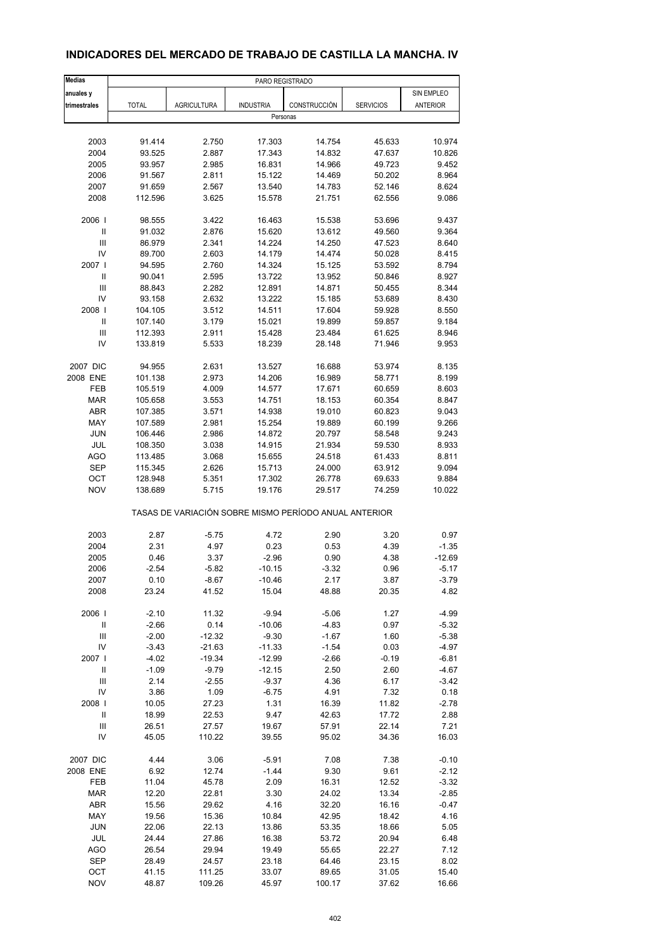| <b>Medias</b>              | PARO REGISTRADO                                       |                      |                  |              |                  |                 |  |  |  |
|----------------------------|-------------------------------------------------------|----------------------|------------------|--------------|------------------|-----------------|--|--|--|
| anuales y                  |                                                       |                      |                  |              |                  | SIN EMPLEO      |  |  |  |
| trimestrales               | <b>TOTAL</b>                                          | <b>AGRICULTURA</b>   | <b>INDUSTRIA</b> | CONSTRUCCIÓN | <b>SERVICIOS</b> | <b>ANTERIOR</b> |  |  |  |
|                            |                                                       |                      | Personas         |              |                  |                 |  |  |  |
|                            |                                                       |                      |                  |              |                  |                 |  |  |  |
| 2003                       | 91.414                                                | 2.750                | 17.303           | 14.754       | 45.633           | 10.974          |  |  |  |
| 2004                       | 93.525                                                | 2.887                | 17.343           | 14.832       | 47.637           | 10.826          |  |  |  |
| 2005                       | 93.957                                                | 2.985                | 16.831           | 14.966       | 49.723           | 9.452           |  |  |  |
| 2006                       | 91.567                                                | 2.811                | 15.122           | 14.469       | 50.202           | 8.964           |  |  |  |
| 2007                       | 91.659                                                | 2.567                | 13.540           | 14.783       | 52.146           | 8.624           |  |  |  |
| 2008                       | 112.596                                               | 3.625                | 15.578           | 21.751       | 62.556           | 9.086           |  |  |  |
|                            |                                                       |                      |                  |              |                  |                 |  |  |  |
| 2006                       | 98.555                                                | 3.422                | 16.463           | 15.538       | 53.696           | 9.437           |  |  |  |
| Ш                          | 91.032                                                | 2.876                | 15.620           | 13.612       | 49.560           | 9.364           |  |  |  |
| Ш                          | 86.979                                                | 2.341                | 14.224           | 14.250       | 47.523           | 8.640           |  |  |  |
| IV                         | 89.700                                                | 2.603                | 14.179           | 14.474       | 50.028           | 8.415           |  |  |  |
| 2007                       | 94.595                                                | 2.760                | 14.324           | 15.125       | 53.592           | 8.794           |  |  |  |
| Ш                          | 90.041                                                | 2.595                | 13.722           | 13.952       | 50.846           | 8.927           |  |  |  |
| Ш                          | 88.843                                                | 2.282                | 12.891           | 14.871       | 50.455           | 8.344           |  |  |  |
| IV                         |                                                       |                      |                  |              |                  | 8.430           |  |  |  |
|                            | 93.158                                                | 2.632                | 13.222           | 15.185       | 53.689           |                 |  |  |  |
| 2008                       | 104.105                                               | 3.512                | 14.511           | 17.604       | 59.928           | 8.550           |  |  |  |
| Ш                          | 107.140                                               | 3.179                | 15.021           | 19.899       | 59.857           | 9.184           |  |  |  |
| Ш                          | 112.393                                               | 2.911                | 15.428           | 23.484       | 61.625           | 8.946           |  |  |  |
| IV                         | 133.819                                               | 5.533                | 18.239           | 28.148       | 71.946           | 9.953           |  |  |  |
| 2007 DIC                   | 94.955                                                | 2.631                | 13.527           | 16.688       | 53.974           | 8.135           |  |  |  |
| 2008 ENE                   | 101.138                                               | 2.973                | 14.206           | 16.989       | 58.771           | 8.199           |  |  |  |
|                            |                                                       |                      |                  |              |                  |                 |  |  |  |
| FEB                        | 105.519                                               | 4.009                | 14.577           | 17.671       | 60.659           | 8.603           |  |  |  |
| <b>MAR</b>                 | 105.658                                               | 3.553                | 14.751           | 18.153       | 60.354           | 8.847           |  |  |  |
| ABR                        | 107.385                                               | 3.571                | 14.938           | 19.010       | 60.823           | 9.043           |  |  |  |
| MAY                        | 107.589                                               | 2.981                | 15.254           | 19.889       | 60.199           | 9.266           |  |  |  |
| <b>JUN</b>                 | 106.446                                               | 2.986                | 14.872           | 20.797       | 58.548           | 9.243           |  |  |  |
| JUL                        | 108.350                                               | 3.038                | 14.915           | 21.934       | 59.530           | 8.933           |  |  |  |
| <b>AGO</b>                 | 113.485                                               | 3.068                | 15.655           | 24.518       | 61.433           | 8.811           |  |  |  |
| <b>SEP</b>                 | 115.345                                               | 2.626                | 15.713           | 24.000       | 63.912           | 9.094           |  |  |  |
| OCT                        | 128.948                                               | 5.351                | 17.302           | 26.778       | 69.633           | 9.884           |  |  |  |
| <b>NOV</b>                 | 138.689                                               | 5.715                | 19.176           | 29.517       | 74.259           | 10.022          |  |  |  |
|                            | TASAS DE VARIACIÓN SOBRE MISMO PERÍODO ANUAL ANTERIOR |                      |                  |              |                  |                 |  |  |  |
|                            |                                                       |                      |                  |              |                  |                 |  |  |  |
| 2003<br>2004               | 2.87<br>2.31                                          | $-5.75$<br>4.97      | 4.72<br>0.23     | 2.90<br>0.53 | 3.20<br>4.39     | 0.97<br>$-1.35$ |  |  |  |
|                            |                                                       |                      |                  |              |                  |                 |  |  |  |
| 2005                       | 0.46                                                  | 3.37                 | $-2.96$          | 0.90         | 4.38             | $-12.69$        |  |  |  |
| 2006                       | $-2.54$                                               | $-5.82$              | $-10.15$         | $-3.32$      | 0.96             | $-5.17$         |  |  |  |
| 2007                       | 0.10                                                  | $-8.67$              | $-10.46$         | 2.17         | 3.87             | $-3.79$         |  |  |  |
| 2008                       | 23.24                                                 | 41.52                | 15.04            | 48.88        | 20.35            | 4.82            |  |  |  |
| 2006                       | $-2.10$                                               | 11.32                | $-9.94$          | $-5.06$      | 1.27             | $-4.99$         |  |  |  |
| $\ensuremath{\mathsf{II}}$ | $-2.66$                                               | 0.14                 | $-10.06$         | $-4.83$      | 0.97             | $-5.32$         |  |  |  |
| Ш                          | $-2.00$                                               | $-12.32$             | $-9.30$          | $-1.67$      | 1.60             | $-5.38$         |  |  |  |
|                            |                                                       |                      |                  |              |                  |                 |  |  |  |
| IV<br>2007 l               | $-3.43$                                               | $-21.63$<br>$-19.34$ | $-11.33$         | $-1.54$      | 0.03             | $-4.97$         |  |  |  |
|                            | $-4.02$                                               |                      | $-12.99$         | $-2.66$      | $-0.19$          | $-6.81$         |  |  |  |
| $\ensuremath{\mathsf{II}}$ | $-1.09$                                               | $-9.79$              | $-12.15$         | 2.50         | 2.60             | $-4.67$         |  |  |  |
| $\mathbf{III}$             | 2.14                                                  | $-2.55$              | $-9.37$          | 4.36         | 6.17             | $-3.42$         |  |  |  |
| IV                         | 3.86                                                  | 1.09                 | $-6.75$          | 4.91         | 7.32             | 0.18            |  |  |  |
| 2008                       | 10.05                                                 | 27.23                | 1.31             | 16.39        | 11.82            | $-2.78$         |  |  |  |
| Ш                          | 18.99                                                 | 22.53                | 9.47             | 42.63        | 17.72            | 2.88            |  |  |  |
| $\mathbf{III}$             | 26.51                                                 | 27.57                | 19.67            | 57.91        | 22.14            | 7.21            |  |  |  |
| IV                         | 45.05                                                 | 110.22               | 39.55            | 95.02        | 34.36            | 16.03           |  |  |  |
|                            |                                                       |                      |                  |              |                  |                 |  |  |  |
| 2007 DIC                   | 4.44                                                  | 3.06                 | $-5.91$          | 7.08         | 7.38             | $-0.10$         |  |  |  |
| 2008 ENE                   | 6.92                                                  | 12.74                | $-1.44$          | 9.30         | 9.61             | $-2.12$         |  |  |  |
| FEB                        | 11.04                                                 | 45.78                | 2.09             | 16.31        | 12.52            | $-3.32$         |  |  |  |
| <b>MAR</b>                 | 12.20                                                 | 22.81                | 3.30             | 24.02        | 13.34            | $-2.85$         |  |  |  |
| ABR                        | 15.56                                                 | 29.62                | 4.16             | 32.20        | 16.16            | $-0.47$         |  |  |  |
| MAY                        | 19.56                                                 | 15.36                | 10.84            | 42.95        | 18.42            | 4.16            |  |  |  |
| <b>JUN</b>                 | 22.06                                                 | 22.13                | 13.86            | 53.35        | 18.66            | 5.05            |  |  |  |
| JUL                        | 24.44                                                 | 27.86                | 16.38            | 53.72        | 20.94            | 6.48            |  |  |  |
| AGO                        | 26.54                                                 | 29.94                | 19.49            | 55.65        | 22.27            | 7.12            |  |  |  |
| SEP                        | 28.49                                                 | 24.57                | 23.18            | 64.46        | 23.15            | 8.02            |  |  |  |
| OCT                        | 41.15                                                 | 111.25               | 33.07            | 89.65        | 31.05            | 15.40           |  |  |  |
|                            |                                                       |                      |                  |              |                  |                 |  |  |  |
| <b>NOV</b>                 | 48.87                                                 | 109.26               | 45.97            | 100.17       | 37.62            | 16.66           |  |  |  |

## **INDICADORES DEL MERCADO DE TRABAJO DE CASTILLA LA MANCHA. IV**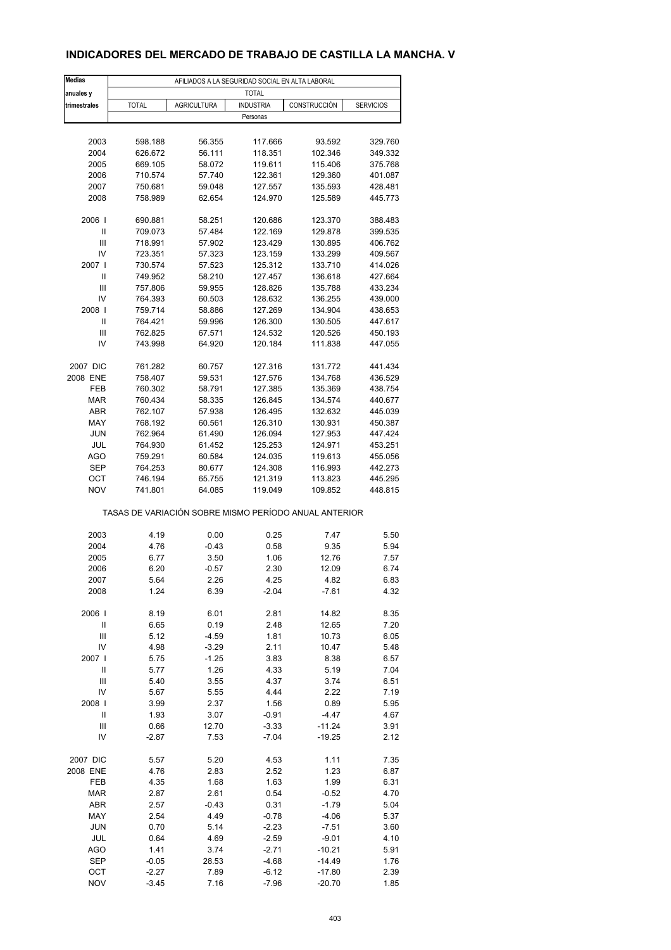## **INDICADORES DEL MERCADO DE TRABAJO DE CASTILLA LA MANCHA. V**

| <b>Medias</b>                      | AFILIADOS A LA SEGURIDAD SOCIAL EN ALTA LABORAL       |                    |                  |              |                  |  |  |  |
|------------------------------------|-------------------------------------------------------|--------------------|------------------|--------------|------------------|--|--|--|
| anuales y                          |                                                       |                    | <b>TOTAL</b>     |              |                  |  |  |  |
| trimestrales                       | <b>TOTAL</b>                                          | <b>AGRICULTURA</b> | <b>INDUSTRIA</b> | CONSTRUCCIÓN | <b>SERVICIOS</b> |  |  |  |
|                                    |                                                       |                    | Personas         |              |                  |  |  |  |
|                                    |                                                       |                    |                  |              |                  |  |  |  |
| 2003                               | 598.188                                               | 56.355             | 117.666          | 93.592       | 329.760          |  |  |  |
| 2004                               | 626.672                                               | 56.111             | 118.351          | 102.346      | 349.332          |  |  |  |
| 2005                               | 669.105                                               | 58.072             | 119.611          | 115.406      | 375.768          |  |  |  |
|                                    | 710.574                                               |                    |                  |              |                  |  |  |  |
| 2006                               |                                                       | 57.740             | 122.361          | 129.360      | 401.087          |  |  |  |
| 2007                               | 750.681                                               | 59.048             | 127.557          | 135.593      | 428.481          |  |  |  |
| 2008                               | 758.989                                               | 62.654             | 124.970          | 125.589      | 445.773          |  |  |  |
|                                    |                                                       |                    |                  |              |                  |  |  |  |
| 2006                               | 690.881                                               | 58.251             | 120.686          | 123.370      | 388.483          |  |  |  |
| Ш                                  | 709.073                                               | 57.484             | 122.169          | 129.878      | 399.535          |  |  |  |
| Ш                                  | 718.991                                               | 57.902             | 123.429          | 130.895      | 406.762          |  |  |  |
| IV                                 | 723.351                                               | 57.323             | 123.159          | 133.299      | 409.567          |  |  |  |
| 2007 l                             | 730.574                                               | 57.523             | 125.312          | 133.710      | 414.026          |  |  |  |
| Ш                                  | 749.952                                               | 58.210             | 127.457          | 136.618      | 427.664          |  |  |  |
| Ш                                  | 757.806                                               | 59.955             | 128.826          | 135.788      | 433.234          |  |  |  |
| IV                                 | 764.393                                               | 60.503             | 128.632          | 136.255      | 439.000          |  |  |  |
| 2008                               | 759.714                                               | 58.886             | 127.269          | 134.904      | 438.653          |  |  |  |
| Ш                                  | 764.421                                               | 59.996             | 126.300          | 130.505      | 447.617          |  |  |  |
| Ш                                  | 762.825                                               | 67.571             | 124.532          | 120.526      | 450.193          |  |  |  |
| IV                                 | 743.998                                               | 64.920             | 120.184          | 111.838      | 447.055          |  |  |  |
|                                    |                                                       |                    |                  |              |                  |  |  |  |
| 2007 DIC                           | 761.282                                               | 60.757             | 127.316          | 131.772      | 441.434          |  |  |  |
| 2008 ENE                           | 758.407                                               | 59.531             | 127.576          | 134.768      | 436.529          |  |  |  |
| FEB                                | 760.302                                               | 58.791             | 127.385          | 135.369      | 438.754          |  |  |  |
| <b>MAR</b>                         | 760.434                                               | 58.335             | 126.845          | 134.574      | 440.677          |  |  |  |
| ABR                                | 762.107                                               | 57.938             | 126.495          | 132.632      | 445.039          |  |  |  |
| MAY                                | 768.192                                               | 60.561             | 126.310          | 130.931      | 450.387          |  |  |  |
| JUN                                | 762.964                                               | 61.490             | 126.094          | 127.953      | 447.424          |  |  |  |
| JUL                                | 764.930                                               | 61.452             | 125.253          | 124.971      | 453.251          |  |  |  |
| AGO                                | 759.291                                               | 60.584             | 124.035          | 119.613      | 455.056          |  |  |  |
| <b>SEP</b>                         | 764.253                                               | 80.677             | 124.308          | 116.993      | 442.273          |  |  |  |
| ОСТ                                | 746.194                                               | 65.755             | 121.319          | 113.823      | 445.295          |  |  |  |
| <b>NOV</b>                         | 741.801                                               | 64.085             | 119.049          | 109.852      | 448.815          |  |  |  |
|                                    |                                                       |                    |                  |              |                  |  |  |  |
|                                    | TASAS DE VARIACIÓN SOBRE MISMO PERÍODO ANUAL ANTERIOR |                    |                  |              |                  |  |  |  |
|                                    |                                                       |                    |                  |              |                  |  |  |  |
| 2003                               | 4.19                                                  | 0.00               | 0.25             | 7.47         | 5.50             |  |  |  |
| 2004                               | 4.76                                                  | $-0.43$            | 0.58             | 9.35         | 5.94             |  |  |  |
| 2005                               | 6.77                                                  | 3.50               | 1.06             | 12.76        | 7.57             |  |  |  |
| 2006                               | 6.20                                                  | $-0.57$            | 2.30             | 12.09        | 6.74             |  |  |  |
| 2007                               | 5.64                                                  | 2.26               | 4.25             | 4.82         | 6.83             |  |  |  |
| 2008                               | 1.24                                                  | 6.39               | $-2.04$          | $-7.61$      | 4.32             |  |  |  |
|                                    |                                                       |                    |                  |              |                  |  |  |  |
| 2006                               | 8.19                                                  | 6.01               | 2.81             | 14.82        | 8.35             |  |  |  |
| $\ensuremath{\mathsf{II}}$         | 6.65                                                  | 0.19               | 2.48             | 12.65        | 7.20             |  |  |  |
| Ш                                  | 5.12                                                  | $-4.59$            | 1.81             | 10.73        | 6.05             |  |  |  |
| IV                                 | 4.98                                                  | $-3.29$            | 2.11             | 10.47        | 5.48             |  |  |  |
| 2007 l                             | 5.75                                                  | $-1.25$            | 3.83             | 8.38         | 6.57             |  |  |  |
| $\sf II$                           | 5.77                                                  | 1.26               | 4.33             | 5.19         | 7.04             |  |  |  |
| $\ensuremath{\mathsf{III}}\xspace$ | 5.40                                                  | 3.55               | 4.37             | 3.74         | 6.51             |  |  |  |
| IV                                 | 5.67                                                  | 5.55               | 4.44             | 2.22         | 7.19             |  |  |  |
| 2008                               | 3.99                                                  | 2.37               | 1.56             | 0.89         | 5.95             |  |  |  |
| $\sf II$                           | 1.93                                                  | 3.07               | $-0.91$          | $-4.47$      | 4.67             |  |  |  |
| Ш                                  | 0.66                                                  | 12.70              | $-3.33$          | $-11.24$     | 3.91             |  |  |  |
| IV                                 | $-2.87$                                               | 7.53               | $-7.04$          | $-19.25$     | 2.12             |  |  |  |
|                                    |                                                       |                    |                  |              |                  |  |  |  |
| 2007 DIC                           | 5.57                                                  | 5.20               | 4.53             | 1.11         | 7.35             |  |  |  |
| 2008 ENE                           | 4.76                                                  | 2.83               | 2.52             | 1.23         | 6.87             |  |  |  |
| FEB                                | 4.35                                                  | 1.68               | 1.63             | 1.99         | 6.31             |  |  |  |
| <b>MAR</b>                         | 2.87                                                  | 2.61               | 0.54             | $-0.52$      | 4.70             |  |  |  |
|                                    |                                                       |                    |                  |              |                  |  |  |  |
| ABR                                | 2.57                                                  | $-0.43$            | 0.31             | $-1.79$      | 5.04             |  |  |  |
| MAY                                | 2.54                                                  | 4.49               | $-0.78$          | $-4.06$      | 5.37             |  |  |  |
| <b>JUN</b>                         | 0.70                                                  | 5.14               | $-2.23$          | $-7.51$      | 3.60             |  |  |  |
| JUL                                | 0.64                                                  | 4.69               | $-2.59$          | $-9.01$      | 4.10             |  |  |  |
| AGO                                | 1.41                                                  | 3.74               | $-2.71$          | $-10.21$     | 5.91             |  |  |  |
| <b>SEP</b>                         | $-0.05$                                               | 28.53              | $-4.68$          | $-14.49$     | 1.76             |  |  |  |
| OCT                                | $-2.27$                                               | 7.89               | $-6.12$          | $-17.80$     | 2.39             |  |  |  |
| <b>NOV</b>                         | $-3.45$                                               | 7.16               | $-7.96$          | $-20.70$     | 1.85             |  |  |  |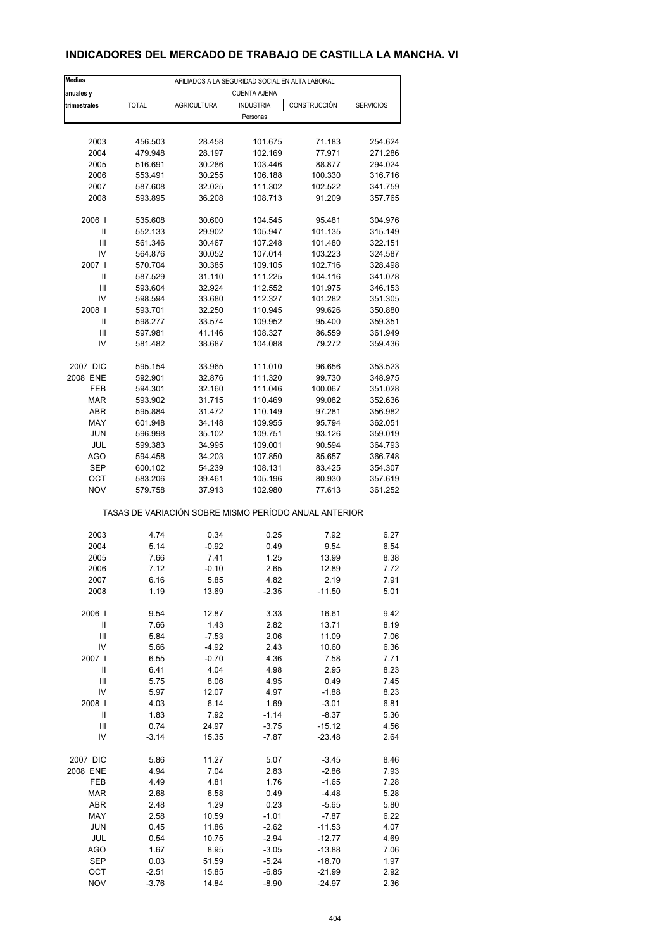## **INDICADORES DEL MERCADO DE TRABAJO DE CASTILLA LA MANCHA. VI**

| <b>Medias</b>                                         | AFILIADOS A LA SEGURIDAD SOCIAL EN ALTA LABORAL |                    |                     |                  |                    |  |  |  |
|-------------------------------------------------------|-------------------------------------------------|--------------------|---------------------|------------------|--------------------|--|--|--|
| anuales y                                             |                                                 |                    | <b>CUENTA AJENA</b> |                  |                    |  |  |  |
| trimestrales                                          | <b>TOTAL</b>                                    | <b>AGRICULTURA</b> | <b>INDUSTRIA</b>    | CONSTRUCCIÓN     | <b>SERVICIOS</b>   |  |  |  |
|                                                       |                                                 |                    | Personas            |                  |                    |  |  |  |
|                                                       |                                                 |                    |                     |                  |                    |  |  |  |
| 2003                                                  | 456.503                                         | 28.458             | 101.675             | 71.183           | 254.624            |  |  |  |
| 2004                                                  | 479.948                                         | 28.197             | 102.169             | 77.971           | 271.286            |  |  |  |
| 2005                                                  | 516.691                                         | 30.286             | 103.446             | 88.877           | 294.024            |  |  |  |
| 2006                                                  | 553.491                                         | 30.255             | 106.188             | 100.330          | 316.716            |  |  |  |
| 2007                                                  | 587.608                                         | 32.025             | 111.302             | 102.522          | 341.759            |  |  |  |
| 2008                                                  | 593.895                                         | 36.208             | 108.713             | 91.209           | 357.765            |  |  |  |
| 2006                                                  | 535.608                                         | 30.600             | 104.545             | 95.481           | 304.976            |  |  |  |
| Ш                                                     | 552.133                                         | 29.902             | 105.947             | 101.135          | 315.149            |  |  |  |
| Ш                                                     | 561.346                                         | 30.467             | 107.248             | 101.480          | 322.151            |  |  |  |
| IV                                                    | 564.876                                         | 30.052             | 107.014             | 103.223          | 324.587            |  |  |  |
| 2007 l                                                | 570.704                                         | 30.385             | 109.105             | 102.716          | 328.498            |  |  |  |
| Ш                                                     | 587.529                                         | 31.110             | 111.225             | 104.116          | 341.078            |  |  |  |
| Ш                                                     | 593.604                                         | 32.924             | 112.552             | 101.975          | 346.153            |  |  |  |
| IV                                                    | 598.594                                         | 33.680             | 112.327             | 101.282          | 351.305            |  |  |  |
| 2008                                                  | 593.701                                         | 32.250             | 110.945             | 99.626           | 350.880            |  |  |  |
| Ш                                                     | 598.277                                         | 33.574             | 109.952             | 95.400           | 359.351            |  |  |  |
| Ш                                                     | 597.981                                         | 41.146             | 108.327             | 86.559           | 361.949            |  |  |  |
| IV                                                    | 581.482                                         | 38.687             | 104.088             | 79.272           | 359.436            |  |  |  |
|                                                       |                                                 |                    |                     |                  |                    |  |  |  |
| 2007 DIC                                              | 595.154                                         | 33.965             | 111.010             | 96.656           | 353.523            |  |  |  |
| 2008 ENE                                              | 592.901                                         | 32.876             | 111.320             | 99.730           | 348.975            |  |  |  |
| FEB<br><b>MAR</b>                                     | 594.301<br>593.902                              | 32.160<br>31.715   | 111.046<br>110.469  | 100.067          | 351.028<br>352.636 |  |  |  |
| ABR                                                   | 595.884                                         | 31.472             | 110.149             | 99.082<br>97.281 | 356.982            |  |  |  |
| MAY                                                   | 601.948                                         | 34.148             | 109.955             | 95.794           | 362.051            |  |  |  |
| <b>JUN</b>                                            | 596.998                                         | 35.102             | 109.751             | 93.126           | 359.019            |  |  |  |
| JUL                                                   | 599.383                                         | 34.995             | 109.001             | 90.594           | 364.793            |  |  |  |
| AGO                                                   | 594.458                                         | 34.203             | 107.850             | 85.657           | 366.748            |  |  |  |
| <b>SEP</b>                                            | 600.102                                         | 54.239             | 108.131             | 83.425           | 354.307            |  |  |  |
| ОСТ                                                   | 583.206                                         | 39.461             | 105.196             | 80.930           | 357.619            |  |  |  |
| <b>NOV</b>                                            | 579.758                                         | 37.913             | 102.980             | 77.613           | 361.252            |  |  |  |
| TASAS DE VARIACIÓN SOBRE MISMO PERÍODO ANUAL ANTERIOR |                                                 |                    |                     |                  |                    |  |  |  |
| 2003                                                  | 4.74                                            | 0.34               | 0.25                | 7.92             | 6.27               |  |  |  |
| 2004                                                  | 5.14                                            | $-0.92$            | 0.49                | 9.54             | 6.54               |  |  |  |
| 2005                                                  | 7.66                                            | 7.41               | 1.25                | 13.99            | 8.38               |  |  |  |
| 2006                                                  | 7.12                                            | $-0.10$            | 2.65                | 12.89            | 7.72               |  |  |  |
| 2007                                                  | 6.16                                            | 5.85               | 4.82                | 2.19             | 7.91               |  |  |  |
| 2008                                                  | 1.19                                            | 13.69              | $-2.35$             | $-11.50$         | 5.01               |  |  |  |
|                                                       |                                                 |                    |                     |                  |                    |  |  |  |
| 2006                                                  | 9.54                                            | 12.87              | 3.33                | 16.61            | 9.42               |  |  |  |
| Ш                                                     | 7.66                                            | 1.43               | 2.82                | 13.71            | 8.19               |  |  |  |
| Ш                                                     | 5.84                                            | $-7.53$            | 2.06                | 11.09            | 7.06               |  |  |  |
| IV                                                    | 5.66                                            | $-4.92$            | 2.43                | 10.60            | 6.36               |  |  |  |
| 2007                                                  | 6.55                                            | $-0.70$            | 4.36                | 7.58             | 7.71               |  |  |  |
| $\mathsf{I}$                                          | 6.41                                            | 4.04               | 4.98                | 2.95             | 8.23               |  |  |  |
| Ш<br>IV                                               | 5.75<br>5.97                                    | 8.06<br>12.07      | 4.95<br>4.97        | 0.49<br>$-1.88$  | 7.45<br>8.23       |  |  |  |
| 2008                                                  | 4.03                                            | 6.14               | 1.69                | $-3.01$          | 6.81               |  |  |  |
| Ш                                                     | 1.83                                            | 7.92               | $-1.14$             | $-8.37$          | 5.36               |  |  |  |
| Ш                                                     | 0.74                                            | 24.97              | $-3.75$             | $-15.12$         | 4.56               |  |  |  |
| IV                                                    | $-3.14$                                         | 15.35              | $-7.87$             | $-23.48$         | 2.64               |  |  |  |
|                                                       |                                                 |                    |                     |                  |                    |  |  |  |
| 2007 DIC                                              | 5.86                                            | 11.27              | 5.07                | $-3.45$          | 8.46               |  |  |  |
| 2008 ENE                                              | 4.94                                            | 7.04               | 2.83                | $-2.86$          | 7.93               |  |  |  |
| FEB                                                   | 4.49                                            | 4.81               | 1.76                | $-1.65$          | 7.28               |  |  |  |
| <b>MAR</b>                                            | 2.68                                            | 6.58               | 0.49                | $-4.48$          | 5.28               |  |  |  |
| ABR                                                   | 2.48                                            | 1.29               | 0.23                | $-5.65$          | 5.80               |  |  |  |
| MAY                                                   | 2.58                                            | 10.59              | $-1.01$             | $-7.87$          | 6.22               |  |  |  |
| <b>JUN</b>                                            | 0.45                                            | 11.86              | $-2.62$             | $-11.53$         | 4.07               |  |  |  |
| JUL                                                   | 0.54                                            | 10.75              | $-2.94$             | $-12.77$         | 4.69               |  |  |  |
| AGO                                                   | 1.67                                            | 8.95               | $-3.05$             | $-13.88$         | 7.06               |  |  |  |
| <b>SEP</b>                                            | 0.03                                            | 51.59              | $-5.24$             | $-18.70$         | 1.97               |  |  |  |
| OCT                                                   | $-2.51$                                         | 15.85              | $-6.85$             | $-21.99$         | 2.92               |  |  |  |
| <b>NOV</b>                                            | $-3.76$                                         | 14.84              | $-8.90$             | $-24.97$         | 2.36               |  |  |  |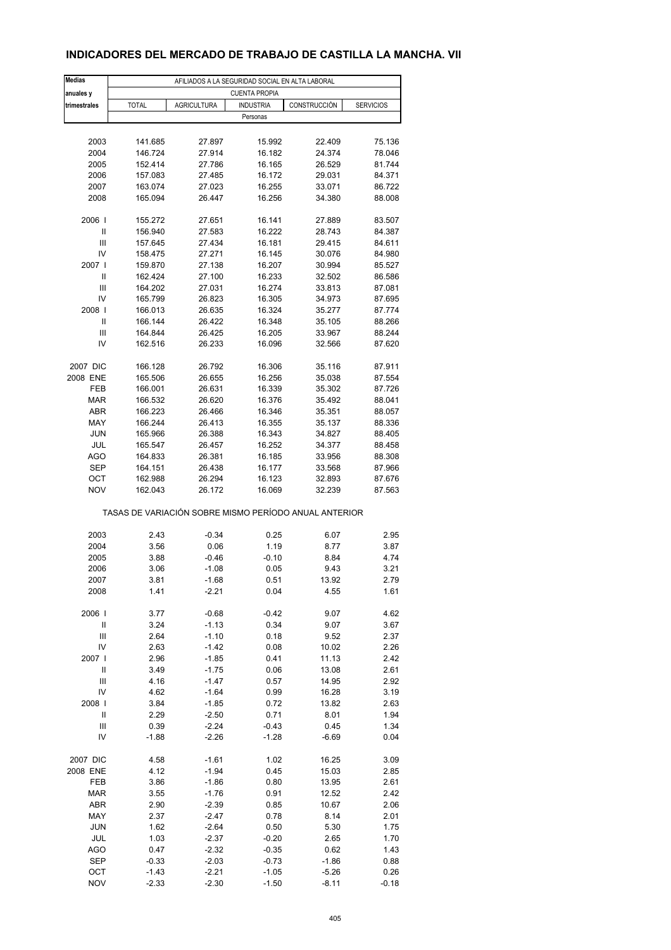## **INDICADORES DEL MERCADO DE TRABAJO DE CASTILLA LA MANCHA. VII**

| <b>Medias</b> | AFILIADOS A LA SEGURIDAD SOCIAL EN ALTA LABORAL       |                    |                  |                  |                  |  |  |  |
|---------------|-------------------------------------------------------|--------------------|------------------|------------------|------------------|--|--|--|
| anuales y     | <b>CUENTA PROPIA</b>                                  |                    |                  |                  |                  |  |  |  |
| trimestrales  | <b>TOTAL</b>                                          | <b>AGRICULTURA</b> | <b>INDUSTRIA</b> | CONSTRUCCIÓN     | <b>SERVICIOS</b> |  |  |  |
|               |                                                       |                    | Personas         |                  |                  |  |  |  |
|               |                                                       |                    |                  |                  |                  |  |  |  |
| 2003          | 141.685                                               | 27.897             | 15.992           | 22.409           | 75.136           |  |  |  |
| 2004          | 146.724                                               | 27.914             | 16.182           | 24.374           | 78.046           |  |  |  |
| 2005          | 152.414                                               | 27.786             | 16.165           | 26.529           | 81.744           |  |  |  |
| 2006          | 157.083                                               | 27.485             | 16.172           | 29.031           | 84.371           |  |  |  |
| 2007          | 163.074                                               | 27.023             | 16.255           | 33.071           | 86.722           |  |  |  |
| 2008          | 165.094                                               | 26.447             | 16.256           | 34.380           | 88.008           |  |  |  |
| 2006          | 155.272                                               | 27.651             | 16.141           | 27.889           | 83.507           |  |  |  |
| Ш             | 156.940                                               | 27.583             | 16.222           | 28.743           | 84.387           |  |  |  |
| Ш             | 157.645                                               | 27.434             | 16.181           | 29.415           | 84.611           |  |  |  |
| IV            | 158.475                                               | 27.271             | 16.145           | 30.076           | 84.980           |  |  |  |
| 2007 l        | 159.870                                               | 27.138             | 16.207           | 30.994           | 85.527           |  |  |  |
| Ш             | 162.424                                               | 27.100             | 16.233           | 32.502           | 86.586           |  |  |  |
| Ш             | 164.202                                               | 27.031             | 16.274           | 33.813           | 87.081           |  |  |  |
| IV            | 165.799                                               | 26.823             | 16.305           | 34.973           | 87.695           |  |  |  |
| 2008          | 166.013                                               | 26.635             | 16.324           | 35.277           | 87.774           |  |  |  |
| Ш             | 166.144                                               | 26.422             | 16.348           | 35.105           | 88.266           |  |  |  |
| Ш             | 164.844                                               | 26.425             | 16.205           | 33.967           | 88.244           |  |  |  |
| IV            | 162.516                                               | 26.233             | 16.096           | 32.566           | 87.620           |  |  |  |
| 2007 DIC      | 166.128                                               | 26.792             | 16.306           | 35.116           | 87.911           |  |  |  |
| 2008 ENE      | 165.506                                               | 26.655             | 16.256           | 35.038           | 87.554           |  |  |  |
| FEB           | 166.001                                               | 26.631             | 16.339           | 35.302           | 87.726           |  |  |  |
| <b>MAR</b>    | 166.532                                               | 26.620             | 16.376           | 35.492           | 88.041           |  |  |  |
| ABR           | 166.223                                               | 26.466             | 16.346           | 35.351           | 88.057           |  |  |  |
| MAY           | 166.244                                               | 26.413             | 16.355           | 35.137           | 88.336           |  |  |  |
| <b>JUN</b>    | 165.966                                               | 26.388             |                  |                  |                  |  |  |  |
|               | 165.547                                               |                    | 16.343           | 34.827           | 88.405           |  |  |  |
| JUL<br>AGO    | 164.833                                               | 26.457<br>26.381   | 16.252<br>16.185 | 34.377<br>33.956 | 88.458<br>88.308 |  |  |  |
| <b>SEP</b>    | 164.151                                               |                    | 16.177           |                  | 87.966           |  |  |  |
| ОСТ           | 162.988                                               | 26.438<br>26.294   | 16.123           | 33.568<br>32.893 | 87.676           |  |  |  |
| <b>NOV</b>    | 162.043                                               | 26.172             | 16.069           | 32.239           | 87.563           |  |  |  |
|               | TASAS DE VARIACIÓN SOBRE MISMO PERÍODO ANUAL ANTERIOR |                    |                  |                  |                  |  |  |  |
|               |                                                       |                    |                  |                  |                  |  |  |  |
| 2003          | 2.43                                                  | $-0.34$            | 0.25             | 6.07             | 2.95             |  |  |  |
| 2004          | 3.56                                                  | 0.06               | 1.19             | 8.77             | 3.87             |  |  |  |
| 2005          | 3.88                                                  | $-0.46$            | $-0.10$          | 8.84             | 4.74             |  |  |  |
| 2006          | 3.06                                                  | $-1.08$            | 0.05             | 9.43             | 3.21             |  |  |  |
| 2007          | 3.81                                                  | -1.68              | 0.51             | 13.92            | 2.79             |  |  |  |
| 2008          | 1.41                                                  | $-2.21$            | 0.04             | 4.55             | 1.61             |  |  |  |
| 2006          | 3.77                                                  | $-0.68$            | $-0.42$          | 9.07             | 4.62             |  |  |  |
| Ш             | 3.24                                                  | $-1.13$            | 0.34             | 9.07             | 3.67             |  |  |  |
| Ш             | 2.64                                                  | $-1.10$            | 0.18             | 9.52             | 2.37             |  |  |  |
| IV            | 2.63                                                  | $-1.42$            | 0.08             | 10.02            | 2.26             |  |  |  |
| 2007          | 2.96                                                  | $-1.85$            | 0.41             | 11.13            | 2.42             |  |  |  |
| $\mathsf{I}$  | 3.49                                                  | $-1.75$            | 0.06             | 13.08            | 2.61             |  |  |  |
| Ш             | 4.16                                                  | $-1.47$            | 0.57             | 14.95            | 2.92             |  |  |  |
| IV            | 4.62                                                  | $-1.64$            | 0.99             | 16.28            | 3.19             |  |  |  |
| 2008          | 3.84                                                  | $-1.85$            | 0.72             | 13.82            | 2.63             |  |  |  |
| Ш             | 2.29                                                  | $-2.50$            | 0.71             | 8.01             | 1.94             |  |  |  |
| Ш             | 0.39                                                  | $-2.24$            | $-0.43$          | 0.45             | 1.34             |  |  |  |
| IV            | -1.88                                                 | $-2.26$            | $-1.28$          | $-6.69$          | 0.04             |  |  |  |
|               |                                                       |                    |                  |                  |                  |  |  |  |
| 2007 DIC      | 4.58                                                  | $-1.61$            | 1.02             | 16.25            | 3.09             |  |  |  |
| 2008 ENE      | 4.12                                                  | $-1.94$            | 0.45             | 15.03            | 2.85             |  |  |  |
| FEB           | 3.86                                                  | $-1.86$            | 0.80             | 13.95            | 2.61             |  |  |  |
| <b>MAR</b>    | 3.55                                                  | $-1.76$            | 0.91             | 12.52            | 2.42             |  |  |  |
| ABR           | 2.90                                                  | $-2.39$            | 0.85             | 10.67            | 2.06             |  |  |  |
| MAY           | 2.37                                                  | $-2.47$            | 0.78             | 8.14             | 2.01             |  |  |  |
| <b>JUN</b>    | 1.62                                                  | $-2.64$            | 0.50             | 5.30             | 1.75             |  |  |  |
| JUL           | 1.03                                                  | $-2.37$            | $-0.20$          | 2.65             | 1.70             |  |  |  |
| AGO           | 0.47                                                  | $-2.32$            | $-0.35$          | 0.62             | 1.43             |  |  |  |
| <b>SEP</b>    | $-0.33$                                               | $-2.03$            | $-0.73$          | $-1.86$          | 0.88             |  |  |  |
| OCT           | $-1.43$                                               | $-2.21$            | $-1.05$          | $-5.26$          | 0.26             |  |  |  |
| <b>NOV</b>    | $-2.33$                                               | $-2.30$            | $-1.50$          | $-8.11$          | $-0.18$          |  |  |  |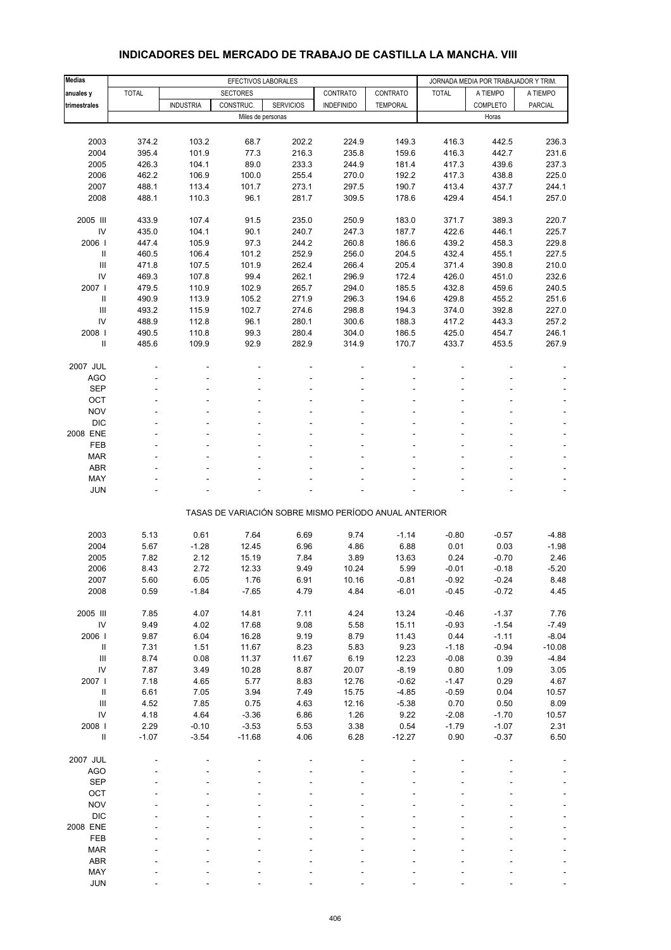| <b>Medias</b>                      | EFECTIVOS LABORALES |                  |                 |                   |                                                       |                 | JORNADA MEDIA POR TRABAJADOR Y TRIM. |                 |                |
|------------------------------------|---------------------|------------------|-----------------|-------------------|-------------------------------------------------------|-----------------|--------------------------------------|-----------------|----------------|
| anuales y                          | <b>TOTAL</b>        |                  | <b>SECTORES</b> |                   | CONTRATO                                              | CONTRATO        | <b>TOTAL</b>                         | A TIEMPO        | A TIEMPO       |
| trimestrales                       |                     | <b>INDUSTRIA</b> | CONSTRUC.       | <b>SERVICIOS</b>  | <b>INDEFINIDO</b>                                     | <b>TEMPORAL</b> |                                      | <b>COMPLETO</b> | <b>PARCIAL</b> |
|                                    |                     |                  |                 | Miles de personas |                                                       |                 |                                      | Horas           |                |
|                                    |                     |                  |                 |                   |                                                       |                 |                                      |                 |                |
| 2003                               | 374.2               | 103.2            | 68.7            | 202.2             | 224.9                                                 | 149.3           | 416.3                                | 442.5           | 236.3          |
| 2004                               | 395.4               | 101.9            | 77.3            | 216.3             | 235.8                                                 | 159.6           | 416.3                                | 442.7           | 231.6          |
| 2005                               | 426.3               | 104.1            | 89.0            | 233.3             | 244.9                                                 | 181.4           | 417.3                                | 439.6           | 237.3          |
| 2006                               | 462.2               | 106.9            | 100.0           | 255.4             | 270.0                                                 | 192.2           | 417.3                                | 438.8           | 225.0          |
| 2007                               | 488.1               | 113.4            | 101.7           | 273.1             | 297.5                                                 | 190.7           | 413.4                                | 437.7           | 244.1          |
| 2008                               | 488.1               | 110.3            | 96.1            | 281.7             | 309.5                                                 | 178.6           | 429.4                                | 454.1           | 257.0          |
| 2005 III                           | 433.9               | 107.4            | 91.5            | 235.0             | 250.9                                                 | 183.0           | 371.7                                | 389.3           | 220.7          |
| IV                                 | 435.0               | 104.1            | 90.1            | 240.7             | 247.3                                                 | 187.7           | 422.6                                | 446.1           | 225.7          |
| 2006                               | 447.4               | 105.9            | 97.3            | 244.2             | 260.8                                                 | 186.6           | 439.2                                | 458.3           | 229.8          |
| Ш                                  | 460.5               | 106.4            | 101.2           | 252.9             | 256.0                                                 | 204.5           | 432.4                                | 455.1           | 227.5          |
| III                                | 471.8               | 107.5            | 101.9           | 262.4             | 266.4                                                 | 205.4           | 371.4                                | 390.8           | 210.0          |
| IV                                 | 469.3               | 107.8            | 99.4            | 262.1             | 296.9                                                 | 172.4           | 426.0                                | 451.0           | 232.6          |
| 2007                               | 479.5               | 110.9            | 102.9           | 265.7             | 294.0                                                 | 185.5           | 432.8                                | 459.6           | 240.5          |
| $\ensuremath{\mathsf{II}}$         | 490.9               | 113.9            | 105.2           | 271.9             | 296.3                                                 | 194.6           | 429.8                                | 455.2           | 251.6          |
| $\mathsf{III}$                     | 493.2               | 115.9            | 102.7           | 274.6             | 298.8                                                 | 194.3           | 374.0                                | 392.8           | 227.0          |
| IV                                 | 488.9               | 112.8            | 96.1            | 280.1             | 300.6                                                 | 188.3           | 417.2                                | 443.3           | 257.2          |
| 2008                               | 490.5               | 110.8            | 99.3            | 280.4             | 304.0                                                 | 186.5           | 425.0                                | 454.7           | 246.1          |
| $\ensuremath{\mathsf{II}}$         | 485.6               | 109.9            | 92.9            | 282.9             | 314.9                                                 | 170.7           | 433.7                                | 453.5           | 267.9          |
| 2007 JUL                           |                     |                  |                 |                   |                                                       |                 |                                      |                 |                |
| <b>AGO</b>                         |                     |                  |                 | ÷                 |                                                       |                 |                                      |                 |                |
| <b>SEP</b>                         |                     |                  |                 |                   |                                                       |                 |                                      |                 |                |
| OCT                                |                     |                  |                 |                   |                                                       |                 |                                      |                 |                |
| <b>NOV</b>                         |                     |                  |                 |                   |                                                       |                 |                                      |                 |                |
| <b>DIC</b>                         |                     |                  |                 |                   |                                                       |                 |                                      |                 |                |
| 2008 ENE                           |                     |                  |                 |                   |                                                       |                 |                                      |                 |                |
| <b>FEB</b>                         |                     |                  |                 |                   |                                                       |                 |                                      |                 |                |
| <b>MAR</b>                         |                     |                  |                 |                   |                                                       |                 |                                      |                 |                |
| <b>ABR</b>                         |                     |                  |                 |                   |                                                       |                 |                                      |                 |                |
| MAY                                |                     |                  |                 |                   |                                                       |                 |                                      |                 |                |
| <b>JUN</b>                         |                     |                  |                 |                   |                                                       |                 |                                      |                 |                |
|                                    |                     |                  |                 |                   |                                                       |                 |                                      |                 |                |
|                                    |                     |                  |                 |                   | TASAS DE VARIACIÓN SOBRE MISMO PERÍODO ANUAL ANTERIOR |                 |                                      |                 |                |
| 2003                               | 5.13                | 0.61             | 7.64            | 6.69              | 9.74                                                  | $-1.14$         | $-0.80$                              | $-0.57$         | $-4.88$        |
| 2004                               | 5.67                | $-1.28$          | 12.45           | 6.96              | 4.86                                                  | 6.88            | 0.01                                 | 0.03            | $-1.98$        |
| 2005                               | 7.82                | 2.12             | 15.19           | 7.84              | 3.89                                                  | 13.63           | 0.24                                 | $-0.70$         | 2.46           |
| 2006                               | 8.43                | 2.72             | 12.33           | 9.49              | 10.24                                                 | 5.99            | $-0.01$                              | $-0.18$         | $-5.20$        |
| 2007                               | 5.60                | 6.05             | 1.76            | 6.91              | 10.16                                                 | $-0.81$         | $-0.92$                              | $-0.24$         | 8.48           |
| 2008                               | 0.59                | $-1.84$          | $-7.65$         | 4.79              | 4.84                                                  | $-6.01$         | $-0.45$                              | $-0.72$         | 4.45           |
| 2005 III                           | 7.85                | 4.07             | 14.81           | 7.11              | 4.24                                                  | 13.24           | $-0.46$                              | $-1.37$         | 7.76           |
| IV                                 | 9.49                | 4.02             | 17.68           | 9.08              | 5.58                                                  | 15.11           | $-0.93$                              | $-1.54$         | $-7.49$        |
| 2006                               | 9.87                | 6.04             | 16.28           | 9.19              | 8.79                                                  | 11.43           | 0.44                                 | $-1.11$         | $-8.04$        |
| Ш                                  | 7.31                | 1.51             | 11.67           | 8.23              | 5.83                                                  | 9.23            | $-1.18$                              | $-0.94$         | $-10.08$       |
| $\ensuremath{\mathsf{III}}\xspace$ | 8.74                | 0.08             | 11.37           | 11.67             | 6.19                                                  | 12.23           | $-0.08$                              | 0.39            | $-4.84$        |
| IV                                 | 7.87                | 3.49             | 10.28           | 8.87              | 20.07                                                 | $-8.19$         | 0.80                                 | 1.09            | 3.05           |
| 2007 l                             | 7.18                | 4.65             | 5.77            | 8.83              | 12.76                                                 | $-0.62$         | $-1.47$                              | 0.29            | 4.67           |
| $\sf II$                           | 6.61                | 7.05             | 3.94            | 7.49              | 15.75                                                 | $-4.85$         | $-0.59$                              | 0.04            | 10.57          |
| $\mathbf{III}$                     | 4.52                | 7.85             | 0.75            | 4.63              | 12.16                                                 | $-5.38$         | 0.70                                 | 0.50            | 8.09           |
| IV                                 | 4.18                | 4.64             | $-3.36$         | 6.86              | 1.26                                                  | 9.22            | $-2.08$                              | $-1.70$         | 10.57          |
| 2008 l                             | 2.29                | $-0.10$          | $-3.53$         | 5.53              | 3.38                                                  | 0.54            | $-1.79$                              | $-1.07$         | 2.31           |
| $\ensuremath{\mathsf{II}}$         | $-1.07$             | $-3.54$          | $-11.68$        | 4.06              | 6.28                                                  | $-12.27$        | 0.90                                 | $-0.37$         | 6.50           |
| 2007 JUL                           |                     |                  |                 |                   |                                                       |                 |                                      |                 |                |
| <b>AGO</b>                         |                     |                  |                 |                   |                                                       |                 |                                      |                 |                |
| <b>SEP</b>                         |                     |                  |                 |                   |                                                       |                 |                                      |                 |                |
| OCT                                |                     |                  |                 |                   |                                                       |                 |                                      |                 |                |
| <b>NOV</b>                         |                     |                  |                 |                   |                                                       |                 |                                      |                 |                |
| <b>DIC</b>                         |                     |                  |                 |                   |                                                       |                 |                                      |                 |                |
| 2008 ENE                           |                     |                  |                 |                   |                                                       |                 |                                      |                 |                |
| FEB                                |                     |                  |                 |                   |                                                       |                 |                                      |                 |                |
| <b>MAR</b>                         |                     |                  |                 |                   |                                                       |                 |                                      |                 |                |
| ABR                                |                     |                  |                 |                   |                                                       |                 |                                      |                 |                |
| MAY                                |                     |                  |                 |                   |                                                       |                 |                                      |                 |                |

#### **INDICADORES DEL MERCADO DE TRABAJO DE CASTILLA LA MANCHA. VIII**

JUN - - - - - - - - -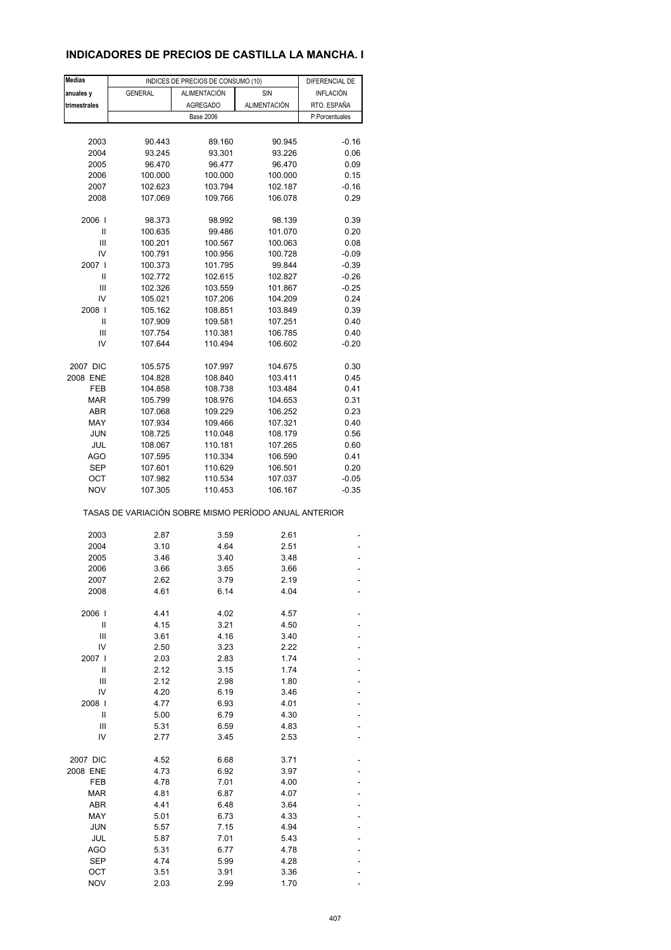## **INDICADORES DE PRECIOS DE CASTILLA LA MANCHA. I**

| <b>Medias</b> |                                                                  | INDICES DE PRECIOS DE CONSUMO (10) |              | DIFERENCIAL DE |  |  |
|---------------|------------------------------------------------------------------|------------------------------------|--------------|----------------|--|--|
| anuales y     | <b>GENERAL</b>                                                   | <b>ALIMENTACIÓN</b>                | SIN          | INFLACIÓN      |  |  |
| trimestrales  |                                                                  | <b>AGREGADO</b>                    | ALIMENTACIÓN | RTO. ESPAÑA    |  |  |
|               |                                                                  | <b>Base 2006</b>                   |              | P.Porcentuales |  |  |
|               |                                                                  |                                    |              |                |  |  |
| 2003          | 90.443                                                           | 89.160                             | 90.945       | $-0.16$        |  |  |
| 2004          | 93.245                                                           | 93.301                             | 93.226       | 0.06           |  |  |
| 2005          | 96.470                                                           | 96.477                             | 96.470       | 0.09           |  |  |
| 2006          | 100.000                                                          | 100.000                            | 100.000      | 0.15           |  |  |
| 2007          | 102.623                                                          | 103.794                            | 102.187      | $-0.16$        |  |  |
| 2008          | 107.069                                                          | 109.766                            | 106.078      | 0.29           |  |  |
| 2006          | 98.373                                                           | 98.992                             | 98.139       | 0.39           |  |  |
| Ш             | 100.635                                                          | 99.486                             | 101.070      | 0.20           |  |  |
| Ш             | 100.201                                                          | 100.567                            | 100.063      | 0.08           |  |  |
| IV            | 100.791                                                          | 100.956                            | 100.728      | $-0.09$        |  |  |
| 2007 l        | 100.373                                                          | 101.795                            | 99.844       | $-0.39$        |  |  |
| Ш             | 102.772                                                          | 102.615                            | 102.827      | $-0.26$        |  |  |
| Ш             | 102.326                                                          | 103.559                            | 101.867      | $-0.25$        |  |  |
| IV            | 105.021                                                          | 107.206                            | 104.209      | 0.24           |  |  |
| 2008          | 105.162                                                          | 108.851                            | 103.849      | 0.39           |  |  |
| Ш             | 107.909                                                          | 109.581                            | 107.251      | 0.40           |  |  |
| Ш             | 107.754                                                          | 110.381                            | 106.785      | 0.40           |  |  |
| IV            | 107.644                                                          | 110.494                            | 106.602      | $-0.20$        |  |  |
| 2007 DIC      | 105.575                                                          | 107.997                            | 104.675      | 0.30           |  |  |
| 2008 ENE      | 104.828                                                          | 108.840                            | 103.411      | 0.45           |  |  |
| FEB           | 104.858                                                          | 108.738                            | 103.484      | 0.41           |  |  |
| <b>MAR</b>    | 105.799                                                          | 108.976                            | 104.653      | 0.31           |  |  |
| ABR           | 107.068                                                          | 109.229                            | 106.252      | 0.23           |  |  |
| MAY           | 107.934                                                          | 109.466                            | 107.321      | 0.40           |  |  |
| <b>JUN</b>    | 108.725                                                          | 110.048                            | 108.179      | 0.56           |  |  |
| JUL           | 108.067                                                          | 110.181                            | 107.265      | 0.60           |  |  |
| AGO           | 107.595                                                          | 110.334                            | 106.590      | 0.41           |  |  |
| SEP           | 107.601                                                          | 110.629                            | 106.501      | 0.20           |  |  |
| ОСТ           | 107.982                                                          | 110.534                            | 107.037      | $-0.05$        |  |  |
| <b>NOV</b>    | 107.305<br>TASAS DE VARIACIÓN SOBRE MISMO PERÍODO ANUAL ANTERIOR | 110.453                            | 106.167      | $-0.35$        |  |  |
|               |                                                                  |                                    |              |                |  |  |
| 2003          | 2.87                                                             | 3.59                               | 2.61         |                |  |  |
| 2004          | 3.10                                                             | 4.64                               | 2.51         |                |  |  |
| 2005          | 3.46                                                             | 3.40                               | 3.48         |                |  |  |
| 2006          | 3.66                                                             | 3.65                               | 3.66         |                |  |  |
| 2007<br>2008  | 2.62<br>4.61                                                     | 3.79<br>6.14                       | 2.19<br>4.04 |                |  |  |
|               |                                                                  |                                    |              |                |  |  |
| 2006          | 4.41                                                             | 4.02                               | 4.57         |                |  |  |
| Ш             | 4.15                                                             | 3.21                               | 4.50         |                |  |  |
| Ш             | 3.61                                                             | 4.16                               | 3.40         |                |  |  |
| IV            | 2.50                                                             | 3.23                               | 2.22         |                |  |  |
| 2007  <br>Ш   | 2.03<br>2.12                                                     | 2.83                               | 1.74         |                |  |  |
| Ш             | 2.12                                                             | 3.15<br>2.98                       | 1.74<br>1.80 |                |  |  |
| IV            | 4.20                                                             | 6.19                               | 3.46         |                |  |  |
| 2008          | 4.77                                                             | 6.93                               | 4.01         |                |  |  |
| Ш             | 5.00                                                             | 6.79                               | 4.30         |                |  |  |
| Ш             | 5.31                                                             | 6.59                               | 4.83         |                |  |  |
| IV            | 2.77                                                             | 3.45                               | 2.53         |                |  |  |
| 2007 DIC      | 4.52                                                             | 6.68                               | 3.71         |                |  |  |
| 2008 ENE      | 4.73                                                             | 6.92                               | 3.97         |                |  |  |
| FEB           | 4.78                                                             | 7.01                               | 4.00         |                |  |  |
| MAR           | 4.81                                                             | 6.87                               | 4.07         |                |  |  |
| ABR           | 4.41                                                             | 6.48                               | 3.64         |                |  |  |
| MAY           | 5.01                                                             | 6.73                               | 4.33         |                |  |  |
| <b>JUN</b>    | 5.57                                                             | 7.15                               | 4.94         |                |  |  |
| JUL           | 5.87                                                             | 7.01                               | 5.43         |                |  |  |
| AGO           | 5.31                                                             | 6.77                               | 4.78         |                |  |  |
| <b>SEP</b>    | 4.74                                                             | 5.99                               | 4.28         |                |  |  |
| OCT           | 3.51                                                             | 3.91                               | 3.36         |                |  |  |
| <b>NOV</b>    | 2.03                                                             | 2.99                               | 1.70         |                |  |  |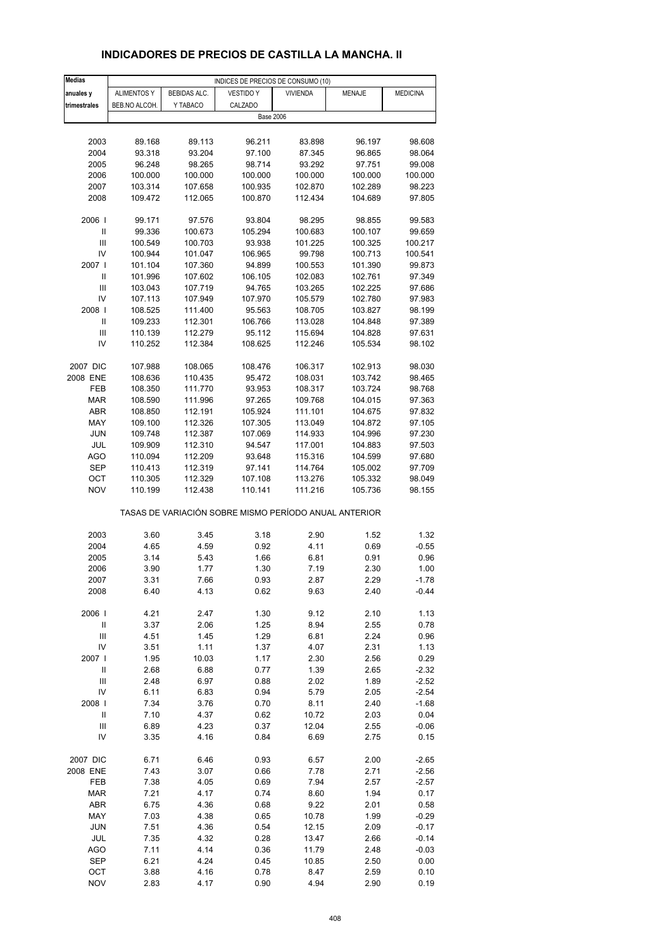# **INDICADORES DE PRECIOS DE CASTILLA LA MANCHA. II**

| <b>Medias</b>                                         | INDICES DE PRECIOS DE CONSUMO (10) |                    |                   |                    |                    |                  |  |  |
|-------------------------------------------------------|------------------------------------|--------------------|-------------------|--------------------|--------------------|------------------|--|--|
| anuales y                                             | <b>ALIMENTOS Y</b>                 | BEBIDAS ALC.       | VESTIDO Y         | <b>VIVIENDA</b>    | <b>MENAJE</b>      | <b>MEDICINA</b>  |  |  |
| trimestrales                                          | BEB.NO ALCOH.                      | Y TABACO           | CALZADO           |                    |                    |                  |  |  |
|                                                       |                                    |                    | <b>Base 2006</b>  |                    |                    |                  |  |  |
|                                                       |                                    |                    |                   |                    |                    |                  |  |  |
| 2003                                                  | 89.168                             | 89.113             | 96.211            | 83.898             | 96.197             | 98.608           |  |  |
| 2004                                                  | 93.318                             | 93.204             | 97.100            | 87.345             | 96.865             | 98.064           |  |  |
| 2005                                                  | 96.248                             | 98.265             | 98.714            | 93.292             | 97.751             | 99.008           |  |  |
| 2006                                                  | 100.000                            | 100.000            | 100.000           | 100.000            | 100.000            | 100.000          |  |  |
| 2007                                                  | 103.314                            | 107.658            | 100.935           | 102.870            | 102.289            | 98.223           |  |  |
| 2008                                                  | 109.472                            | 112.065            | 100.870           | 112.434            | 104.689            | 97.805           |  |  |
|                                                       |                                    |                    |                   |                    |                    |                  |  |  |
| 2006                                                  | 99.171                             | 97.576             | 93.804            | 98.295             | 98.855             | 99.583           |  |  |
| Ш                                                     | 99.336                             | 100.673            | 105.294           | 100.683            | 100.107            | 99.659           |  |  |
| Ш                                                     | 100.549                            | 100.703            | 93.938            | 101.225            | 100.325            | 100.217          |  |  |
| IV                                                    | 100.944                            | 101.047            | 106.965           | 99.798             | 100.713            | 100.541          |  |  |
| 2007 I                                                | 101.104                            | 107.360            | 94.899            | 100.553            | 101.390            | 99.873           |  |  |
| Ш                                                     | 101.996                            | 107.602            | 106.105           | 102.083            | 102.761            | 97.349           |  |  |
| Ш                                                     | 103.043                            | 107.719            | 94.765            | 103.265            | 102.225            | 97.686           |  |  |
| IV                                                    | 107.113                            | 107.949            | 107.970           | 105.579            | 102.780            | 97.983           |  |  |
| 2008                                                  | 108.525                            | 111.400            | 95.563            | 108.705            | 103.827            | 98.199           |  |  |
| Ш                                                     | 109.233                            | 112.301            | 106.766           | 113.028            | 104.848            | 97.389           |  |  |
| Ш                                                     | 110.139                            | 112.279            | 95.112            | 115.694            | 104.828            | 97.631           |  |  |
| IV                                                    | 110.252                            | 112.384            | 108.625           | 112.246            | 105.534            | 98.102           |  |  |
|                                                       |                                    |                    |                   |                    |                    |                  |  |  |
| 2007 DIC                                              |                                    |                    |                   |                    |                    |                  |  |  |
| 2008 ENE                                              | 107.988<br>108.636                 | 108.065<br>110.435 | 108.476<br>95.472 | 106.317<br>108.031 | 102.913<br>103.742 | 98.030<br>98.465 |  |  |
| FEB                                                   | 108.350                            | 111.770            | 93.953            | 108.317            | 103.724            | 98.768           |  |  |
| <b>MAR</b>                                            | 108.590                            | 111.996            | 97.265            | 109.768            | 104.015            | 97.363           |  |  |
|                                                       |                                    |                    |                   |                    |                    |                  |  |  |
| ABR                                                   | 108.850                            | 112.191            | 105.924           | 111.101            | 104.675            | 97.832           |  |  |
| MAY                                                   | 109.100                            | 112.326            | 107.305           | 113.049            | 104.872            | 97.105           |  |  |
| JUN                                                   | 109.748                            | 112.387            | 107.069           | 114.933            | 104.996            | 97.230           |  |  |
| JUL                                                   | 109.909                            | 112.310            | 94.547            | 117.001            | 104.883            | 97.503           |  |  |
| AGO                                                   | 110.094                            | 112.209            | 93.648            | 115.316            | 104.599            | 97.680           |  |  |
| SEP                                                   | 110.413                            | 112.319            | 97.141            | 114.764            | 105.002            | 97.709           |  |  |
| ОСТ                                                   | 110.305                            | 112.329            | 107.108           | 113.276            | 105.332            | 98.049           |  |  |
| <b>NOV</b>                                            | 110.199                            | 112.438            | 110.141           | 111.216            | 105.736            | 98.155           |  |  |
| TASAS DE VARIACIÓN SOBRE MISMO PERÍODO ANUAL ANTERIOR |                                    |                    |                   |                    |                    |                  |  |  |
| 2003                                                  | 3.60                               | 3.45               | 3.18              | 2.90               | 1.52               | 1.32             |  |  |
| 2004                                                  | 4.65                               | 4.59               | 0.92              | 4.11               | 0.69               | $-0.55$          |  |  |
| 2005                                                  | 3.14                               | 5.43               | 1.66              | 6.81               | 0.91               | 0.96             |  |  |
| 2006                                                  | 3.90                               | 1.77               | 1.30              | 7.19               | 2.30               | 1.00             |  |  |
| 2007                                                  | 3.31                               | 7.66               | 0.93              | 2.87               | 2.29               | $-1.78$          |  |  |
| 2008                                                  | 6.40                               | 4.13               | 0.62              | 9.63               | 2.40               | $-0.44$          |  |  |
|                                                       |                                    |                    |                   |                    |                    |                  |  |  |
| 2006                                                  | 4.21                               | 2.47               | 1.30              | 9.12               | 2.10               | 1.13             |  |  |
| Ш                                                     | 3.37                               | 2.06               | 1.25              | 8.94               | 2.55               | 0.78             |  |  |
| Ш                                                     | 4.51                               | 1.45               | 1.29              | 6.81               | 2.24               | 0.96             |  |  |
| IV                                                    | 3.51                               | 1.11               | 1.37              | 4.07               | 2.31               | 1.13             |  |  |
| 2007 l                                                | 1.95                               | 10.03              | 1.17              | 2.30               | 2.56               | 0.29             |  |  |
| $\ensuremath{\mathsf{II}}$                            | 2.68                               | 6.88               | 0.77              | 1.39               | 2.65               | $-2.32$          |  |  |
| Ш                                                     | 2.48                               | 6.97               | 0.88              | 2.02               | 1.89               | $-2.52$          |  |  |
| IV                                                    | 6.11                               | 6.83               | 0.94              | 5.79               | 2.05               | $-2.54$          |  |  |
| 2008                                                  | 7.34                               | 3.76               | 0.70              | 8.11               | 2.40               | $-1.68$          |  |  |
| Ш                                                     | 7.10                               | 4.37               | 0.62              | 10.72              | 2.03               | 0.04             |  |  |
| Ш                                                     | 6.89                               | 4.23               | 0.37              | 12.04              | 2.55               | $-0.06$          |  |  |
| IV                                                    | 3.35                               | 4.16               | 0.84              | 6.69               | 2.75               | 0.15             |  |  |
|                                                       |                                    |                    |                   |                    |                    |                  |  |  |
| 2007 DIC                                              | 6.71                               | 6.46               | 0.93              | 6.57               | 2.00               | $-2.65$          |  |  |
| 2008 ENE                                              | 7.43                               | 3.07               | 0.66              | 7.78               | 2.71               | $-2.56$          |  |  |
| FEB                                                   | 7.38                               | 4.05               | 0.69              | 7.94               | 2.57               | $-2.57$          |  |  |
| <b>MAR</b>                                            | 7.21                               | 4.17               | 0.74              | 8.60               | 1.94               | 0.17             |  |  |
| ABR                                                   | 6.75                               | 4.36               | 0.68              | 9.22               | 2.01               | 0.58             |  |  |
| MAY                                                   | 7.03                               | 4.38               | 0.65              | 10.78              | 1.99               | $-0.29$          |  |  |
| <b>JUN</b>                                            | 7.51                               | 4.36               | 0.54              | 12.15              | 2.09               | $-0.17$          |  |  |
| JUL                                                   | 7.35                               | 4.32               | 0.28              | 13.47              | 2.66               | $-0.14$          |  |  |
| AGO                                                   | 7.11                               | 4.14               | 0.36              | 11.79              | 2.48               | $-0.03$          |  |  |
| <b>SEP</b>                                            | 6.21                               | 4.24               | 0.45              | 10.85              | 2.50               | 0.00             |  |  |
|                                                       |                                    | 4.16               | 0.78              |                    | 2.59               | 0.10             |  |  |
| OCT<br><b>NOV</b>                                     | 3.88<br>2.83                       | 4.17               | 0.90              | 8.47<br>4.94       | 2.90               | 0.19             |  |  |
|                                                       |                                    |                    |                   |                    |                    |                  |  |  |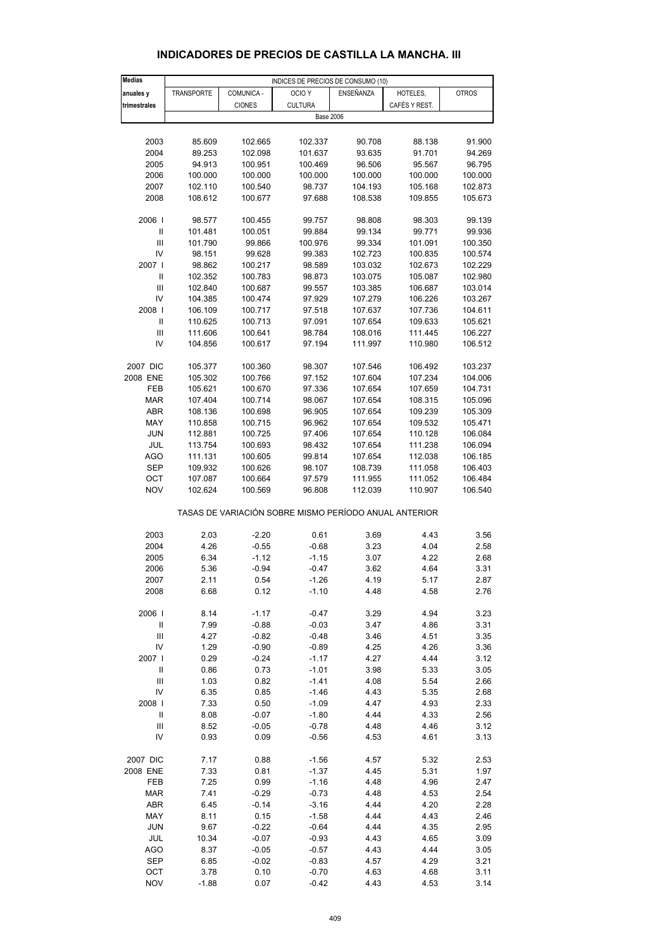| <b>Medias</b>                      |                   |               | INDICES DE PRECIOS DE CONSUMO (10)                    |           |               |              |  |  |
|------------------------------------|-------------------|---------------|-------------------------------------------------------|-----------|---------------|--------------|--|--|
| anuales y                          | <b>TRANSPORTE</b> | COMUNICA -    | OCIO <sub>Y</sub>                                     | ENSEÑANZA | HOTELES,      | <b>OTROS</b> |  |  |
| trimestrales                       |                   | <b>CIONES</b> | <b>CULTURA</b>                                        |           | CAFÉS Y REST. |              |  |  |
|                                    |                   |               | <b>Base 2006</b>                                      |           |               |              |  |  |
|                                    |                   |               |                                                       |           |               |              |  |  |
|                                    |                   |               |                                                       |           |               |              |  |  |
| 2003                               | 85.609            | 102.665       | 102.337                                               | 90.708    | 88.138        | 91.900       |  |  |
| 2004                               | 89.253            | 102.098       | 101.637                                               | 93.635    | 91.701        | 94.269       |  |  |
| 2005                               | 94.913            | 100.951       | 100.469                                               | 96.506    | 95.567        | 96.795       |  |  |
| 2006                               | 100.000           | 100.000       | 100.000                                               | 100.000   | 100.000       | 100.000      |  |  |
| 2007                               | 102.110           | 100.540       | 98.737                                                | 104.193   | 105.168       | 102.873      |  |  |
| 2008                               | 108.612           | 100.677       | 97.688                                                | 108.538   | 109.855       | 105.673      |  |  |
|                                    |                   |               |                                                       |           |               |              |  |  |
| 2006                               | 98.577            | 100.455       | 99.757                                                | 98.808    | 98.303        | 99.139       |  |  |
|                                    |                   |               |                                                       |           |               |              |  |  |
| Ш                                  | 101.481           | 100.051       | 99.884                                                | 99.134    | 99.771        | 99.936       |  |  |
| Ш                                  | 101.790           | 99.866        | 100.976                                               | 99.334    | 101.091       | 100.350      |  |  |
| IV                                 | 98.151            | 99.628        | 99.383                                                | 102.723   | 100.835       | 100.574      |  |  |
| 2007                               | 98.862            | 100.217       | 98.589                                                | 103.032   | 102.673       | 102.229      |  |  |
| Ш                                  | 102.352           | 100.783       | 98.873                                                | 103.075   | 105.087       | 102.980      |  |  |
| Ш                                  | 102.840           | 100.687       | 99.557                                                | 103.385   | 106.687       | 103.014      |  |  |
| IV                                 | 104.385           | 100.474       | 97.929                                                | 107.279   | 106.226       | 103.267      |  |  |
| 2008                               | 106.109           | 100.717       | 97.518                                                | 107.637   | 107.736       | 104.611      |  |  |
| $\ensuremath{\mathsf{II}}$         | 110.625           | 100.713       | 97.091                                                | 107.654   | 109.633       | 105.621      |  |  |
| Ш                                  | 111.606           | 100.641       | 98.784                                                | 108.016   | 111.445       | 106.227      |  |  |
|                                    |                   |               |                                                       |           |               |              |  |  |
| IV                                 | 104.856           | 100.617       | 97.194                                                | 111.997   | 110.980       | 106.512      |  |  |
|                                    |                   |               |                                                       |           |               |              |  |  |
| 2007 DIC                           | 105.377           | 100.360       | 98.307                                                | 107.546   | 106.492       | 103.237      |  |  |
| 2008 ENE                           | 105.302           | 100.766       | 97.152                                                | 107.604   | 107.234       | 104.006      |  |  |
| FEB                                | 105.621           | 100.670       | 97.336                                                | 107.654   | 107.659       | 104.731      |  |  |
| MAR                                | 107.404           | 100.714       | 98.067                                                | 107.654   | 108.315       | 105.096      |  |  |
| ABR                                | 108.136           | 100.698       | 96.905                                                | 107.654   | 109.239       | 105.309      |  |  |
| MAY                                | 110.858           | 100.715       | 96.962                                                | 107.654   | 109.532       | 105.471      |  |  |
| <b>JUN</b>                         | 112.881           | 100.725       | 97.406                                                | 107.654   | 110.128       | 106.084      |  |  |
| JUL                                | 113.754           | 100.693       | 98.432                                                | 107.654   | 111.238       | 106.094      |  |  |
|                                    |                   |               |                                                       |           |               |              |  |  |
| AGO                                | 111.131           | 100.605       | 99.814                                                | 107.654   | 112.038       | 106.185      |  |  |
| SEP                                | 109.932           | 100.626       | 98.107                                                | 108.739   | 111.058       | 106.403      |  |  |
| ОСТ                                | 107.087           | 100.664       | 97.579                                                | 111.955   | 111.052       | 106.484      |  |  |
| <b>NOV</b>                         | 102.624           | 100.569       | 96.808                                                | 112.039   | 110.907       | 106.540      |  |  |
|                                    |                   |               |                                                       |           |               |              |  |  |
|                                    |                   |               | TASAS DE VARIACIÓN SOBRE MISMO PERÍODO ANUAL ANTERIOR |           |               |              |  |  |
|                                    |                   |               |                                                       |           |               |              |  |  |
| 2003                               | 2.03              | $-2.20$       | 0.61                                                  | 3.69      | 4.43          | 3.56         |  |  |
| 2004                               | 4.26              | $-0.55$       | $-0.68$                                               | 3.23      | 4.04          | 2.58         |  |  |
| 2005                               | 6.34              | $-1.12$       | $-1.15$                                               | 3.07      | 4.22          | 2.68         |  |  |
| 2006                               | 5.36              | $-0.94$       | $-0.47$                                               | 3.62      | 4.64          | 3.31         |  |  |
| 2007                               | 2.11              | 0.54          | $-1.26$                                               | 4.19      | 5.17          | 2.87         |  |  |
| 2008                               | 6.68              |               | $-1.10$                                               | 4.48      | 4.58          | 2.76         |  |  |
|                                    |                   | 0.12          |                                                       |           |               |              |  |  |
|                                    |                   |               |                                                       |           |               |              |  |  |
| 2006                               | 8.14              | $-1.17$       | $-0.47$                                               | 3.29      | 4.94          | 3.23         |  |  |
| Ш                                  | 7.99              | $-0.88$       | $-0.03$                                               | 3.47      | 4.86          | 3.31         |  |  |
| $\ensuremath{\mathsf{III}}\xspace$ | 4.27              | $-0.82$       | $-0.48$                                               | 3.46      | 4.51          | 3.35         |  |  |
| IV                                 | 1.29              | $-0.90$       | $-0.89$                                               | 4.25      | 4.26          | 3.36         |  |  |
| 2007                               | 0.29              | $-0.24$       | $-1.17$                                               | 4.27      | 4.44          | 3.12         |  |  |
| $\ensuremath{\mathsf{II}}$         | 0.86              | 0.73          | $-1.01$                                               | 3.98      | 5.33          | 3.05         |  |  |
| Ш                                  | 1.03              | 0.82          | $-1.41$                                               | 4.08      | 5.54          | 2.66         |  |  |
| IV                                 | 6.35              | 0.85          | $-1.46$                                               | 4.43      | 5.35          | 2.68         |  |  |
| 2008                               | 7.33              | 0.50          |                                                       | 4.47      | 4.93          | 2.33         |  |  |
|                                    |                   |               | $-1.09$                                               |           |               |              |  |  |
| Ш                                  | 8.08              | $-0.07$       | $-1.80$                                               | 4.44      | 4.33          | 2.56         |  |  |
| Ш                                  | 8.52              | $-0.05$       | $-0.78$                                               | 4.48      | 4.46          | 3.12         |  |  |
| IV                                 | 0.93              | 0.09          | $-0.56$                                               | 4.53      | 4.61          | 3.13         |  |  |
|                                    |                   |               |                                                       |           |               |              |  |  |
| 2007 DIC                           | 7.17              | 0.88          | $-1.56$                                               | 4.57      | 5.32          | 2.53         |  |  |
| 2008 ENE                           | 7.33              | 0.81          | $-1.37$                                               | 4.45      | 5.31          | 1.97         |  |  |
| FEB                                | 7.25              | 0.99          | $-1.16$                                               | 4.48      | 4.96          | 2.47         |  |  |
| MAR                                | 7.41              | $-0.29$       | $-0.73$                                               | 4.48      | 4.53          | 2.54         |  |  |
| ABR                                | 6.45              | $-0.14$       | $-3.16$                                               | 4.44      | 4.20          | 2.28         |  |  |
| MAY                                | 8.11              | 0.15          | $-1.58$                                               | 4.44      | 4.43          | 2.46         |  |  |
|                                    |                   |               |                                                       |           |               | 2.95         |  |  |
| <b>JUN</b>                         | 9.67              | $-0.22$       | $-0.64$                                               | 4.44      | 4.35          |              |  |  |
| JUL                                | 10.34             | $-0.07$       | $-0.93$                                               | 4.43      | 4.65          | 3.09         |  |  |
| AGO                                | 8.37              | $-0.05$       | $-0.57$                                               | 4.43      | 4.44          | 3.05         |  |  |
| <b>SEP</b>                         | 6.85              | $-0.02$       | $-0.83$                                               | 4.57      | 4.29          | 3.21         |  |  |
| OCT                                | 3.78              | 0.10          | $-0.70$                                               | 4.63      | 4.68          | 3.11         |  |  |

#### **INDICADORES DE PRECIOS DE CASTILLA LA MANCHA. III**

NOV -1.88 0.07 -0.42 4.43 4.53 3.14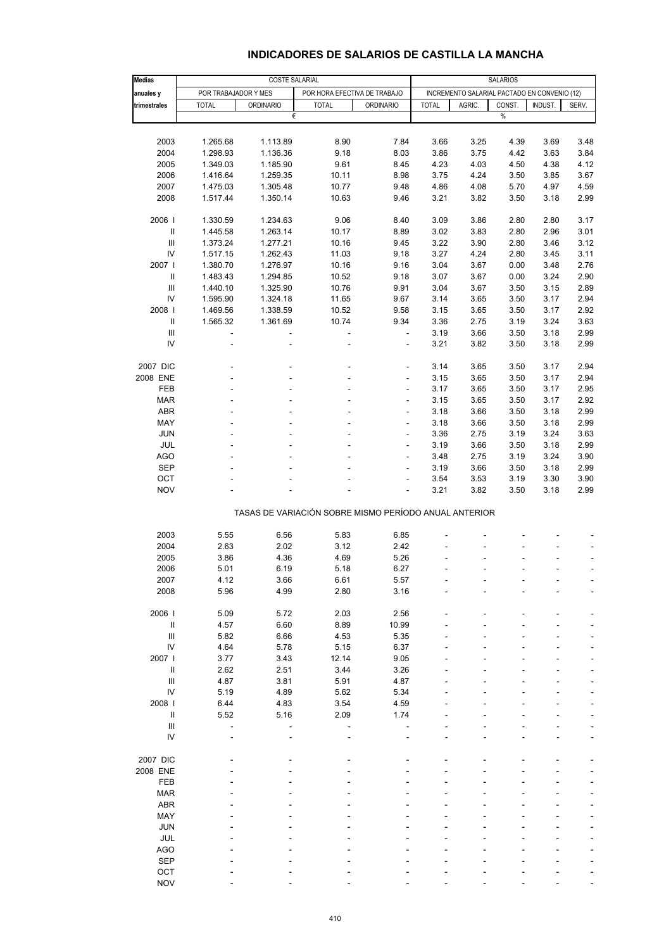#### **INDICADORES DE SALARIOS DE CASTILLA LA MANCHA**

| <b>Medias</b>                                         | <b>COSTE SALARIAL</b> |                  |                              |                              | <b>SALARIOS</b>                              |        |        |         |              |  |  |
|-------------------------------------------------------|-----------------------|------------------|------------------------------|------------------------------|----------------------------------------------|--------|--------|---------|--------------|--|--|
| anuales y                                             | POR TRABAJADOR Y MES  |                  | POR HORA EFECTIVA DE TRABAJO |                              | INCREMENTO SALARIAL PACTADO EN CONVENIO (12) |        |        |         |              |  |  |
| trimestrales                                          | <b>TOTAL</b>          | <b>ORDINARIO</b> | <b>TOTAL</b>                 | <b>ORDINARIO</b>             | <b>TOTAL</b>                                 | AGRIC. | CONST. | INDUST. | SERV.        |  |  |
|                                                       |                       | €                |                              |                              |                                              |        | $\%$   |         |              |  |  |
|                                                       |                       |                  |                              |                              |                                              |        |        |         |              |  |  |
| 2003                                                  | 1.265.68              | 1.113.89         | 8.90                         | 7.84                         | 3.66                                         | 3.25   | 4.39   | 3.69    | 3.48         |  |  |
| 2004                                                  | 1.298.93              | 1.136.36         | 9.18                         | 8.03                         | 3.86                                         | 3.75   | 4.42   | 3.63    | 3.84         |  |  |
| 2005                                                  | 1.349.03              | 1.185.90         | 9.61                         | 8.45                         | 4.23                                         | 4.03   | 4.50   | 4.38    | 4.12         |  |  |
| 2006                                                  | 1.416.64              | 1.259.35         | 10.11                        | 8.98                         | 3.75                                         | 4.24   | 3.50   | 3.85    | 3.67         |  |  |
| 2007                                                  | 1.475.03              | 1.305.48         | 10.77                        | 9.48                         | 4.86                                         | 4.08   | 5.70   | 4.97    | 4.59         |  |  |
| 2008                                                  | 1.517.44              | 1.350.14         | 10.63                        | 9.46                         | 3.21                                         | 3.82   | 3.50   | 3.18    | 2.99         |  |  |
| 2006                                                  | 1.330.59              | 1.234.63         | 9.06                         | 8.40                         | 3.09                                         | 3.86   | 2.80   | 2.80    | 3.17         |  |  |
| $\sf II$                                              | 1.445.58              | 1.263.14         | 10.17                        | 8.89                         | 3.02                                         | 3.83   | 2.80   | 2.96    | 3.01         |  |  |
| $\ensuremath{\mathsf{III}}\xspace$                    | 1.373.24              | 1.277.21         | 10.16                        | 9.45                         | 3.22                                         | 3.90   | 2.80   | 3.46    | 3.12         |  |  |
| ${\sf IV}$                                            | 1.517.15              | 1.262.43         | 11.03                        | 9.18                         | 3.27                                         | 4.24   | 2.80   | 3.45    | 3.11         |  |  |
| 2007                                                  | 1.380.70              | 1.276.97         | 10.16                        | 9.16                         | 3.04                                         | 3.67   | 0.00   | 3.48    | 2.76         |  |  |
| Ш                                                     | 1.483.43              | 1.294.85         | 10.52                        | 9.18                         | 3.07                                         | 3.67   | 0.00   | 3.24    | 2.90         |  |  |
| $\ensuremath{\mathsf{III}}\xspace$                    | 1.440.10              | 1.325.90         | 10.76                        | 9.91                         | 3.04                                         | 3.67   | 3.50   | 3.15    | 2.89         |  |  |
| IV                                                    | 1.595.90              | 1.324.18         | 11.65                        | 9.67                         | 3.14                                         | 3.65   | 3.50   | 3.17    | 2.94         |  |  |
| 2008                                                  | 1.469.56              | 1.338.59         | 10.52                        | 9.58                         | 3.15                                         | 3.65   | 3.50   | 3.17    | 2.92         |  |  |
| $\sf II$                                              | 1.565.32              | 1.361.69         | 10.74                        | 9.34                         | 3.36                                         | 2.75   | 3.19   | 3.24    | 3.63         |  |  |
| $\mathbf{III}$                                        | ÷                     |                  | ÷,                           | $\overline{\phantom{a}}$     | 3.19                                         | 3.66   | 3.50   | 3.18    | 2.99         |  |  |
| IV                                                    |                       |                  | ÷                            | ÷,                           | 3.21                                         | 3.82   | 3.50   | 3.18    | 2.99         |  |  |
|                                                       |                       |                  |                              |                              |                                              |        |        |         |              |  |  |
| 2007 DIC                                              |                       |                  |                              | ÷,                           | 3.14                                         | 3.65   | 3.50   | 3.17    | 2.94         |  |  |
| 2008 ENE                                              |                       |                  | ٠                            | $\qquad \qquad \blacksquare$ | 3.15                                         | 3.65   | 3.50   | 3.17    | 2.94         |  |  |
| <b>FEB</b>                                            |                       |                  |                              | $\overline{\phantom{a}}$     | 3.17                                         | 3.65   | 3.50   | 3.17    | 2.95         |  |  |
| <b>MAR</b>                                            |                       |                  |                              | $\qquad \qquad \blacksquare$ | 3.15                                         | 3.65   | 3.50   | 3.17    | 2.92         |  |  |
| <b>ABR</b>                                            |                       |                  | ٠                            | $\overline{a}$               | 3.18                                         | 3.66   | 3.50   | 3.18    | 2.99         |  |  |
| MAY                                                   |                       |                  |                              | ÷,                           | 3.18                                         | 3.66   | 3.50   | 3.18    | 2.99         |  |  |
| <b>JUN</b>                                            |                       |                  |                              | $\qquad \qquad \blacksquare$ | 3.36                                         | 2.75   | 3.19   | 3.24    | 3.63         |  |  |
| JUL                                                   |                       |                  | ٠                            | ÷,                           | 3.19                                         | 3.66   | 3.50   | 3.18    | 2.99         |  |  |
| <b>AGO</b>                                            |                       |                  |                              | ä,                           | 3.48                                         | 2.75   | 3.19   | 3.24    | 3.90         |  |  |
| <b>SEP</b>                                            |                       |                  |                              | ÷,                           | 3.19                                         | 3.66   | 3.50   | 3.18    | 2.99         |  |  |
| OCT<br><b>NOV</b>                                     |                       |                  |                              | ÷,                           | 3.54                                         | 3.53   | 3.19   | 3.30    | 3.90<br>2.99 |  |  |
|                                                       |                       |                  |                              |                              | 3.21                                         | 3.82   | 3.50   | 3.18    |              |  |  |
| TASAS DE VARIACIÓN SOBRE MISMO PERÍODO ANUAL ANTERIOR |                       |                  |                              |                              |                                              |        |        |         |              |  |  |
|                                                       |                       |                  |                              |                              |                                              |        |        |         |              |  |  |
| 2003                                                  | 5.55                  | 6.56             | 5.83                         | 6.85                         |                                              |        |        |         |              |  |  |
| 2004                                                  | 2.63                  | 2.02             | 3.12                         | 2.42                         |                                              |        |        |         |              |  |  |
| 2005                                                  | 3.86                  | 4.36             | 4.69                         | 5.26                         |                                              |        |        |         |              |  |  |
| 2006                                                  | 5.01                  | 6.19             | 5.18                         | 6.27                         |                                              |        |        | ÷       | ÷            |  |  |
| 2007                                                  | 4.12                  | 3.66             | 6.61                         | 5.57                         |                                              |        |        |         |              |  |  |
| 2008                                                  | 5.96                  | 4.99             | 2.80                         | 3.16                         |                                              |        |        |         |              |  |  |
| 2006                                                  | 5.09                  | 5.72             | 2.03                         | 2.56                         |                                              |        |        |         |              |  |  |
| $\sf II$                                              | 4.57                  | 6.60             | 8.89                         | 10.99                        |                                              |        |        |         |              |  |  |
| $\ensuremath{\mathsf{III}}\xspace$                    | 5.82                  | 6.66             | 4.53                         | 5.35                         |                                              |        |        |         |              |  |  |
| IV                                                    | 4.64                  | 5.78             | 5.15                         | 6.37                         |                                              |        |        |         |              |  |  |
| 2007                                                  | 3.77                  | 3.43             | 12.14                        | 9.05                         |                                              |        |        |         |              |  |  |
| $\ensuremath{\mathsf{II}}$                            | 2.62                  | 2.51             | 3.44                         | 3.26                         |                                              |        |        |         |              |  |  |
| $\ensuremath{\mathsf{III}}\xspace$                    | 4.87                  | 3.81             | 5.91                         | 4.87                         |                                              |        |        |         |              |  |  |
| ${\sf IV}$                                            | 5.19                  | 4.89             | 5.62                         | 5.34                         |                                              |        |        |         |              |  |  |
| 2008                                                  | 6.44                  | 4.83             | 3.54                         | 4.59                         |                                              |        |        |         |              |  |  |
| Ш                                                     | 5.52                  | 5.16             | 2.09                         | 1.74                         |                                              |        |        |         |              |  |  |
| $\ensuremath{\mathsf{III}}\xspace$                    |                       |                  |                              |                              |                                              |        |        |         |              |  |  |
| IV                                                    |                       |                  |                              |                              |                                              |        |        |         | ÷            |  |  |
|                                                       |                       |                  |                              |                              |                                              |        |        |         |              |  |  |
| 2007 DIC                                              |                       |                  |                              |                              |                                              |        |        |         |              |  |  |
| 2008 ENE                                              |                       |                  |                              |                              |                                              |        |        |         |              |  |  |
| FEB                                                   |                       |                  |                              |                              |                                              |        |        |         |              |  |  |
| <b>MAR</b>                                            |                       |                  |                              |                              |                                              |        |        |         |              |  |  |
| <b>ABR</b>                                            |                       |                  |                              |                              |                                              |        |        |         |              |  |  |
| MAY                                                   |                       |                  |                              |                              |                                              |        |        |         |              |  |  |
| <b>JUN</b>                                            |                       |                  |                              |                              |                                              |        |        |         |              |  |  |
| JUL                                                   |                       |                  |                              |                              |                                              |        |        |         |              |  |  |
| <b>AGO</b>                                            |                       |                  |                              |                              |                                              |        |        |         |              |  |  |
| <b>SEP</b>                                            |                       |                  |                              |                              |                                              |        |        |         |              |  |  |
| OCT                                                   |                       |                  |                              |                              |                                              |        |        |         |              |  |  |
| <b>NOV</b>                                            |                       |                  |                              |                              |                                              |        |        |         |              |  |  |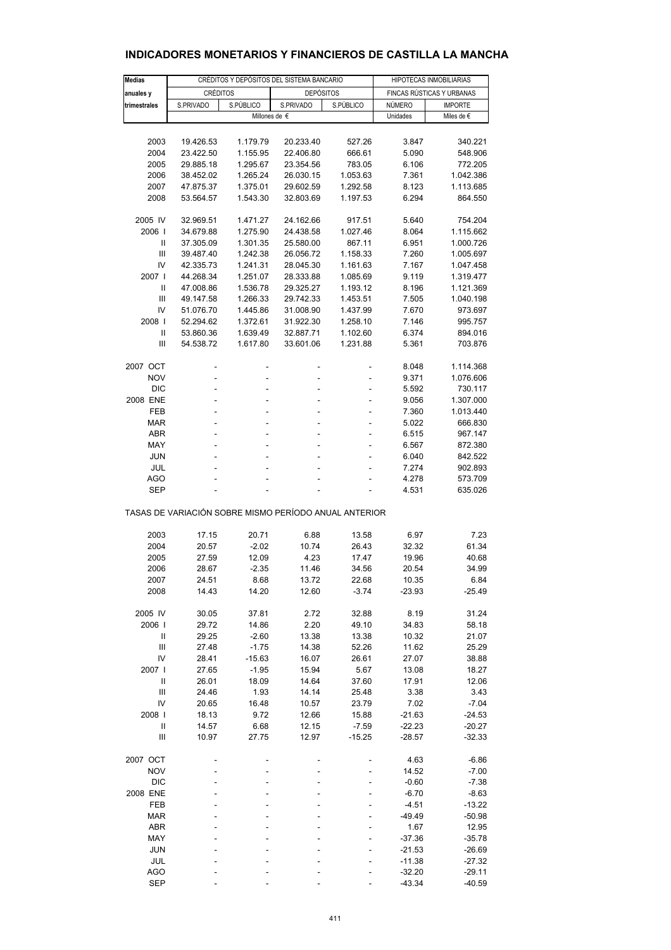| Medias                                                |                        | CRÉDITOS Y DEPÓSITOS DEL SISTEMA BANCARIO | HIPOTECAS INMOBILIARIAS |           |                           |            |  |  |
|-------------------------------------------------------|------------------------|-------------------------------------------|-------------------------|-----------|---------------------------|------------|--|--|
| anuales y                                             | <b>CRÉDITOS</b>        |                                           | <b>DEPÓSITOS</b>        |           | FINCAS RÚSTICAS Y URBANAS |            |  |  |
| trimestrales                                          | S.PÚBLICO<br>S.PRIVADO |                                           | S.PRIVADO               | S.PÚBLICO | NÚMERO<br><b>IMPORTE</b>  |            |  |  |
|                                                       |                        |                                           | Millones de $\epsilon$  |           | Unidades                  | Miles de € |  |  |
|                                                       |                        |                                           |                         |           |                           |            |  |  |
| 2003                                                  |                        | 1.179.79                                  |                         |           | 3.847                     | 340.221    |  |  |
|                                                       | 19.426.53              |                                           | 20.233.40               | 527.26    |                           |            |  |  |
| 2004                                                  | 23.422.50              | 1.155.95                                  | 22.406.80               | 666.61    | 5.090                     | 548.906    |  |  |
| 2005                                                  | 29.885.18              | 1.295.67                                  | 23.354.56               | 783.05    | 6.106                     | 772.205    |  |  |
| 2006                                                  | 38.452.02              | 1.265.24                                  | 26.030.15               | 1.053.63  | 7.361                     | 1.042.386  |  |  |
| 2007                                                  | 47.875.37              | 1.375.01                                  | 29.602.59               | 1.292.58  | 8.123                     | 1.113.685  |  |  |
| 2008                                                  | 53.564.57              | 1.543.30                                  | 32.803.69               | 1.197.53  | 6.294                     | 864.550    |  |  |
| 2005 IV                                               | 32.969.51              | 1.471.27                                  | 24.162.66               | 917.51    | 5.640                     | 754.204    |  |  |
| 2006                                                  | 34.679.88              | 1.275.90                                  | 24.438.58               | 1.027.46  | 8.064                     | 1.115.662  |  |  |
| $\mathbf{I}$                                          | 37.305.09              | 1.301.35                                  | 25.580.00               | 867.11    | 6.951                     | 1.000.726  |  |  |
| Ш                                                     | 39.487.40              | 1.242.38                                  | 26.056.72               | 1.158.33  | 7.260                     | 1.005.697  |  |  |
| IV                                                    | 42.335.73              | 1.241.31                                  | 28.045.30               | 1.161.63  | 7.167                     | 1.047.458  |  |  |
| 2007                                                  | 44.268.34              | 1.251.07                                  | 28.333.88               | 1.085.69  | 9.119                     | 1.319.477  |  |  |
| Ш                                                     | 47.008.86              | 1.536.78                                  | 29.325.27               | 1.193.12  | 8.196                     | 1.121.369  |  |  |
| Ш                                                     |                        |                                           |                         | 1.453.51  | 7.505                     | 1.040.198  |  |  |
|                                                       | 49.147.58              | 1.266.33                                  | 29.742.33               |           |                           |            |  |  |
| IV                                                    | 51.076.70              | 1.445.86                                  | 31.008.90               | 1.437.99  | 7.670                     | 973.697    |  |  |
| 2008                                                  | 52.294.62              | 1.372.61                                  | 31.922.30               | 1.258.10  | 7.146                     | 995.757    |  |  |
| Ш                                                     | 53.860.36              | 1.639.49                                  | 32.887.71               | 1.102.60  | 6.374                     | 894.016    |  |  |
| Ш                                                     | 54.538.72              | 1.617.80                                  | 33.601.06               | 1.231.88  | 5.361                     | 703.876    |  |  |
| 2007 OCT                                              |                        |                                           |                         |           | 8.048                     | 1.114.368  |  |  |
| <b>NOV</b>                                            | ÷                      | ä,                                        |                         | ä,        | 9.371                     | 1.076.606  |  |  |
| <b>DIC</b>                                            | -                      |                                           |                         |           | 5.592                     | 730.117    |  |  |
| 2008 ENE                                              | ä,                     | ä,                                        |                         | ä,        | 9.056                     | 1.307.000  |  |  |
| FEB                                                   | ä,                     |                                           |                         | ÷,        | 7.360                     | 1.013.440  |  |  |
| <b>MAR</b>                                            | ÷,                     | ä,                                        | ä,                      | ÷,        | 5.022                     | 666.830    |  |  |
| <b>ABR</b>                                            | ä,                     | ä,                                        |                         | ä,        | 6.515                     | 967.147    |  |  |
|                                                       |                        |                                           |                         |           |                           |            |  |  |
| MAY                                                   | ä,                     |                                           |                         |           | 6.567                     | 872.380    |  |  |
| <b>JUN</b>                                            | ÷,                     |                                           |                         | ٠         | 6.040                     | 842.522    |  |  |
| JUL                                                   | ä,                     |                                           |                         |           | 7.274                     | 902.893    |  |  |
| <b>AGO</b>                                            |                        |                                           |                         |           | 4.278                     | 573.709    |  |  |
| <b>SEP</b>                                            |                        |                                           |                         |           | 4.531                     | 635.026    |  |  |
| TASAS DE VARIACIÓN SOBRE MISMO PERÍODO ANUAL ANTERIOR |                        |                                           |                         |           |                           |            |  |  |
| 2003                                                  | 17.15                  | 20.71                                     | 6.88                    | 13.58     | 6.97                      | 7.23       |  |  |
| 2004                                                  | 20.57                  | $-2.02$                                   | 10.74                   | 26.43     | 32.32                     | 61.34      |  |  |
| 2005                                                  | 27.59                  | 12.09                                     | 4.23                    | 17.47     | 19.96                     | 40.68      |  |  |
|                                                       |                        |                                           |                         |           |                           |            |  |  |
| 2006                                                  | 28.67                  | $-2.35$                                   | 11.46                   | 34.56     | 20.54                     | 34.99      |  |  |
| 2007                                                  | 24.51                  | 8.68                                      | 13.72                   | 22.68     | 10.35                     | 6.84       |  |  |
| 2008                                                  | 14.43                  | 14.20                                     | 12.60                   | $-3.74$   | $-23.93$                  | -25.49     |  |  |
| 2005 IV                                               | 30.05                  | 37.81                                     | 2.72                    | 32.88     | 8.19                      | 31.24      |  |  |
| 2006                                                  | 29.72                  | 14.86                                     | 2.20                    | 49.10     | 34.83                     | 58.18      |  |  |
| $\sf II$                                              | 29.25                  | $-2.60$                                   | 13.38                   | 13.38     | 10.32                     | 21.07      |  |  |
| Ш                                                     | 27.48                  | $-1.75$                                   | 14.38                   | 52.26     | 11.62                     | 25.29      |  |  |
| IV                                                    | 28.41                  | $-15.63$                                  | 16.07                   | 26.61     | 27.07                     | 38.88      |  |  |
| 2007 l                                                | 27.65                  | $-1.95$                                   | 15.94                   | 5.67      | 13.08                     | 18.27      |  |  |
| $\label{eq:1} \prod_{i=1}^n \mathbb{I}_i$             | 26.01                  | 18.09                                     | 14.64                   | 37.60     | 17.91                     | 12.06      |  |  |
| Ш                                                     | 24.46                  | 1.93                                      | 14.14                   | 25.48     | 3.38                      | 3.43       |  |  |
| IV                                                    | 20.65                  | 16.48                                     | 10.57                   | 23.79     | 7.02                      | $-7.04$    |  |  |
| 2008                                                  | 18.13                  | 9.72                                      | 12.66                   | 15.88     | $-21.63$                  | $-24.53$   |  |  |
| $\mathbf{I}$                                          | 14.57                  | 6.68                                      | 12.15                   | $-7.59$   | $-22.23$                  | $-20.27$   |  |  |
| Ш                                                     | 10.97                  | 27.75                                     | 12.97                   | $-15.25$  | $-28.57$                  | $-32.33$   |  |  |
| 2007 OCT                                              |                        |                                           |                         |           | 4.63                      | $-6.86$    |  |  |
| <b>NOV</b>                                            |                        |                                           |                         |           | 14.52                     | $-7.00$    |  |  |
|                                                       |                        |                                           |                         |           |                           |            |  |  |
| <b>DIC</b>                                            |                        |                                           |                         |           | $-0.60$                   | $-7.38$    |  |  |
| 2008 ENE                                              |                        |                                           |                         |           | $-6.70$                   | $-8.63$    |  |  |
| FEB                                                   |                        |                                           |                         |           | $-4.51$                   | $-13.22$   |  |  |
| <b>MAR</b>                                            |                        |                                           |                         |           | -49.49                    | $-50.98$   |  |  |
| ABR                                                   |                        |                                           |                         |           | 1.67                      | 12.95      |  |  |
| MAY                                                   |                        |                                           |                         |           | $-37.36$                  | $-35.78$   |  |  |
| <b>JUN</b>                                            |                        |                                           |                         |           | $-21.53$                  | $-26.69$   |  |  |
| JUL                                                   |                        |                                           |                         |           | $-11.38$                  | $-27.32$   |  |  |
| <b>AGO</b>                                            |                        |                                           |                         |           | $-32.20$                  | $-29.11$   |  |  |

## **INDICADORES MONETARIOS Y FINANCIEROS DE CASTILLA LA MANCHA**

SEP - - - - - - - - - - -43.34 -40.59